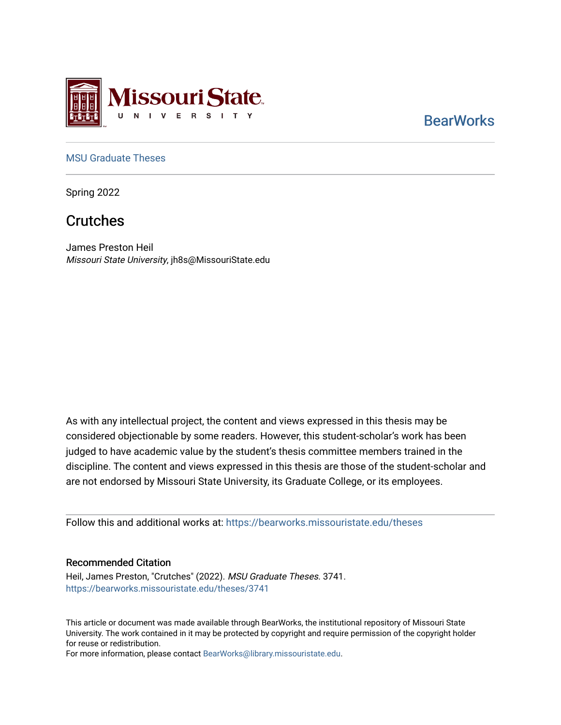

## **BearWorks**

#### [MSU Graduate Theses](https://bearworks.missouristate.edu/theses)

Spring 2022

# Crutches

James Preston Heil Missouri State University, jh8s@MissouriState.edu

As with any intellectual project, the content and views expressed in this thesis may be considered objectionable by some readers. However, this student-scholar's work has been judged to have academic value by the student's thesis committee members trained in the discipline. The content and views expressed in this thesis are those of the student-scholar and are not endorsed by Missouri State University, its Graduate College, or its employees.

Follow this and additional works at: [https://bearworks.missouristate.edu/theses](https://bearworks.missouristate.edu/theses?utm_source=bearworks.missouristate.edu%2Ftheses%2F3741&utm_medium=PDF&utm_campaign=PDFCoverPages) 

#### Recommended Citation

Heil, James Preston, "Crutches" (2022). MSU Graduate Theses. 3741. [https://bearworks.missouristate.edu/theses/3741](https://bearworks.missouristate.edu/theses/3741?utm_source=bearworks.missouristate.edu%2Ftheses%2F3741&utm_medium=PDF&utm_campaign=PDFCoverPages) 

This article or document was made available through BearWorks, the institutional repository of Missouri State University. The work contained in it may be protected by copyright and require permission of the copyright holder for reuse or redistribution.

For more information, please contact [BearWorks@library.missouristate.edu.](mailto:BearWorks@library.missouristate.edu)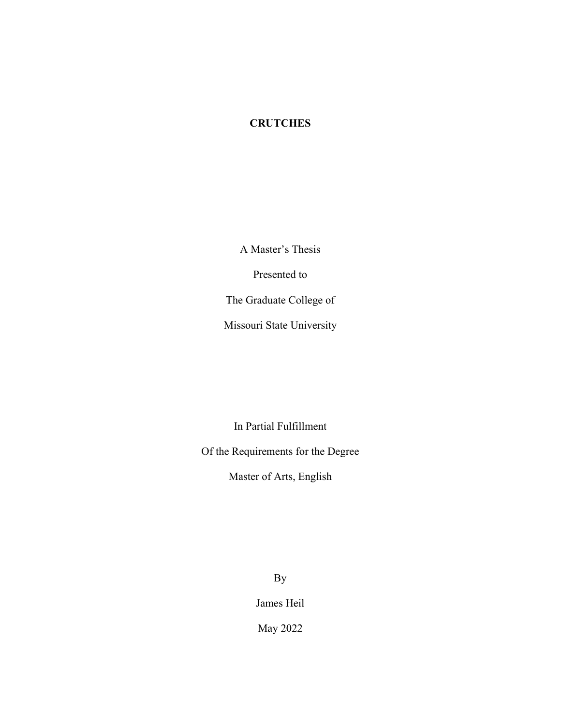## **CRUTCHES**

A Master's Thesis

Presented to

The Graduate College of

Missouri State University

In Partial Fulfillment

Of the Requirements for the Degree

Master of Arts, English

By

James Heil

May 2022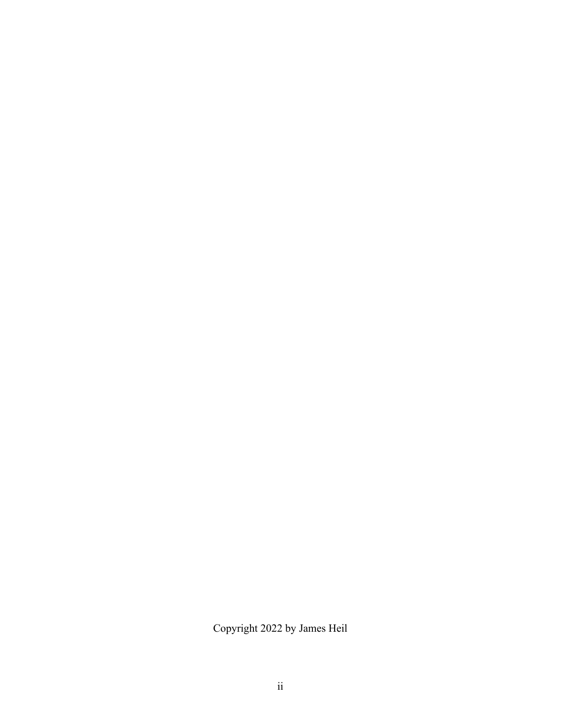Copyright 2022 by James Heil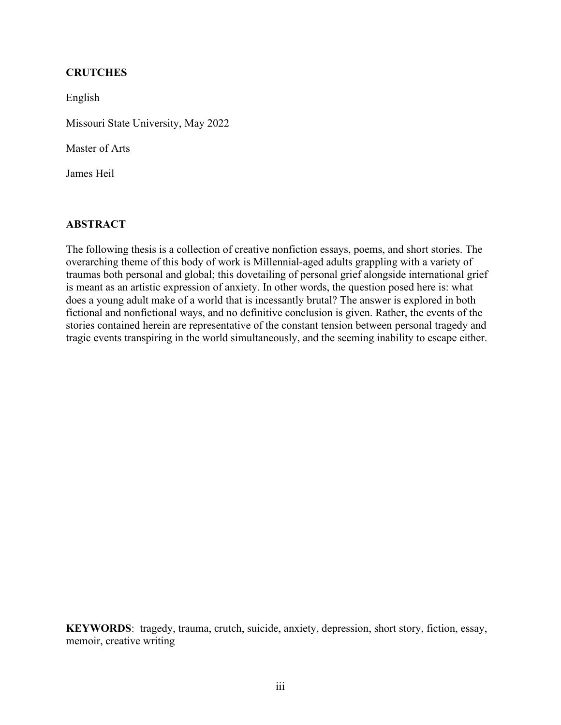## **CRUTCHES**

English

Missouri State University, May 2022

Master of Arts

James Heil

## **ABSTRACT**

The following thesis is a collection of creative nonfiction essays, poems, and short stories. The overarching theme of this body of work is Millennial-aged adults grappling with a variety of traumas both personal and global; this dovetailing of personal grief alongside international grief is meant as an artistic expression of anxiety. In other words, the question posed here is: what does a young adult make of a world that is incessantly brutal? The answer is explored in both fictional and nonfictional ways, and no definitive conclusion is given. Rather, the events of the stories contained herein are representative of the constant tension between personal tragedy and tragic events transpiring in the world simultaneously, and the seeming inability to escape either.

**KEYWORDS**: tragedy, trauma, crutch, suicide, anxiety, depression, short story, fiction, essay, memoir, creative writing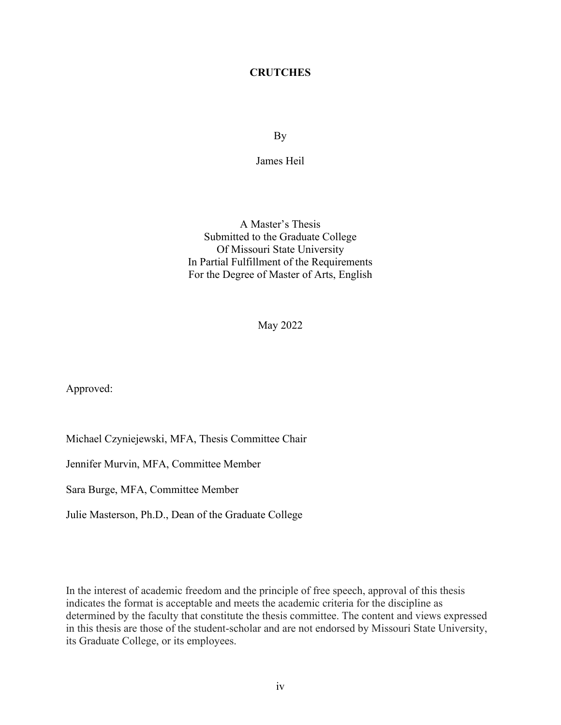#### **CRUTCHES**

By

James Heil

A Master's Thesis Submitted to the Graduate College Of Missouri State University In Partial Fulfillment of the Requirements For the Degree of Master of Arts, English

May 2022

Approved:

Michael Czyniejewski, MFA, Thesis Committee Chair

Jennifer Murvin, MFA, Committee Member

Sara Burge, MFA, Committee Member

Julie Masterson, Ph.D., Dean of the Graduate College

In the interest of academic freedom and the principle of free speech, approval of this thesis indicates the format is acceptable and meets the academic criteria for the discipline as determined by the faculty that constitute the thesis committee. The content and views expressed in this thesis are those of the student-scholar and are not endorsed by Missouri State University, its Graduate College, or its employees.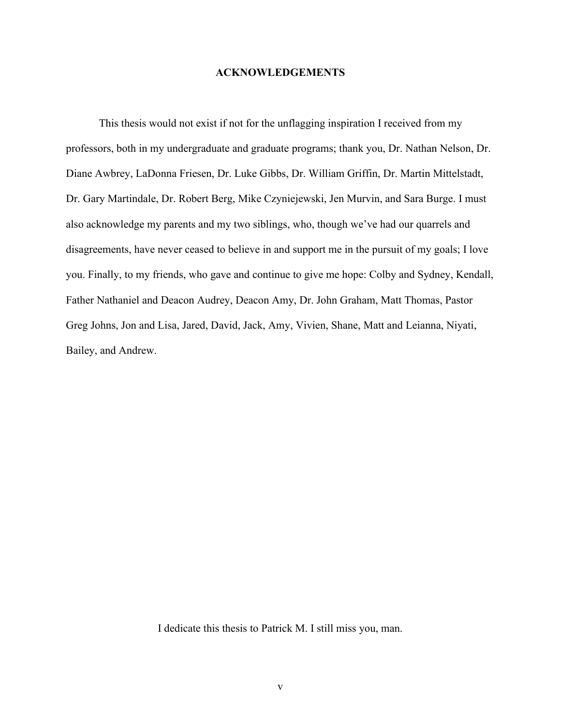#### **ACKNOWLEDGEMENTS**

This thesis would not exist if not for the unflagging inspiration I received from my professors, both in my undergraduate and graduate programs; thank you, Dr. Nathan Nelson, Dr. Diane Awbrey, LaDonna Friesen, Dr. Luke Gibbs, Dr. William Griffin, Dr. Martin Mittelstadt, Dr. Gary Martindale, Dr. Robert Berg, Mike Czyniejewski, Jen Murvin, and Sara Burge. I must also acknowledge my parents and my two siblings, who, though we've had our quarrels and disagreements, have never ceased to believe in and support me in the pursuit of my goals; I love you. Finally, to my friends, who gave and continue to give me hope: Colby and Sydney, Kendall, Father Nathaniel and Deacon Audrey, Deacon Amy, Dr. John Graham, Matt Thomas, Pastor Greg Johns, Jon and Lisa, Jared, David, Jack, Amy, Vivien, Shane, Matt and Leianna, Niyati, Bailey, and Andrew.

I dedicate this thesis to Patrick M. I still miss you, man.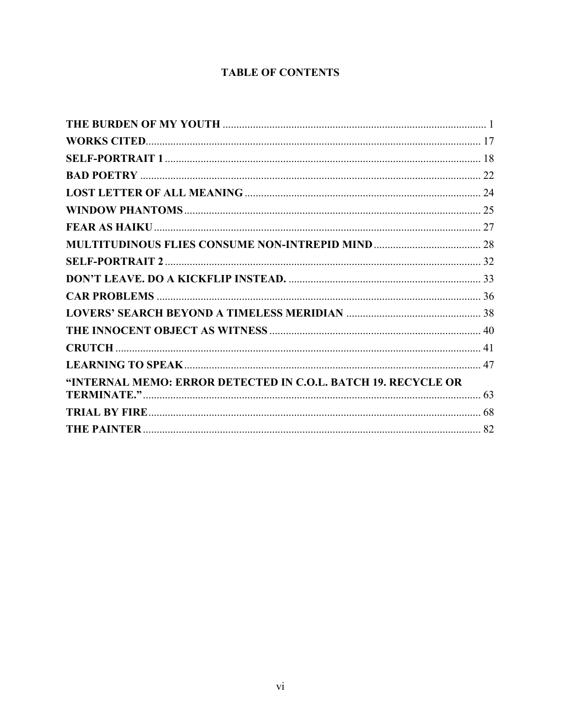## **TABLE OF CONTENTS**

| "INTERNAL MEMO: ERROR DETECTED IN C.O.L. BATCH 19. RECYCLE OR |  |
|---------------------------------------------------------------|--|
|                                                               |  |
|                                                               |  |
|                                                               |  |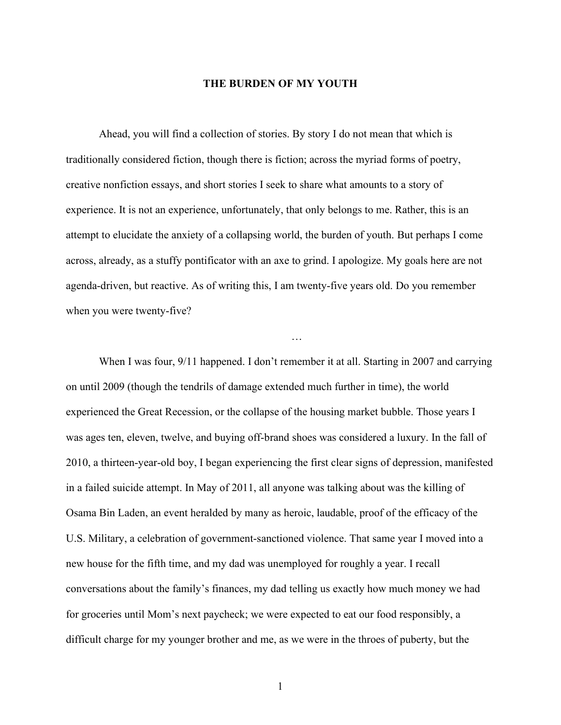#### **THE BURDEN OF MY YOUTH**

<span id="page-7-0"></span>Ahead, you will find a collection of stories. By story I do not mean that which is traditionally considered fiction, though there is fiction; across the myriad forms of poetry, creative nonfiction essays, and short stories I seek to share what amounts to a story of experience. It is not an experience, unfortunately, that only belongs to me. Rather, this is an attempt to elucidate the anxiety of a collapsing world, the burden of youth. But perhaps I come across, already, as a stuffy pontificator with an axe to grind. I apologize. My goals here are not agenda-driven, but reactive. As of writing this, I am twenty-five years old. Do you remember when you were twenty-five?

…

When I was four, 9/11 happened. I don't remember it at all. Starting in 2007 and carrying on until 2009 (though the tendrils of damage extended much further in time), the world experienced the Great Recession, or the collapse of the housing market bubble. Those years I was ages ten, eleven, twelve, and buying off-brand shoes was considered a luxury. In the fall of 2010, a thirteen-year-old boy, I began experiencing the first clear signs of depression, manifested in a failed suicide attempt. In May of 2011, all anyone was talking about was the killing of Osama Bin Laden, an event heralded by many as heroic, laudable, proof of the efficacy of the U.S. Military, a celebration of government-sanctioned violence. That same year I moved into a new house for the fifth time, and my dad was unemployed for roughly a year. I recall conversations about the family's finances, my dad telling us exactly how much money we had for groceries until Mom's next paycheck; we were expected to eat our food responsibly, a difficult charge for my younger brother and me, as we were in the throes of puberty, but the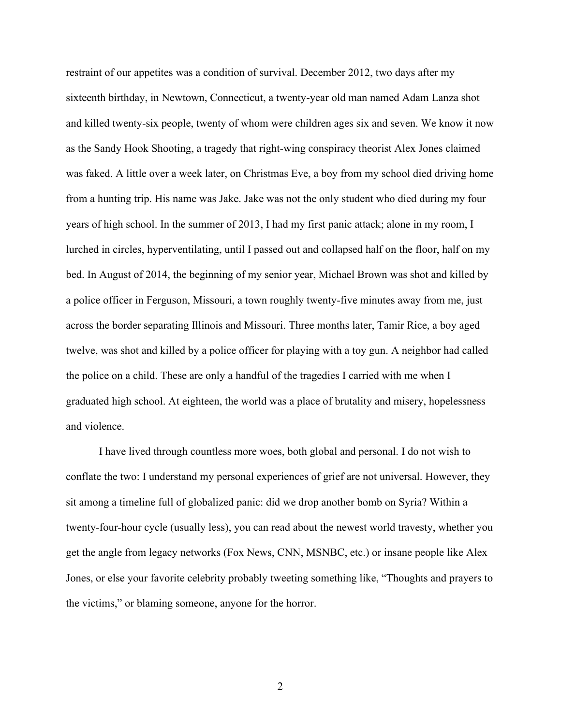restraint of our appetites was a condition of survival. December 2012, two days after my sixteenth birthday, in Newtown, Connecticut, a twenty-year old man named Adam Lanza shot and killed twenty-six people, twenty of whom were children ages six and seven. We know it now as the Sandy Hook Shooting, a tragedy that right-wing conspiracy theorist Alex Jones claimed was faked. A little over a week later, on Christmas Eve, a boy from my school died driving home from a hunting trip. His name was Jake. Jake was not the only student who died during my four years of high school. In the summer of 2013, I had my first panic attack; alone in my room, I lurched in circles, hyperventilating, until I passed out and collapsed half on the floor, half on my bed. In August of 2014, the beginning of my senior year, Michael Brown was shot and killed by a police officer in Ferguson, Missouri, a town roughly twenty-five minutes away from me, just across the border separating Illinois and Missouri. Three months later, Tamir Rice, a boy aged twelve, was shot and killed by a police officer for playing with a toy gun. A neighbor had called the police on a child. These are only a handful of the tragedies I carried with me when I graduated high school. At eighteen, the world was a place of brutality and misery, hopelessness and violence.

I have lived through countless more woes, both global and personal. I do not wish to conflate the two: I understand my personal experiences of grief are not universal. However, they sit among a timeline full of globalized panic: did we drop another bomb on Syria? Within a twenty-four-hour cycle (usually less), you can read about the newest world travesty, whether you get the angle from legacy networks (Fox News, CNN, MSNBC, etc.) or insane people like Alex Jones, or else your favorite celebrity probably tweeting something like, "Thoughts and prayers to the victims," or blaming someone, anyone for the horror.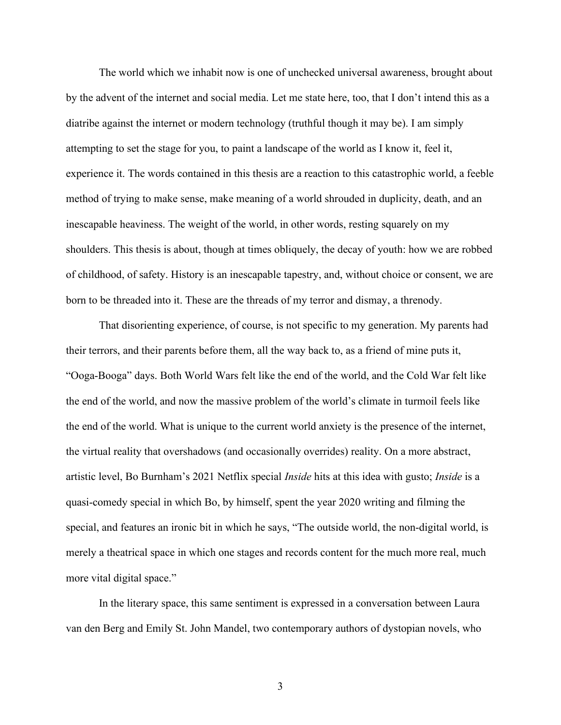The world which we inhabit now is one of unchecked universal awareness, brought about by the advent of the internet and social media. Let me state here, too, that I don't intend this as a diatribe against the internet or modern technology (truthful though it may be). I am simply attempting to set the stage for you, to paint a landscape of the world as I know it, feel it, experience it. The words contained in this thesis are a reaction to this catastrophic world, a feeble method of trying to make sense, make meaning of a world shrouded in duplicity, death, and an inescapable heaviness. The weight of the world, in other words, resting squarely on my shoulders. This thesis is about, though at times obliquely, the decay of youth: how we are robbed of childhood, of safety. History is an inescapable tapestry, and, without choice or consent, we are born to be threaded into it. These are the threads of my terror and dismay, a threnody.

That disorienting experience, of course, is not specific to my generation. My parents had their terrors, and their parents before them, all the way back to, as a friend of mine puts it, "Ooga-Booga" days. Both World Wars felt like the end of the world, and the Cold War felt like the end of the world, and now the massive problem of the world's climate in turmoil feels like the end of the world. What is unique to the current world anxiety is the presence of the internet, the virtual reality that overshadows (and occasionally overrides) reality. On a more abstract, artistic level, Bo Burnham's 2021 Netflix special *Inside* hits at this idea with gusto; *Inside* is a quasi-comedy special in which Bo, by himself, spent the year 2020 writing and filming the special, and features an ironic bit in which he says, "The outside world, the non-digital world, is merely a theatrical space in which one stages and records content for the much more real, much more vital digital space."

In the literary space, this same sentiment is expressed in a conversation between Laura van den Berg and Emily St. John Mandel, two contemporary authors of dystopian novels, who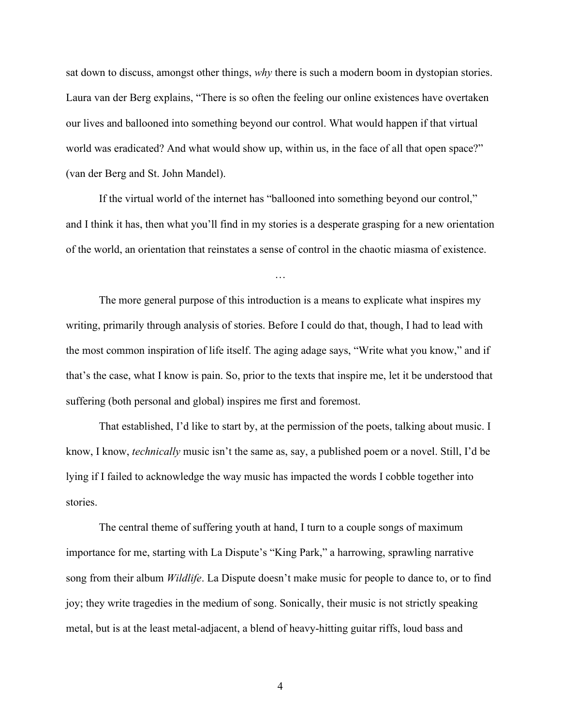sat down to discuss, amongst other things, *why* there is such a modern boom in dystopian stories. Laura van der Berg explains, "There is so often the feeling our online existences have overtaken our lives and ballooned into something beyond our control. What would happen if that virtual world was eradicated? And what would show up, within us, in the face of all that open space?" (van der Berg and St. John Mandel).

If the virtual world of the internet has "ballooned into something beyond our control," and I think it has, then what you'll find in my stories is a desperate grasping for a new orientation of the world, an orientation that reinstates a sense of control in the chaotic miasma of existence.

…

The more general purpose of this introduction is a means to explicate what inspires my writing, primarily through analysis of stories. Before I could do that, though, I had to lead with the most common inspiration of life itself. The aging adage says, "Write what you know," and if that's the case, what I know is pain. So, prior to the texts that inspire me, let it be understood that suffering (both personal and global) inspires me first and foremost.

That established, I'd like to start by, at the permission of the poets, talking about music. I know, I know, *technically* music isn't the same as, say, a published poem or a novel. Still, I'd be lying if I failed to acknowledge the way music has impacted the words I cobble together into stories.

The central theme of suffering youth at hand, I turn to a couple songs of maximum importance for me, starting with La Dispute's "King Park," a harrowing, sprawling narrative song from their album *Wildlife*. La Dispute doesn't make music for people to dance to, or to find joy; they write tragedies in the medium of song. Sonically, their music is not strictly speaking metal, but is at the least metal-adjacent, a blend of heavy-hitting guitar riffs, loud bass and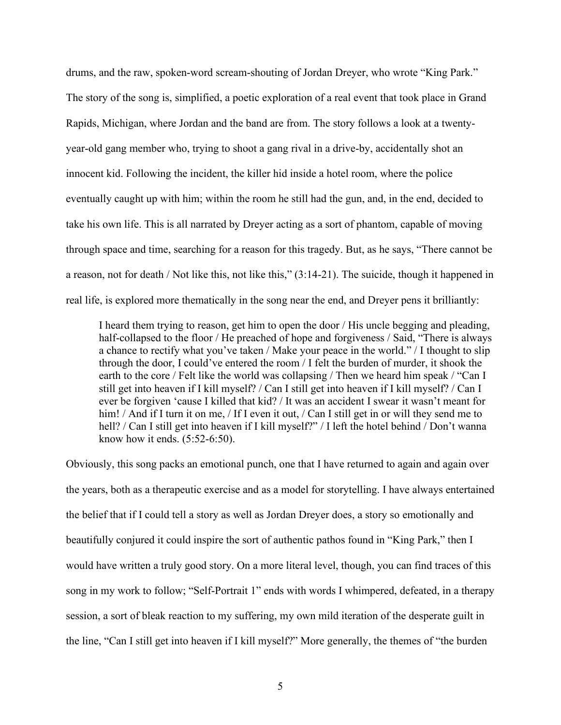drums, and the raw, spoken-word scream-shouting of Jordan Dreyer, who wrote "King Park." The story of the song is, simplified, a poetic exploration of a real event that took place in Grand Rapids, Michigan, where Jordan and the band are from. The story follows a look at a twentyyear-old gang member who, trying to shoot a gang rival in a drive-by, accidentally shot an innocent kid. Following the incident, the killer hid inside a hotel room, where the police eventually caught up with him; within the room he still had the gun, and, in the end, decided to take his own life. This is all narrated by Dreyer acting as a sort of phantom, capable of moving through space and time, searching for a reason for this tragedy. But, as he says, "There cannot be a reason, not for death / Not like this, not like this," (3:14-21). The suicide, though it happened in real life, is explored more thematically in the song near the end, and Dreyer pens it brilliantly:

I heard them trying to reason, get him to open the door / His uncle begging and pleading, half-collapsed to the floor / He preached of hope and forgiveness / Said, "There is always a chance to rectify what you've taken / Make your peace in the world." / I thought to slip through the door, I could've entered the room / I felt the burden of murder, it shook the earth to the core / Felt like the world was collapsing / Then we heard him speak / "Can I still get into heaven if I kill myself? / Can I still get into heaven if I kill myself? / Can I ever be forgiven 'cause I killed that kid? / It was an accident I swear it wasn't meant for him! / And if I turn it on me, / If I even it out, / Can I still get in or will they send me to hell? / Can I still get into heaven if I kill myself?" / I left the hotel behind / Don't wanna know how it ends. (5:52-6:50).

Obviously, this song packs an emotional punch, one that I have returned to again and again over the years, both as a therapeutic exercise and as a model for storytelling. I have always entertained the belief that if I could tell a story as well as Jordan Dreyer does, a story so emotionally and beautifully conjured it could inspire the sort of authentic pathos found in "King Park," then I would have written a truly good story. On a more literal level, though, you can find traces of this song in my work to follow; "Self-Portrait 1" ends with words I whimpered, defeated, in a therapy session, a sort of bleak reaction to my suffering, my own mild iteration of the desperate guilt in the line, "Can I still get into heaven if I kill myself?" More generally, the themes of "the burden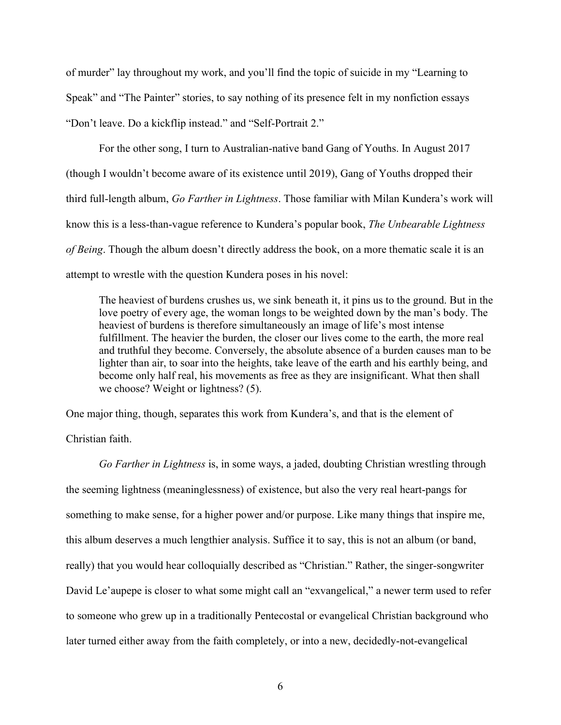of murder" lay throughout my work, and you'll find the topic of suicide in my "Learning to Speak" and "The Painter" stories, to say nothing of its presence felt in my nonfiction essays "Don't leave. Do a kickflip instead." and "Self-Portrait 2."

For the other song, I turn to Australian-native band Gang of Youths. In August 2017 (though I wouldn't become aware of its existence until 2019), Gang of Youths dropped their third full-length album, *Go Farther in Lightness*. Those familiar with Milan Kundera's work will know this is a less-than-vague reference to Kundera's popular book, *The Unbearable Lightness of Being*. Though the album doesn't directly address the book, on a more thematic scale it is an attempt to wrestle with the question Kundera poses in his novel:

The heaviest of burdens crushes us, we sink beneath it, it pins us to the ground. But in the love poetry of every age, the woman longs to be weighted down by the man's body. The heaviest of burdens is therefore simultaneously an image of life's most intense fulfillment. The heavier the burden, the closer our lives come to the earth, the more real and truthful they become. Conversely, the absolute absence of a burden causes man to be lighter than air, to soar into the heights, take leave of the earth and his earthly being, and become only half real, his movements as free as they are insignificant. What then shall we choose? Weight or lightness? (5).

One major thing, though, separates this work from Kundera's, and that is the element of

Christian faith.

*Go Farther in Lightness* is, in some ways, a jaded, doubting Christian wrestling through the seeming lightness (meaninglessness) of existence, but also the very real heart-pangs for something to make sense, for a higher power and/or purpose. Like many things that inspire me, this album deserves a much lengthier analysis. Suffice it to say, this is not an album (or band, really) that you would hear colloquially described as "Christian." Rather, the singer-songwriter David Le'aupepe is closer to what some might call an "exvangelical," a newer term used to refer to someone who grew up in a traditionally Pentecostal or evangelical Christian background who later turned either away from the faith completely, or into a new, decidedly-not-evangelical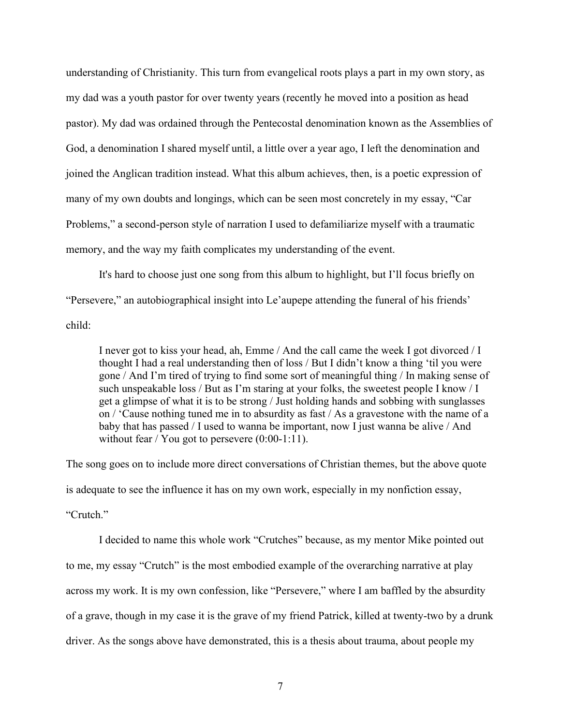understanding of Christianity. This turn from evangelical roots plays a part in my own story, as my dad was a youth pastor for over twenty years (recently he moved into a position as head pastor). My dad was ordained through the Pentecostal denomination known as the Assemblies of God, a denomination I shared myself until, a little over a year ago, I left the denomination and joined the Anglican tradition instead. What this album achieves, then, is a poetic expression of many of my own doubts and longings, which can be seen most concretely in my essay, "Car Problems," a second-person style of narration I used to defamiliarize myself with a traumatic memory, and the way my faith complicates my understanding of the event.

It's hard to choose just one song from this album to highlight, but I'll focus briefly on "Persevere," an autobiographical insight into Le'aupepe attending the funeral of his friends' child:

I never got to kiss your head, ah, Emme / And the call came the week I got divorced / I thought I had a real understanding then of loss / But I didn't know a thing 'til you were gone / And I'm tired of trying to find some sort of meaningful thing / In making sense of such unspeakable loss / But as I'm staring at your folks, the sweetest people I know / I get a glimpse of what it is to be strong / Just holding hands and sobbing with sunglasses on / 'Cause nothing tuned me in to absurdity as fast / As a gravestone with the name of a baby that has passed / I used to wanna be important, now I just wanna be alive / And without fear / You got to persevere  $(0:00-1:11)$ .

The song goes on to include more direct conversations of Christian themes, but the above quote is adequate to see the influence it has on my own work, especially in my nonfiction essay,

"Crutch."

I decided to name this whole work "Crutches" because, as my mentor Mike pointed out to me, my essay "Crutch" is the most embodied example of the overarching narrative at play across my work. It is my own confession, like "Persevere," where I am baffled by the absurdity of a grave, though in my case it is the grave of my friend Patrick, killed at twenty-two by a drunk driver. As the songs above have demonstrated, this is a thesis about trauma, about people my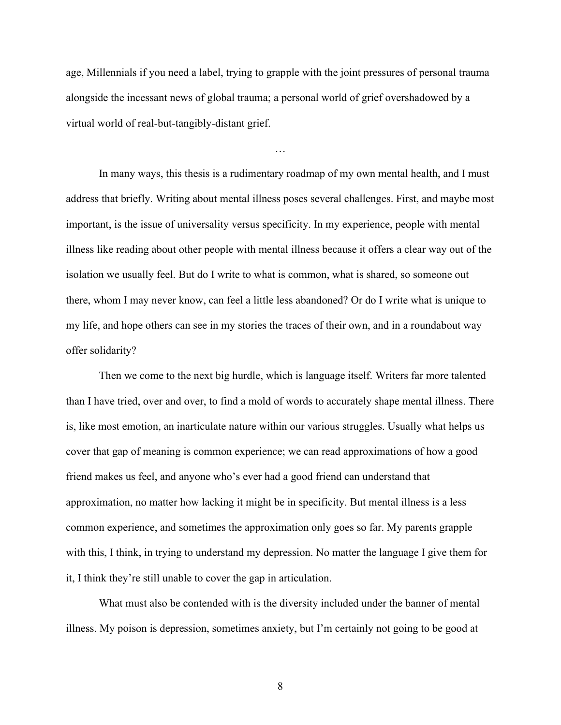age, Millennials if you need a label, trying to grapple with the joint pressures of personal trauma alongside the incessant news of global trauma; a personal world of grief overshadowed by a virtual world of real-but-tangibly-distant grief.

…

In many ways, this thesis is a rudimentary roadmap of my own mental health, and I must address that briefly. Writing about mental illness poses several challenges. First, and maybe most important, is the issue of universality versus specificity. In my experience, people with mental illness like reading about other people with mental illness because it offers a clear way out of the isolation we usually feel. But do I write to what is common, what is shared, so someone out there, whom I may never know, can feel a little less abandoned? Or do I write what is unique to my life, and hope others can see in my stories the traces of their own, and in a roundabout way offer solidarity?

Then we come to the next big hurdle, which is language itself. Writers far more talented than I have tried, over and over, to find a mold of words to accurately shape mental illness. There is, like most emotion, an inarticulate nature within our various struggles. Usually what helps us cover that gap of meaning is common experience; we can read approximations of how a good friend makes us feel, and anyone who's ever had a good friend can understand that approximation, no matter how lacking it might be in specificity. But mental illness is a less common experience, and sometimes the approximation only goes so far. My parents grapple with this, I think, in trying to understand my depression. No matter the language I give them for it, I think they're still unable to cover the gap in articulation.

What must also be contended with is the diversity included under the banner of mental illness. My poison is depression, sometimes anxiety, but I'm certainly not going to be good at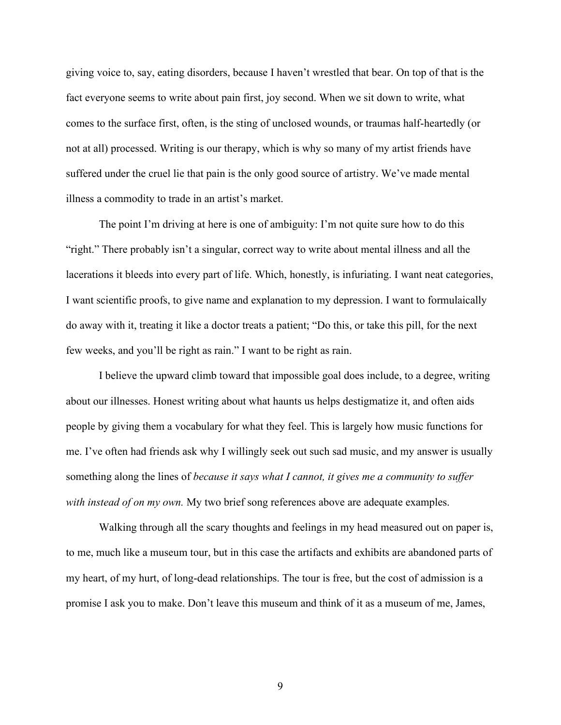giving voice to, say, eating disorders, because I haven't wrestled that bear. On top of that is the fact everyone seems to write about pain first, joy second. When we sit down to write, what comes to the surface first, often, is the sting of unclosed wounds, or traumas half-heartedly (or not at all) processed. Writing is our therapy, which is why so many of my artist friends have suffered under the cruel lie that pain is the only good source of artistry. We've made mental illness a commodity to trade in an artist's market.

The point I'm driving at here is one of ambiguity: I'm not quite sure how to do this "right." There probably isn't a singular, correct way to write about mental illness and all the lacerations it bleeds into every part of life. Which, honestly, is infuriating. I want neat categories, I want scientific proofs, to give name and explanation to my depression. I want to formulaically do away with it, treating it like a doctor treats a patient; "Do this, or take this pill, for the next few weeks, and you'll be right as rain." I want to be right as rain.

I believe the upward climb toward that impossible goal does include, to a degree, writing about our illnesses. Honest writing about what haunts us helps destigmatize it, and often aids people by giving them a vocabulary for what they feel. This is largely how music functions for me. I've often had friends ask why I willingly seek out such sad music, and my answer is usually something along the lines of *because it says what I cannot, it gives me a community to suffer with instead of on my own.* My two brief song references above are adequate examples.

Walking through all the scary thoughts and feelings in my head measured out on paper is, to me, much like a museum tour, but in this case the artifacts and exhibits are abandoned parts of my heart, of my hurt, of long-dead relationships. The tour is free, but the cost of admission is a promise I ask you to make. Don't leave this museum and think of it as a museum of me, James,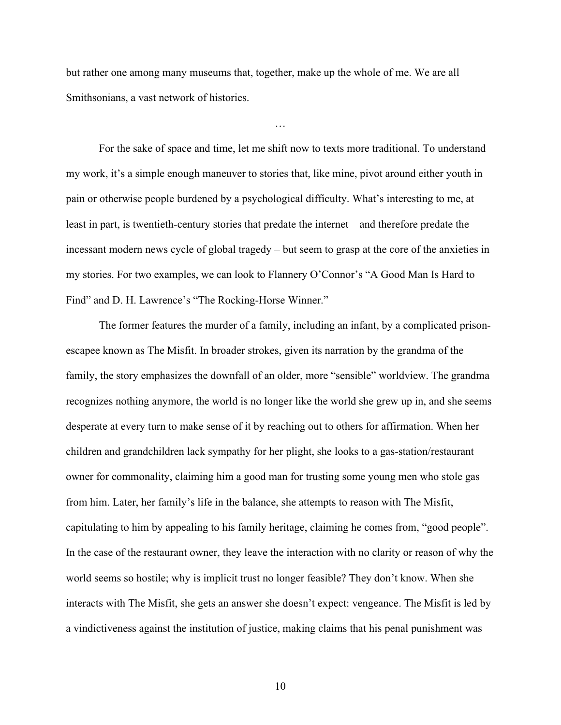but rather one among many museums that, together, make up the whole of me. We are all Smithsonians, a vast network of histories.

For the sake of space and time, let me shift now to texts more traditional. To understand my work, it's a simple enough maneuver to stories that, like mine, pivot around either youth in pain or otherwise people burdened by a psychological difficulty. What's interesting to me, at least in part, is twentieth-century stories that predate the internet – and therefore predate the incessant modern news cycle of global tragedy – but seem to grasp at the core of the anxieties in my stories. For two examples, we can look to Flannery O'Connor's "A Good Man Is Hard to Find" and D. H. Lawrence's "The Rocking-Horse Winner."

…

The former features the murder of a family, including an infant, by a complicated prisonescapee known as The Misfit. In broader strokes, given its narration by the grandma of the family, the story emphasizes the downfall of an older, more "sensible" worldview. The grandma recognizes nothing anymore, the world is no longer like the world she grew up in, and she seems desperate at every turn to make sense of it by reaching out to others for affirmation. When her children and grandchildren lack sympathy for her plight, she looks to a gas-station/restaurant owner for commonality, claiming him a good man for trusting some young men who stole gas from him. Later, her family's life in the balance, she attempts to reason with The Misfit, capitulating to him by appealing to his family heritage, claiming he comes from, "good people". In the case of the restaurant owner, they leave the interaction with no clarity or reason of why the world seems so hostile; why is implicit trust no longer feasible? They don't know. When she interacts with The Misfit, she gets an answer she doesn't expect: vengeance. The Misfit is led by a vindictiveness against the institution of justice, making claims that his penal punishment was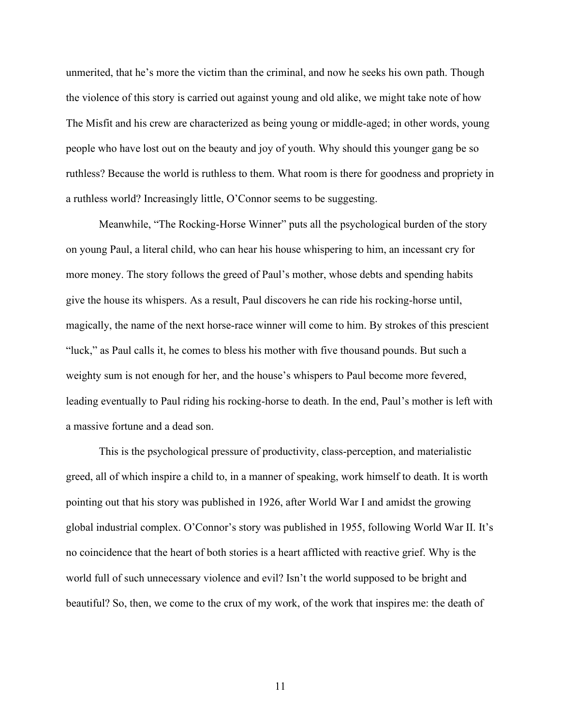unmerited, that he's more the victim than the criminal, and now he seeks his own path. Though the violence of this story is carried out against young and old alike, we might take note of how The Misfit and his crew are characterized as being young or middle-aged; in other words, young people who have lost out on the beauty and joy of youth. Why should this younger gang be so ruthless? Because the world is ruthless to them. What room is there for goodness and propriety in a ruthless world? Increasingly little, O'Connor seems to be suggesting.

Meanwhile, "The Rocking-Horse Winner" puts all the psychological burden of the story on young Paul, a literal child, who can hear his house whispering to him, an incessant cry for more money. The story follows the greed of Paul's mother, whose debts and spending habits give the house its whispers. As a result, Paul discovers he can ride his rocking-horse until, magically, the name of the next horse-race winner will come to him. By strokes of this prescient "luck," as Paul calls it, he comes to bless his mother with five thousand pounds. But such a weighty sum is not enough for her, and the house's whispers to Paul become more fevered, leading eventually to Paul riding his rocking-horse to death. In the end, Paul's mother is left with a massive fortune and a dead son.

This is the psychological pressure of productivity, class-perception, and materialistic greed, all of which inspire a child to, in a manner of speaking, work himself to death. It is worth pointing out that his story was published in 1926, after World War I and amidst the growing global industrial complex. O'Connor's story was published in 1955, following World War II. It's no coincidence that the heart of both stories is a heart afflicted with reactive grief. Why is the world full of such unnecessary violence and evil? Isn't the world supposed to be bright and beautiful? So, then, we come to the crux of my work, of the work that inspires me: the death of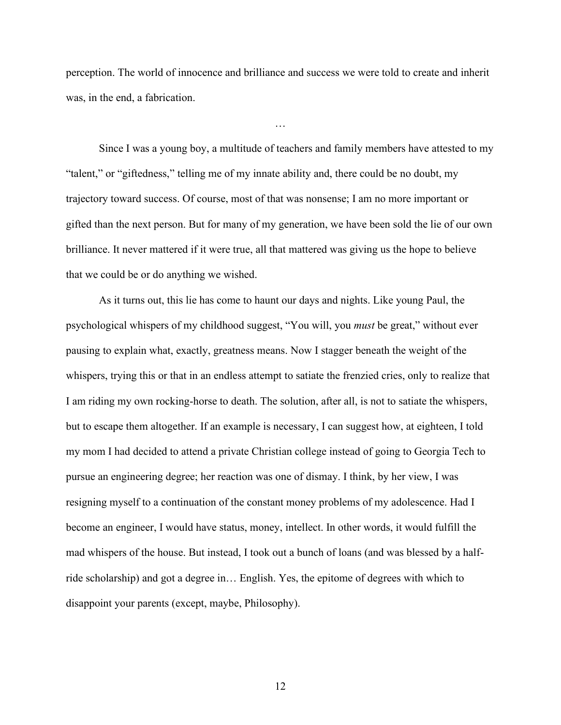perception. The world of innocence and brilliance and success we were told to create and inherit was, in the end, a fabrication.

…

Since I was a young boy, a multitude of teachers and family members have attested to my "talent," or "giftedness," telling me of my innate ability and, there could be no doubt, my trajectory toward success. Of course, most of that was nonsense; I am no more important or gifted than the next person. But for many of my generation, we have been sold the lie of our own brilliance. It never mattered if it were true, all that mattered was giving us the hope to believe that we could be or do anything we wished.

As it turns out, this lie has come to haunt our days and nights. Like young Paul, the psychological whispers of my childhood suggest, "You will, you *must* be great," without ever pausing to explain what, exactly, greatness means. Now I stagger beneath the weight of the whispers, trying this or that in an endless attempt to satiate the frenzied cries, only to realize that I am riding my own rocking-horse to death. The solution, after all, is not to satiate the whispers, but to escape them altogether. If an example is necessary, I can suggest how, at eighteen, I told my mom I had decided to attend a private Christian college instead of going to Georgia Tech to pursue an engineering degree; her reaction was one of dismay. I think, by her view, I was resigning myself to a continuation of the constant money problems of my adolescence. Had I become an engineer, I would have status, money, intellect. In other words, it would fulfill the mad whispers of the house. But instead, I took out a bunch of loans (and was blessed by a halfride scholarship) and got a degree in… English. Yes, the epitome of degrees with which to disappoint your parents (except, maybe, Philosophy).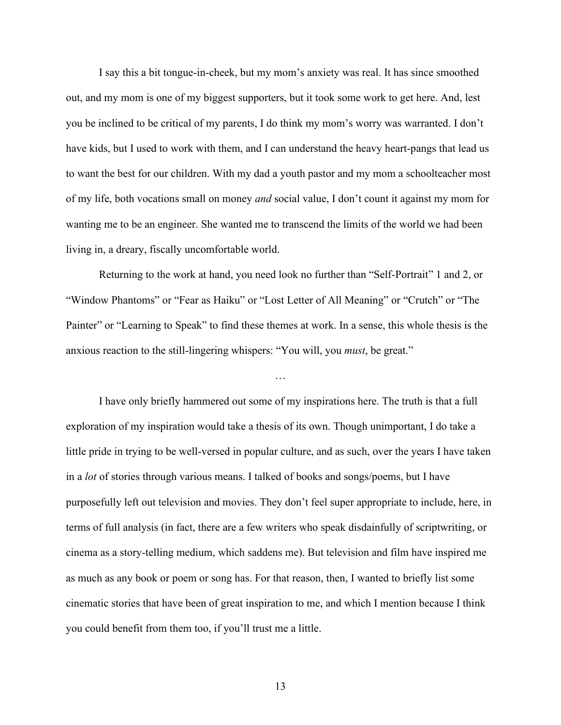I say this a bit tongue-in-cheek, but my mom's anxiety was real. It has since smoothed out, and my mom is one of my biggest supporters, but it took some work to get here. And, lest you be inclined to be critical of my parents, I do think my mom's worry was warranted. I don't have kids, but I used to work with them, and I can understand the heavy heart-pangs that lead us to want the best for our children. With my dad a youth pastor and my mom a schoolteacher most of my life, both vocations small on money *and* social value, I don't count it against my mom for wanting me to be an engineer. She wanted me to transcend the limits of the world we had been living in, a dreary, fiscally uncomfortable world.

Returning to the work at hand, you need look no further than "Self-Portrait" 1 and 2, or "Window Phantoms" or "Fear as Haiku" or "Lost Letter of All Meaning" or "Crutch" or "The Painter" or "Learning to Speak" to find these themes at work. In a sense, this whole thesis is the anxious reaction to the still-lingering whispers: "You will, you *must*, be great."

…

I have only briefly hammered out some of my inspirations here. The truth is that a full exploration of my inspiration would take a thesis of its own. Though unimportant, I do take a little pride in trying to be well-versed in popular culture, and as such, over the years I have taken in a *lot* of stories through various means. I talked of books and songs/poems, but I have purposefully left out television and movies. They don't feel super appropriate to include, here, in terms of full analysis (in fact, there are a few writers who speak disdainfully of scriptwriting, or cinema as a story-telling medium, which saddens me). But television and film have inspired me as much as any book or poem or song has. For that reason, then, I wanted to briefly list some cinematic stories that have been of great inspiration to me, and which I mention because I think you could benefit from them too, if you'll trust me a little.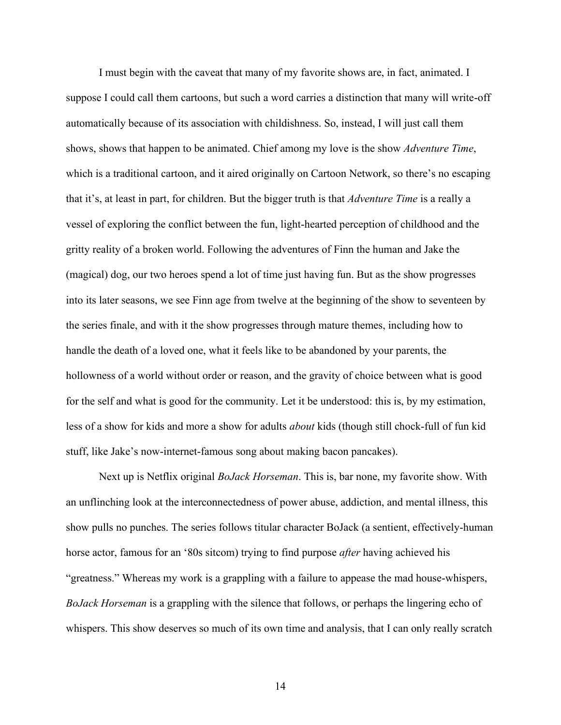I must begin with the caveat that many of my favorite shows are, in fact, animated. I suppose I could call them cartoons, but such a word carries a distinction that many will write-off automatically because of its association with childishness. So, instead, I will just call them shows, shows that happen to be animated. Chief among my love is the show *Adventure Time*, which is a traditional cartoon, and it aired originally on Cartoon Network, so there's no escaping that it's, at least in part, for children. But the bigger truth is that *Adventure Time* is a really a vessel of exploring the conflict between the fun, light-hearted perception of childhood and the gritty reality of a broken world. Following the adventures of Finn the human and Jake the (magical) dog, our two heroes spend a lot of time just having fun. But as the show progresses into its later seasons, we see Finn age from twelve at the beginning of the show to seventeen by the series finale, and with it the show progresses through mature themes, including how to handle the death of a loved one, what it feels like to be abandoned by your parents, the hollowness of a world without order or reason, and the gravity of choice between what is good for the self and what is good for the community. Let it be understood: this is, by my estimation, less of a show for kids and more a show for adults *about* kids (though still chock-full of fun kid stuff, like Jake's now-internet-famous song about making bacon pancakes).

Next up is Netflix original *BoJack Horseman*. This is, bar none, my favorite show. With an unflinching look at the interconnectedness of power abuse, addiction, and mental illness, this show pulls no punches. The series follows titular character BoJack (a sentient, effectively-human horse actor, famous for an '80s sitcom) trying to find purpose *after* having achieved his "greatness." Whereas my work is a grappling with a failure to appease the mad house-whispers, *BoJack Horseman* is a grappling with the silence that follows, or perhaps the lingering echo of whispers. This show deserves so much of its own time and analysis, that I can only really scratch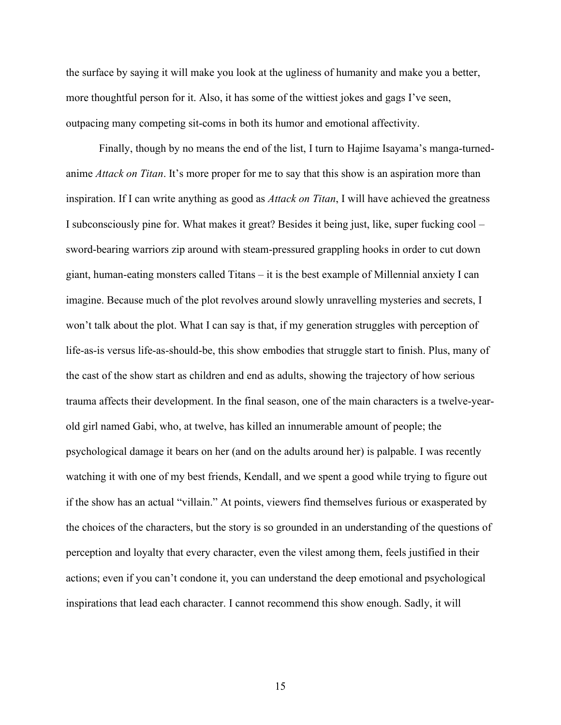the surface by saying it will make you look at the ugliness of humanity and make you a better, more thoughtful person for it. Also, it has some of the wittiest jokes and gags I've seen, outpacing many competing sit-coms in both its humor and emotional affectivity.

Finally, though by no means the end of the list, I turn to Hajime Isayama's manga-turnedanime *Attack on Titan*. It's more proper for me to say that this show is an aspiration more than inspiration. If I can write anything as good as *Attack on Titan*, I will have achieved the greatness I subconsciously pine for. What makes it great? Besides it being just, like, super fucking cool – sword-bearing warriors zip around with steam-pressured grappling hooks in order to cut down giant, human-eating monsters called Titans – it is the best example of Millennial anxiety I can imagine. Because much of the plot revolves around slowly unravelling mysteries and secrets, I won't talk about the plot. What I can say is that, if my generation struggles with perception of life-as-is versus life-as-should-be, this show embodies that struggle start to finish. Plus, many of the cast of the show start as children and end as adults, showing the trajectory of how serious trauma affects their development. In the final season, one of the main characters is a twelve-yearold girl named Gabi, who, at twelve, has killed an innumerable amount of people; the psychological damage it bears on her (and on the adults around her) is palpable. I was recently watching it with one of my best friends, Kendall, and we spent a good while trying to figure out if the show has an actual "villain." At points, viewers find themselves furious or exasperated by the choices of the characters, but the story is so grounded in an understanding of the questions of perception and loyalty that every character, even the vilest among them, feels justified in their actions; even if you can't condone it, you can understand the deep emotional and psychological inspirations that lead each character. I cannot recommend this show enough. Sadly, it will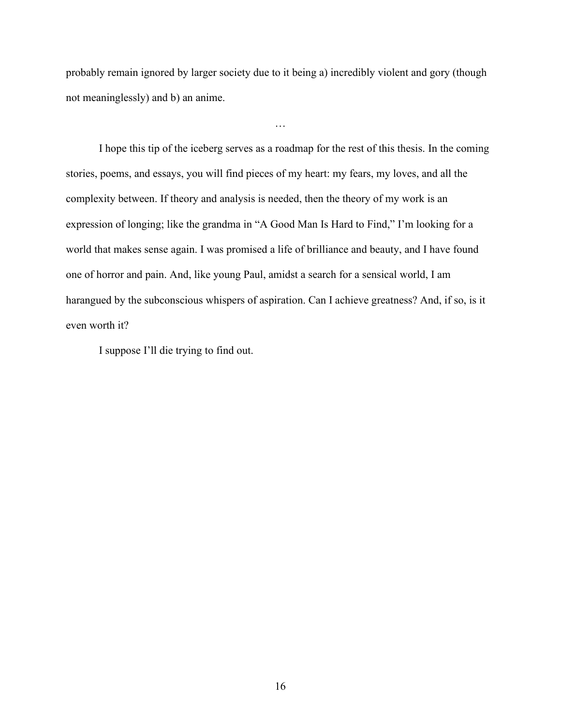probably remain ignored by larger society due to it being a) incredibly violent and gory (though not meaninglessly) and b) an anime.

…

I hope this tip of the iceberg serves as a roadmap for the rest of this thesis. In the coming stories, poems, and essays, you will find pieces of my heart: my fears, my loves, and all the complexity between. If theory and analysis is needed, then the theory of my work is an expression of longing; like the grandma in "A Good Man Is Hard to Find," I'm looking for a world that makes sense again. I was promised a life of brilliance and beauty, and I have found one of horror and pain. And, like young Paul, amidst a search for a sensical world, I am harangued by the subconscious whispers of aspiration. Can I achieve greatness? And, if so, is it even worth it?

I suppose I'll die trying to find out.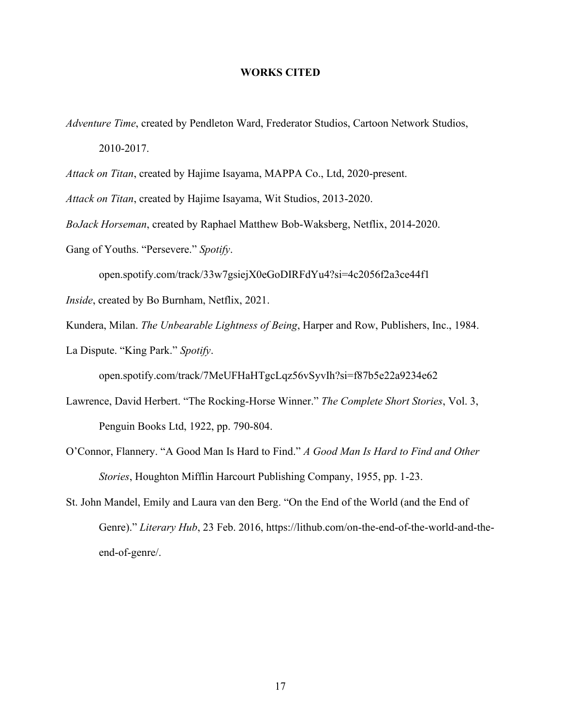#### **WORKS CITED**

<span id="page-23-0"></span>*Adventure Time*, created by Pendleton Ward, Frederator Studios, Cartoon Network Studios,

2010-2017.

*Attack on Titan*, created by Hajime Isayama, MAPPA Co., Ltd, 2020-present.

*Attack on Titan*, created by Hajime Isayama, Wit Studios, 2013-2020.

*BoJack Horseman*, created by Raphael Matthew Bob-Waksberg, Netflix, 2014-2020.

Gang of Youths. "Persevere." *Spotify*.

open.spotify.com/track/33w7gsiejX0eGoDIRFdYu4?si=4c2056f2a3ce44f1

*Inside*, created by Bo Burnham, Netflix, 2021.

Kundera, Milan. *The Unbearable Lightness of Being*, Harper and Row, Publishers, Inc., 1984.

La Dispute. "King Park." *Spotify*.

open.spotify.com/track/7MeUFHaHTgcLqz56vSyvIh?si=f87b5e22a9234e62

- Lawrence, David Herbert. "The Rocking-Horse Winner." *The Complete Short Stories*, Vol. 3, Penguin Books Ltd, 1922, pp. 790-804.
- O'Connor, Flannery. "A Good Man Is Hard to Find." *A Good Man Is Hard to Find and Other Stories*, Houghton Mifflin Harcourt Publishing Company, 1955, pp. 1-23.

St. John Mandel, Emily and Laura van den Berg. "On the End of the World (and the End of Genre)." *Literary Hub*, 23 Feb. 2016, https://lithub.com/on-the-end-of-the-world-and-theend-of-genre/.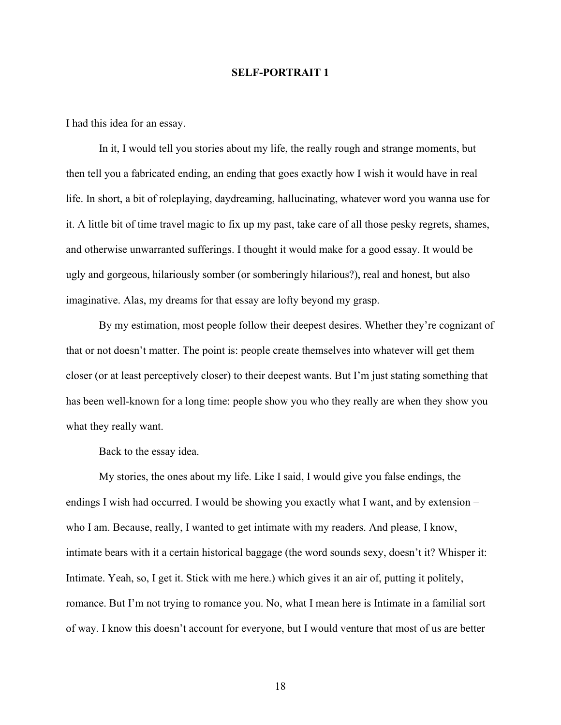#### **SELF-PORTRAIT 1**

<span id="page-24-0"></span>I had this idea for an essay.

In it, I would tell you stories about my life, the really rough and strange moments, but then tell you a fabricated ending, an ending that goes exactly how I wish it would have in real life. In short, a bit of roleplaying, daydreaming, hallucinating, whatever word you wanna use for it. A little bit of time travel magic to fix up my past, take care of all those pesky regrets, shames, and otherwise unwarranted sufferings. I thought it would make for a good essay. It would be ugly and gorgeous, hilariously somber (or somberingly hilarious?), real and honest, but also imaginative. Alas, my dreams for that essay are lofty beyond my grasp.

By my estimation, most people follow their deepest desires. Whether they're cognizant of that or not doesn't matter. The point is: people create themselves into whatever will get them closer (or at least perceptively closer) to their deepest wants. But I'm just stating something that has been well-known for a long time: people show you who they really are when they show you what they really want.

Back to the essay idea.

My stories, the ones about my life. Like I said, I would give you false endings, the endings I wish had occurred. I would be showing you exactly what I want, and by extension – who I am. Because, really, I wanted to get intimate with my readers. And please, I know, intimate bears with it a certain historical baggage (the word sounds sexy, doesn't it? Whisper it: Intimate. Yeah, so, I get it. Stick with me here.) which gives it an air of, putting it politely, romance. But I'm not trying to romance you. No, what I mean here is Intimate in a familial sort of way. I know this doesn't account for everyone, but I would venture that most of us are better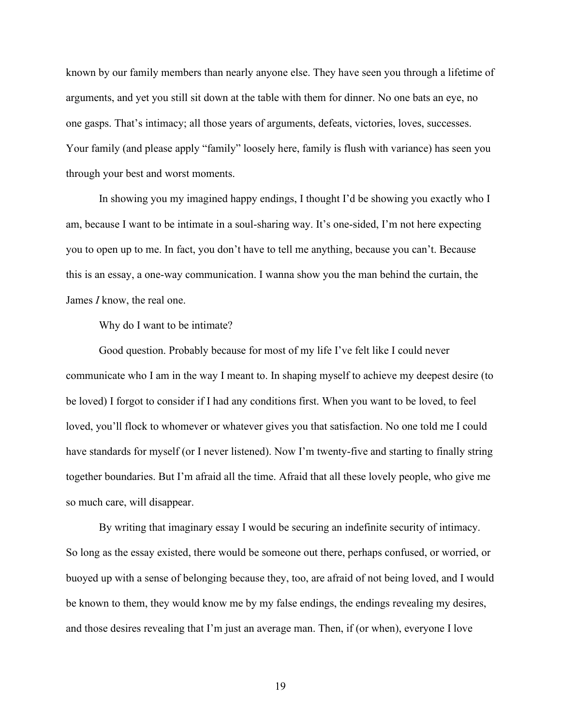known by our family members than nearly anyone else. They have seen you through a lifetime of arguments, and yet you still sit down at the table with them for dinner. No one bats an eye, no one gasps. That's intimacy; all those years of arguments, defeats, victories, loves, successes. Your family (and please apply "family" loosely here, family is flush with variance) has seen you through your best and worst moments.

In showing you my imagined happy endings, I thought I'd be showing you exactly who I am, because I want to be intimate in a soul-sharing way. It's one-sided, I'm not here expecting you to open up to me. In fact, you don't have to tell me anything, because you can't. Because this is an essay, a one-way communication. I wanna show you the man behind the curtain, the James *I* know, the real one.

Why do I want to be intimate?

Good question. Probably because for most of my life I've felt like I could never communicate who I am in the way I meant to. In shaping myself to achieve my deepest desire (to be loved) I forgot to consider if I had any conditions first. When you want to be loved, to feel loved, you'll flock to whomever or whatever gives you that satisfaction. No one told me I could have standards for myself (or I never listened). Now I'm twenty-five and starting to finally string together boundaries. But I'm afraid all the time. Afraid that all these lovely people, who give me so much care, will disappear.

By writing that imaginary essay I would be securing an indefinite security of intimacy. So long as the essay existed, there would be someone out there, perhaps confused, or worried, or buoyed up with a sense of belonging because they, too, are afraid of not being loved, and I would be known to them, they would know me by my false endings, the endings revealing my desires, and those desires revealing that I'm just an average man. Then, if (or when), everyone I love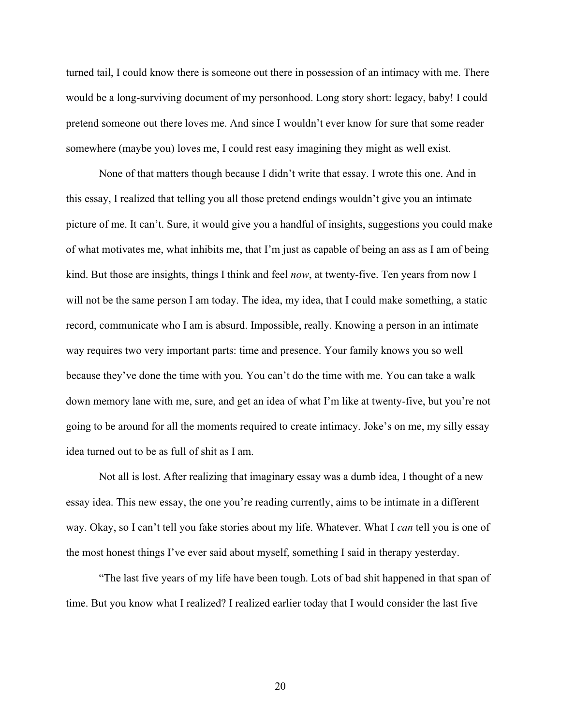turned tail, I could know there is someone out there in possession of an intimacy with me. There would be a long-surviving document of my personhood. Long story short: legacy, baby! I could pretend someone out there loves me. And since I wouldn't ever know for sure that some reader somewhere (maybe you) loves me, I could rest easy imagining they might as well exist.

None of that matters though because I didn't write that essay. I wrote this one. And in this essay, I realized that telling you all those pretend endings wouldn't give you an intimate picture of me. It can't. Sure, it would give you a handful of insights, suggestions you could make of what motivates me, what inhibits me, that I'm just as capable of being an ass as I am of being kind. But those are insights, things I think and feel *now*, at twenty-five. Ten years from now I will not be the same person I am today. The idea, my idea, that I could make something, a static record, communicate who I am is absurd. Impossible, really. Knowing a person in an intimate way requires two very important parts: time and presence. Your family knows you so well because they've done the time with you. You can't do the time with me. You can take a walk down memory lane with me, sure, and get an idea of what I'm like at twenty-five, but you're not going to be around for all the moments required to create intimacy. Joke's on me, my silly essay idea turned out to be as full of shit as I am.

Not all is lost. After realizing that imaginary essay was a dumb idea, I thought of a new essay idea. This new essay, the one you're reading currently, aims to be intimate in a different way. Okay, so I can't tell you fake stories about my life. Whatever. What I *can* tell you is one of the most honest things I've ever said about myself, something I said in therapy yesterday.

"The last five years of my life have been tough. Lots of bad shit happened in that span of time. But you know what I realized? I realized earlier today that I would consider the last five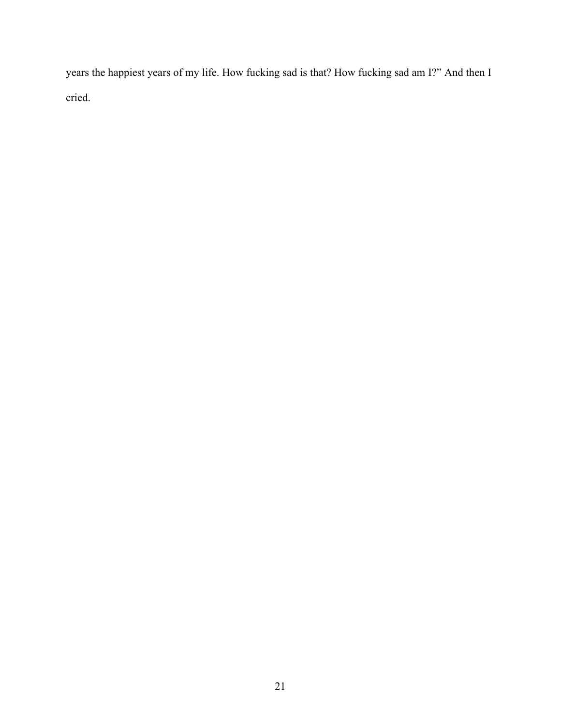years the happiest years of my life. How fucking sad is that? How fucking sad am I?" And then I cried.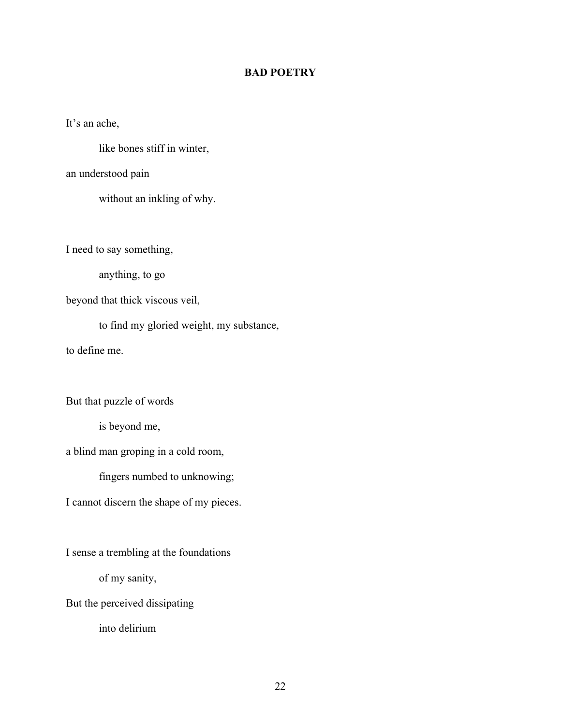## **BAD POETRY**

<span id="page-28-0"></span>It's an ache,

like bones stiff in winter,

an understood pain

without an inkling of why.

I need to say something,

anything, to go

beyond that thick viscous veil,

to find my gloried weight, my substance,

to define me.

But that puzzle of words

is beyond me,

a blind man groping in a cold room,

fingers numbed to unknowing;

I cannot discern the shape of my pieces.

I sense a trembling at the foundations

of my sanity,

But the perceived dissipating

into delirium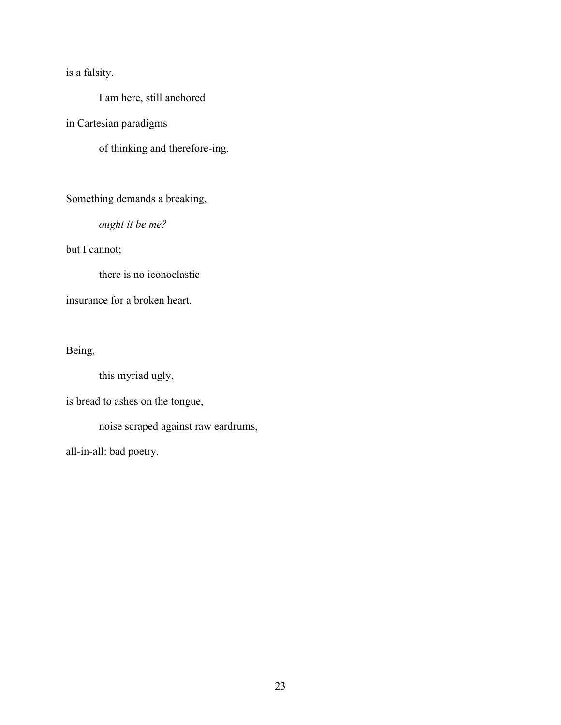is a falsity.

I am here, still anchored

in Cartesian paradigms

of thinking and therefore-ing.

Something demands a breaking,

*ought it be me?*

but I cannot;

there is no iconoclastic

insurance for a broken heart.

Being,

this myriad ugly,

is bread to ashes on the tongue,

noise scraped against raw eardrums,

all-in-all: bad poetry.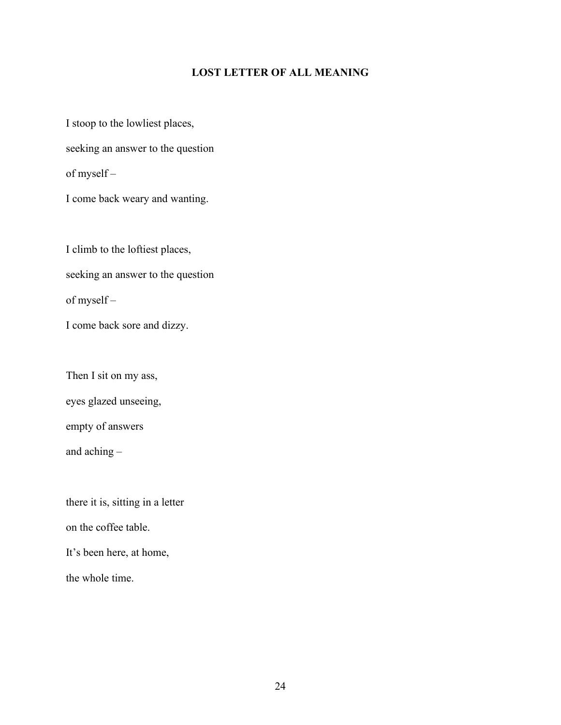## **LOST LETTER OF ALL MEANING**

<span id="page-30-0"></span>I stoop to the lowliest places, seeking an answer to the question of myself – I come back weary and wanting.

I climb to the loftiest places, seeking an answer to the question of myself – I come back sore and dizzy.

Then I sit on my ass,

eyes glazed unseeing,

empty of answers

and aching –

there it is, sitting in a letter on the coffee table.

It's been here, at home,

the whole time.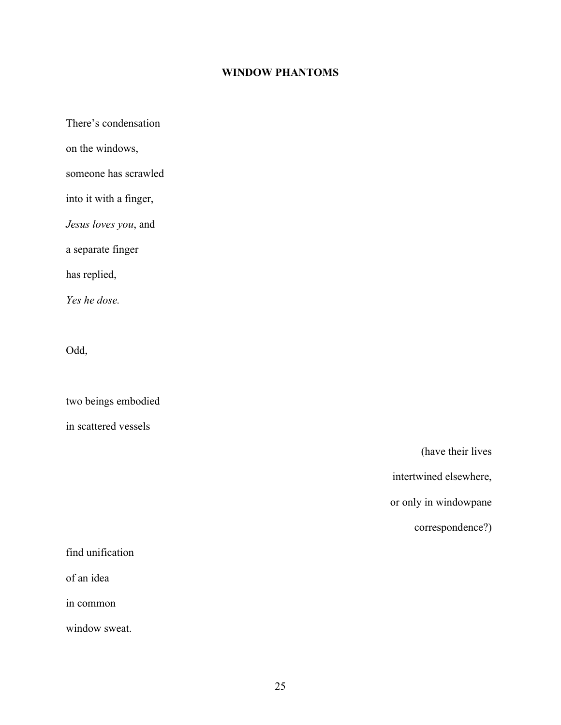## **WINDOW PHANTOMS**

<span id="page-31-0"></span>There's condensation

on the windows,

someone has scrawled

into it with a finger,

*Jesus loves you*, and

a separate finger 

has replied,

*Yes he dose.*

Odd,

two beings embodied 

in scattered vessels

(have their lives

intertwined elsewhere,

or only in windowpane

correspondence?)

#### find unification

of an idea

in common

window sweat.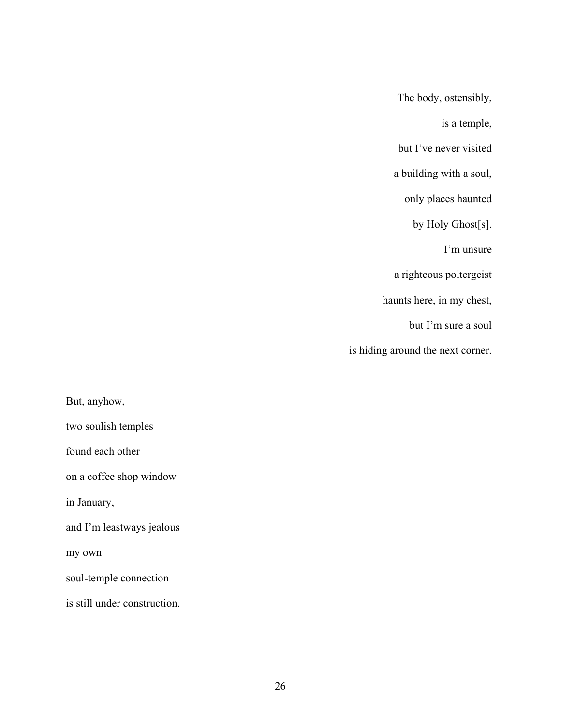The body, ostensibly,

is a temple,

but I've never visited

a building with a soul,

only places haunted

by Holy Ghost[s].

I'm unsure

a righteous poltergeist

haunts here, in my chest,

but I'm sure a soul

is hiding around the next corner.

But, anyhow,

two soulish temples

found each other 

on a coffee shop window

in January,

and I'm leastways jealous –

my own 

soul-temple connection

is still under construction.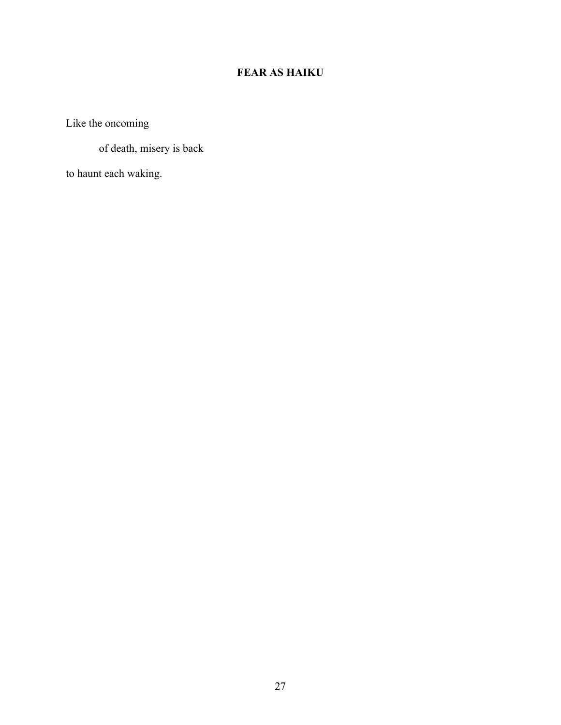## **FEAR AS HAIKU**

<span id="page-33-0"></span>Like the oncoming

of death, misery is back

to haunt each waking.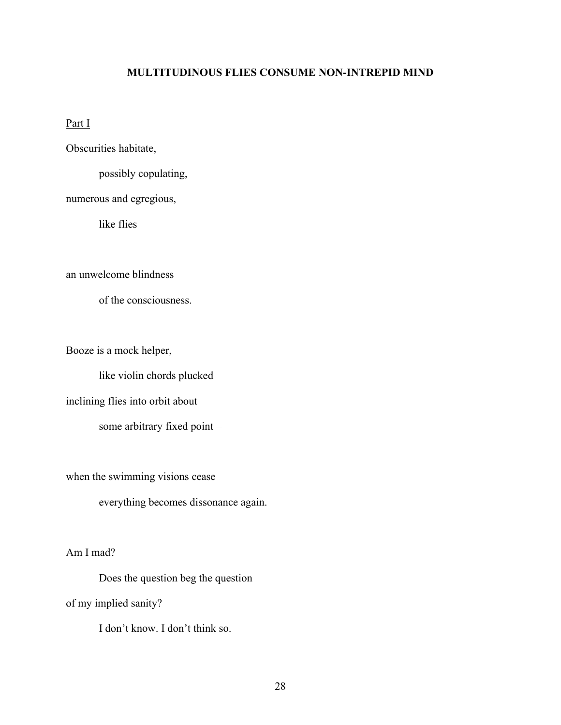## **MULTITUDINOUS FLIES CONSUME NON-INTREPID MIND**

<span id="page-34-0"></span>Part I

Obscurities habitate,

possibly copulating,

numerous and egregious,

like flies –

an unwelcome blindness

of the consciousness.

Booze is a mock helper,

like violin chords plucked

inclining flies into orbit about

some arbitrary fixed point –

when the swimming visions cease

everything becomes dissonance again.

Am I mad?

Does the question beg the question

of my implied sanity?

I don't know. I don't think so.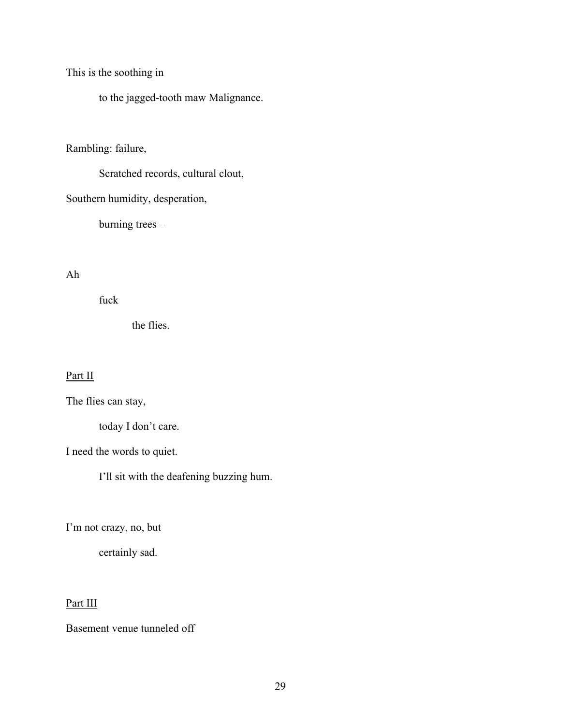This is the soothing in

to the jagged-tooth maw Malignance.

Rambling: failure,

Scratched records, cultural clout,

Southern humidity, desperation,

burning trees –

## Ah

fuck

the flies.

### Part II

The flies can stay,

today I don't care.

I need the words to quiet.

I'll sit with the deafening buzzing hum.

I'm not crazy, no, but

certainly sad.

### Part III

Basement venue tunneled off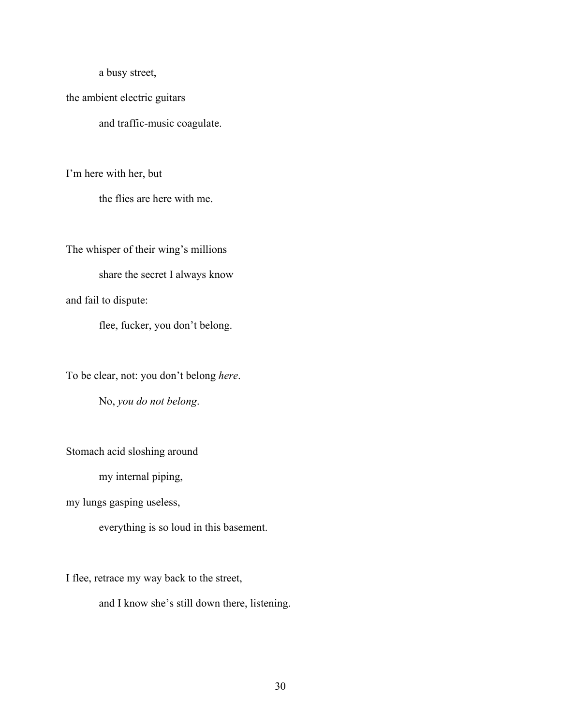a busy street,

the ambient electric guitars

and traffic-music coagulate.

I'm here with her, but

the flies are here with me.

The whisper of their wing's millions share the secret I always know and fail to dispute:

flee, fucker, you don't belong.

To be clear, not: you don't belong *here*.

No, *you do not belong*.

Stomach acid sloshing around

my internal piping,

my lungs gasping useless,

everything is so loud in this basement.

I flee, retrace my way back to the street,

and I know she's still down there, listening.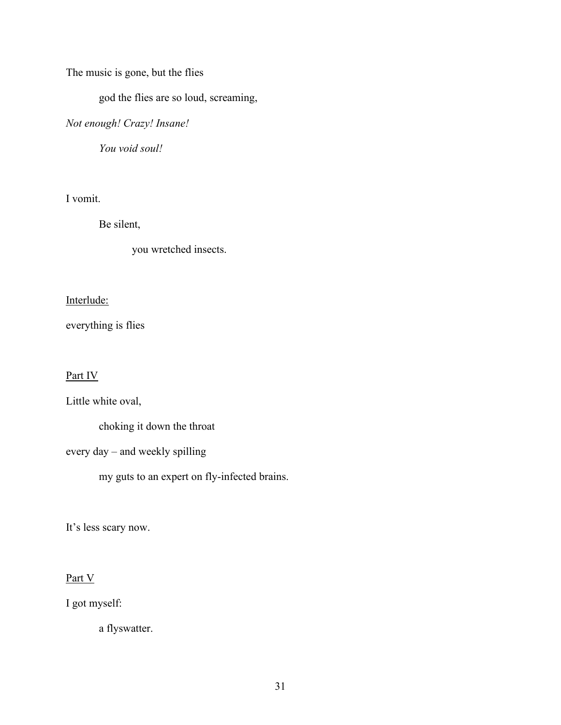## The music is gone, but the flies

god the flies are so loud, screaming,

*Not enough! Crazy! Insane!*

*You void soul!*

I vomit.

Be silent,

you wretched insects.

### Interlude:

everything is flies

### Part IV

Little white oval,

choking it down the throat

every day – and weekly spilling

my guts to an expert on fly-infected brains.

It's less scary now.

### Part V

I got myself:

a flyswatter.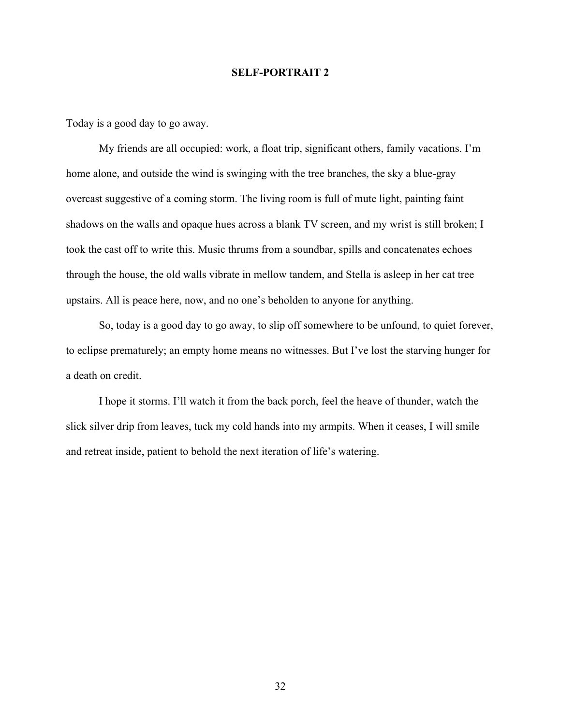### **SELF-PORTRAIT 2**

Today is a good day to go away.

My friends are all occupied: work, a float trip, significant others, family vacations. I'm home alone, and outside the wind is swinging with the tree branches, the sky a blue-gray overcast suggestive of a coming storm. The living room is full of mute light, painting faint shadows on the walls and opaque hues across a blank TV screen, and my wrist is still broken; I took the cast off to write this. Music thrums from a soundbar, spills and concatenates echoes through the house, the old walls vibrate in mellow tandem, and Stella is asleep in her cat tree upstairs. All is peace here, now, and no one's beholden to anyone for anything.

So, today is a good day to go away, to slip off somewhere to be unfound, to quiet forever, to eclipse prematurely; an empty home means no witnesses. But I've lost the starving hunger for a death on credit.

I hope it storms. I'll watch it from the back porch, feel the heave of thunder, watch the slick silver drip from leaves, tuck my cold hands into my armpits. When it ceases, I will smile and retreat inside, patient to behold the next iteration of life's watering.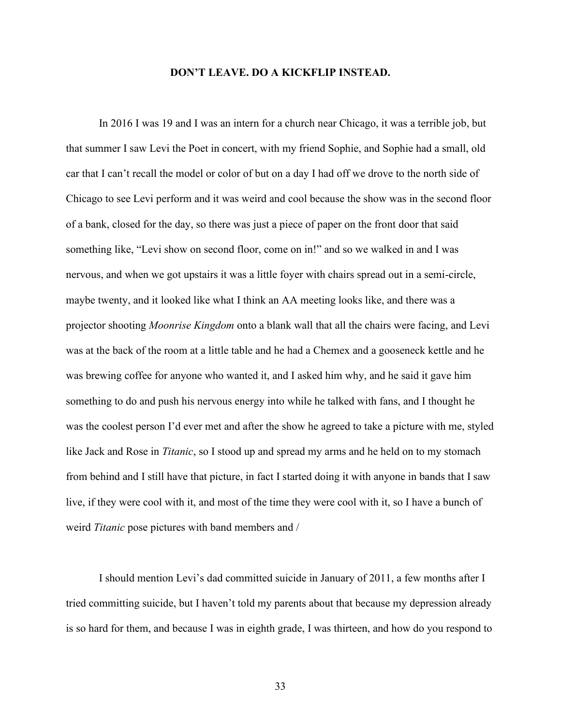### **DON'T LEAVE. DO A KICKFLIP INSTEAD.**

In 2016 I was 19 and I was an intern for a church near Chicago, it was a terrible job, but that summer I saw Levi the Poet in concert, with my friend Sophie, and Sophie had a small, old car that I can't recall the model or color of but on a day I had off we drove to the north side of Chicago to see Levi perform and it was weird and cool because the show was in the second floor of a bank, closed for the day, so there was just a piece of paper on the front door that said something like, "Levi show on second floor, come on in!" and so we walked in and I was nervous, and when we got upstairs it was a little foyer with chairs spread out in a semi-circle, maybe twenty, and it looked like what I think an AA meeting looks like, and there was a projector shooting *Moonrise Kingdom* onto a blank wall that all the chairs were facing, and Levi was at the back of the room at a little table and he had a Chemex and a gooseneck kettle and he was brewing coffee for anyone who wanted it, and I asked him why, and he said it gave him something to do and push his nervous energy into while he talked with fans, and I thought he was the coolest person I'd ever met and after the show he agreed to take a picture with me, styled like Jack and Rose in *Titanic*, so I stood up and spread my arms and he held on to my stomach from behind and I still have that picture, in fact I started doing it with anyone in bands that I saw live, if they were cool with it, and most of the time they were cool with it, so I have a bunch of weird *Titanic* pose pictures with band members and /

I should mention Levi's dad committed suicide in January of 2011, a few months after I tried committing suicide, but I haven't told my parents about that because my depression already is so hard for them, and because I was in eighth grade, I was thirteen, and how do you respond to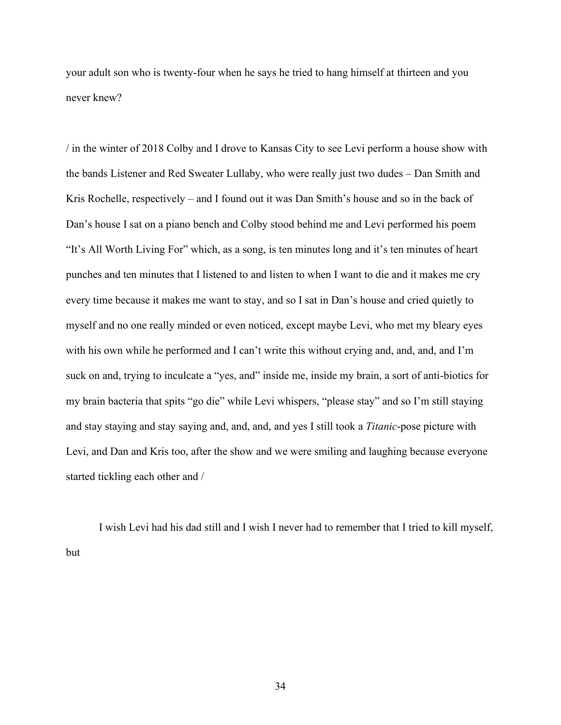your adult son who is twenty-four when he says he tried to hang himself at thirteen and you never knew?

/ in the winter of 2018 Colby and I drove to Kansas City to see Levi perform a house show with the bands Listener and Red Sweater Lullaby, who were really just two dudes – Dan Smith and Kris Rochelle, respectively – and I found out it was Dan Smith's house and so in the back of Dan's house I sat on a piano bench and Colby stood behind me and Levi performed his poem "It's All Worth Living For" which, as a song, is ten minutes long and it's ten minutes of heart punches and ten minutes that I listened to and listen to when I want to die and it makes me cry every time because it makes me want to stay, and so I sat in Dan's house and cried quietly to myself and no one really minded or even noticed, except maybe Levi, who met my bleary eyes with his own while he performed and I can't write this without crying and, and, and, and I'm suck on and, trying to inculcate a "yes, and" inside me, inside my brain, a sort of anti-biotics for my brain bacteria that spits "go die" while Levi whispers, "please stay" and so I'm still staying and stay staying and stay saying and, and, and, and yes I still took a *Titanic*-pose picture with Levi, and Dan and Kris too, after the show and we were smiling and laughing because everyone started tickling each other and /

I wish Levi had his dad still and I wish I never had to remember that I tried to kill myself, but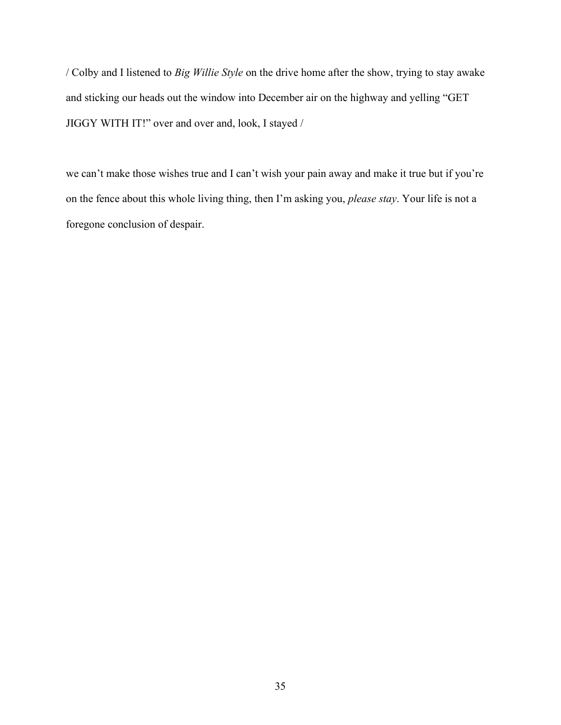/ Colby and I listened to *Big Willie Style* on the drive home after the show, trying to stay awake and sticking our heads out the window into December air on the highway and yelling "GET JIGGY WITH IT!" over and over and, look, I stayed /

we can't make those wishes true and I can't wish your pain away and make it true but if you're on the fence about this whole living thing, then I'm asking you, *please stay*. Your life is not a foregone conclusion of despair.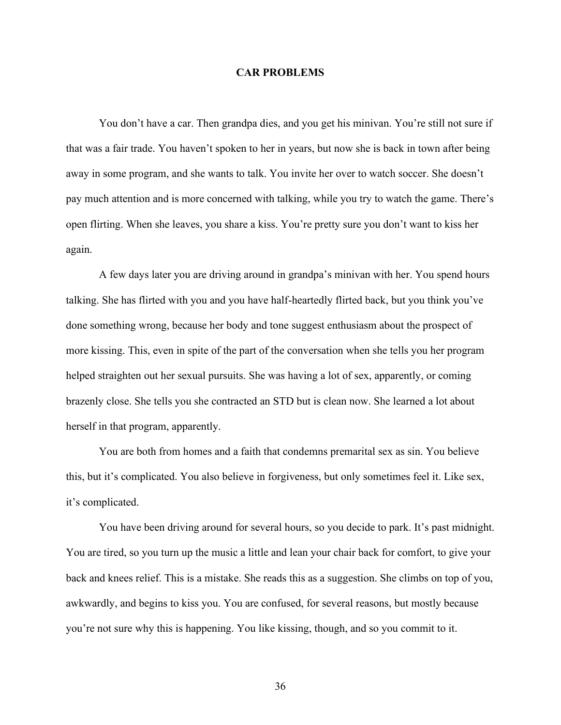### **CAR PROBLEMS**

You don't have a car. Then grandpa dies, and you get his minivan. You're still not sure if that was a fair trade. You haven't spoken to her in years, but now she is back in town after being away in some program, and she wants to talk. You invite her over to watch soccer. She doesn't pay much attention and is more concerned with talking, while you try to watch the game. There's open flirting. When she leaves, you share a kiss. You're pretty sure you don't want to kiss her again.

A few days later you are driving around in grandpa's minivan with her. You spend hours talking. She has flirted with you and you have half-heartedly flirted back, but you think you've done something wrong, because her body and tone suggest enthusiasm about the prospect of more kissing. This, even in spite of the part of the conversation when she tells you her program helped straighten out her sexual pursuits. She was having a lot of sex, apparently, or coming brazenly close. She tells you she contracted an STD but is clean now. She learned a lot about herself in that program, apparently.

You are both from homes and a faith that condemns premarital sex as sin. You believe this, but it's complicated. You also believe in forgiveness, but only sometimes feel it. Like sex, it's complicated.

You have been driving around for several hours, so you decide to park. It's past midnight. You are tired, so you turn up the music a little and lean your chair back for comfort, to give your back and knees relief. This is a mistake. She reads this as a suggestion. She climbs on top of you, awkwardly, and begins to kiss you. You are confused, for several reasons, but mostly because you're not sure why this is happening. You like kissing, though, and so you commit to it.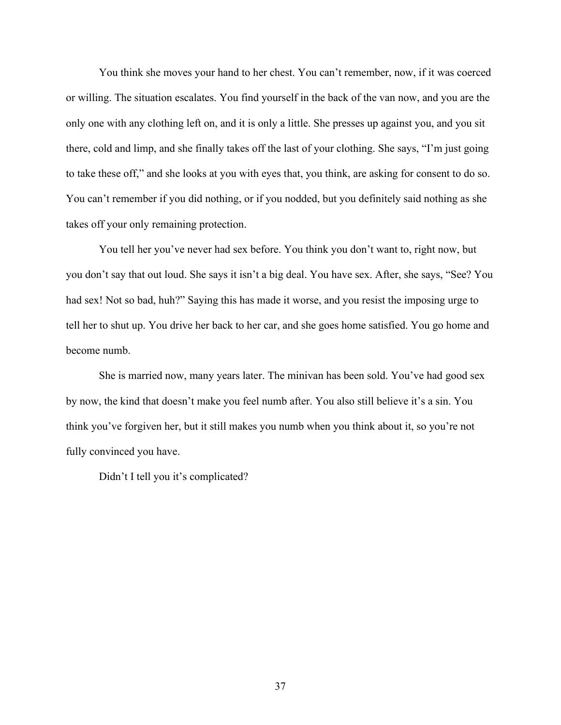You think she moves your hand to her chest. You can't remember, now, if it was coerced or willing. The situation escalates. You find yourself in the back of the van now, and you are the only one with any clothing left on, and it is only a little. She presses up against you, and you sit there, cold and limp, and she finally takes off the last of your clothing. She says, "I'm just going to take these off," and she looks at you with eyes that, you think, are asking for consent to do so. You can't remember if you did nothing, or if you nodded, but you definitely said nothing as she takes off your only remaining protection.

You tell her you've never had sex before. You think you don't want to, right now, but you don't say that out loud. She says it isn't a big deal. You have sex. After, she says, "See? You had sex! Not so bad, huh?" Saying this has made it worse, and you resist the imposing urge to tell her to shut up. You drive her back to her car, and she goes home satisfied. You go home and become numb.

She is married now, many years later. The minivan has been sold. You've had good sex by now, the kind that doesn't make you feel numb after. You also still believe it's a sin. You think you've forgiven her, but it still makes you numb when you think about it, so you're not fully convinced you have.

Didn't I tell you it's complicated?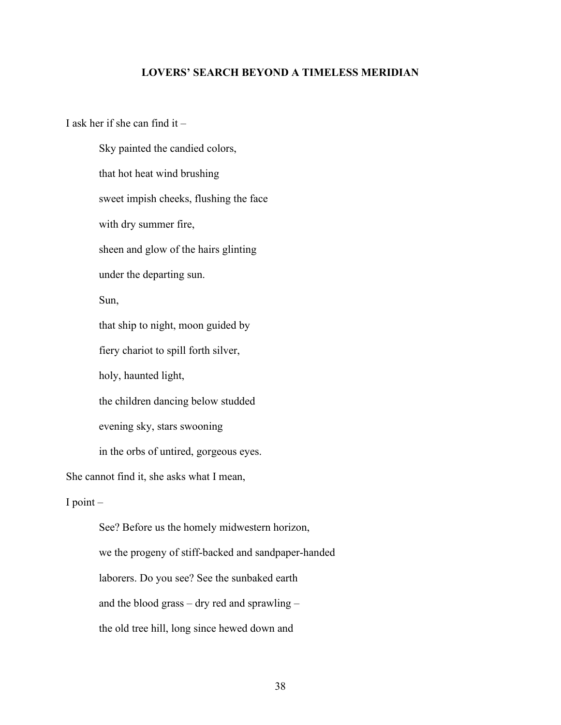### **LOVERS' SEARCH BEYOND A TIMELESS MERIDIAN**

I ask her if she can find it  $-$ 

Sky painted the candied colors, that hot heat wind brushing sweet impish cheeks, flushing the face with dry summer fire, sheen and glow of the hairs glinting under the departing sun. Sun, that ship to night, moon guided by fiery chariot to spill forth silver, holy, haunted light, the children dancing below studded evening sky, stars swooning in the orbs of untired, gorgeous eyes. She cannot find it, she asks what I mean, I point  $-$ See? Before us the homely midwestern horizon,

we the progeny of stiff-backed and sandpaper-handed laborers. Do you see? See the sunbaked earth and the blood grass – dry red and sprawling – the old tree hill, long since hewed down and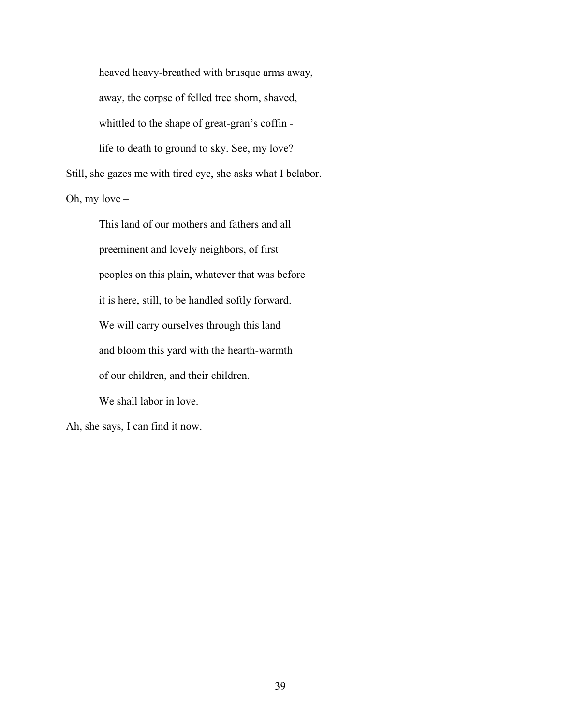heaved heavy-breathed with brusque arms away, away, the corpse of felled tree shorn, shaved, whittled to the shape of great-gran's coffin life to death to ground to sky. See, my love? Still, she gazes me with tired eye, she asks what I belabor. Oh, my love –

> This land of our mothers and fathers and all preeminent and lovely neighbors, of first peoples on this plain, whatever that was before it is here, still, to be handled softly forward. We will carry ourselves through this land and bloom this yard with the hearth-warmth of our children, and their children. We shall labor in love.

Ah, she says, I can find it now.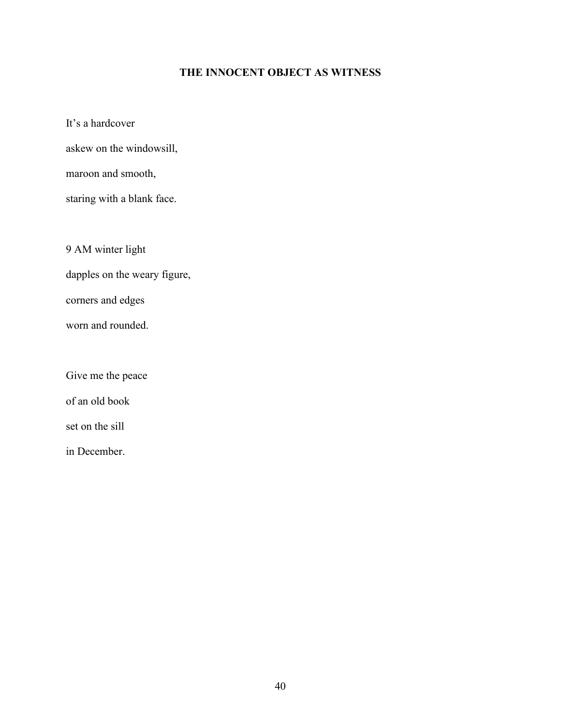# **THE INNOCENT OBJECT AS WITNESS**

It's a hardcover

askew on the windowsill,

maroon and smooth,

staring with a blank face.

9 AM winter light

dapples on the weary figure,

corners and edges

worn and rounded.

Give me the peace

of an old book

set on the sill

in December.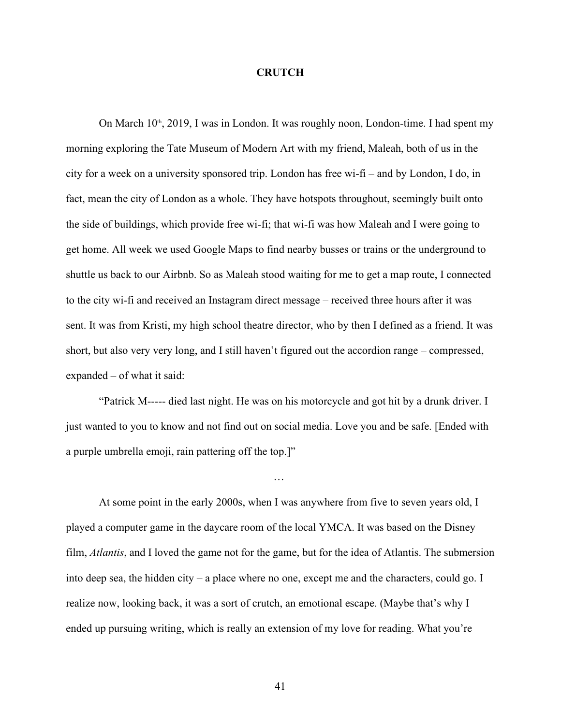### **CRUTCH**

On March  $10<sup>th</sup>$ , 2019, I was in London. It was roughly noon, London-time. I had spent my morning exploring the Tate Museum of Modern Art with my friend, Maleah, both of us in the city for a week on a university sponsored trip. London has free wi-fi – and by London, I do, in fact, mean the city of London as a whole. They have hotspots throughout, seemingly built onto the side of buildings, which provide free wi-fi; that wi-fi was how Maleah and I were going to get home. All week we used Google Maps to find nearby busses or trains or the underground to shuttle us back to our Airbnb. So as Maleah stood waiting for me to get a map route, I connected to the city wi-fi and received an Instagram direct message – received three hours after it was sent. It was from Kristi, my high school theatre director, who by then I defined as a friend. It was short, but also very very long, and I still haven't figured out the accordion range – compressed, expanded – of what it said:

"Patrick M----- died last night. He was on his motorcycle and got hit by a drunk driver. I just wanted to you to know and not find out on social media. Love you and be safe. [Ended with a purple umbrella emoji, rain pattering off the top.]"

…

At some point in the early 2000s, when I was anywhere from five to seven years old, I played a computer game in the daycare room of the local YMCA. It was based on the Disney film, *Atlantis*, and I loved the game not for the game, but for the idea of Atlantis. The submersion into deep sea, the hidden city – a place where no one, except me and the characters, could go. I realize now, looking back, it was a sort of crutch, an emotional escape. (Maybe that's why I ended up pursuing writing, which is really an extension of my love for reading. What you're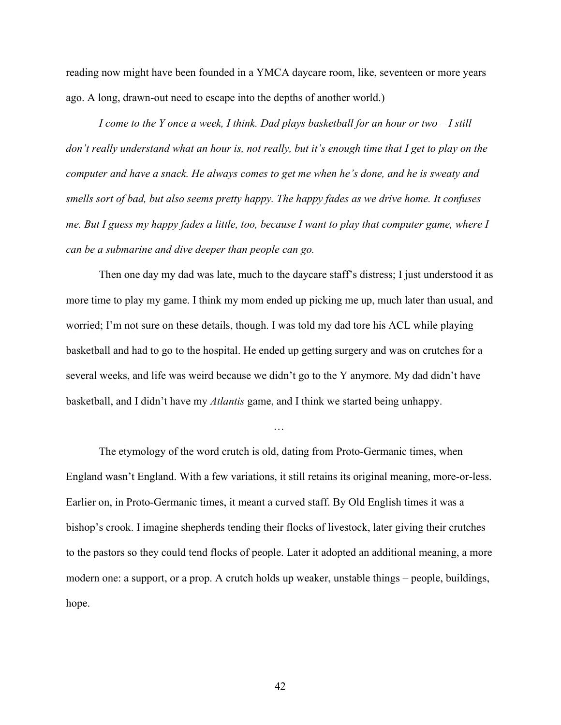reading now might have been founded in a YMCA daycare room, like, seventeen or more years ago. A long, drawn-out need to escape into the depths of another world.)

*I* come to the Y once a week, I think. Dad plays basketball for an hour or two – I still *don't really understand what an hour is, not really, but it's enough time that I get to play on the computer and have a snack. He always comes to get me when he's done, and he is sweaty and smells sort of bad, but also seems pretty happy. The happy fades as we drive home. It confuses me. But I guess my happy fades a little, too, because I want to play that computer game, where I can be a submarine and dive deeper than people can go.*

Then one day my dad was late, much to the daycare staff's distress; I just understood it as more time to play my game. I think my mom ended up picking me up, much later than usual, and worried; I'm not sure on these details, though. I was told my dad tore his ACL while playing basketball and had to go to the hospital. He ended up getting surgery and was on crutches for a several weeks, and life was weird because we didn't go to the Y anymore. My dad didn't have basketball, and I didn't have my *Atlantis* game, and I think we started being unhappy.

#### …

The etymology of the word crutch is old, dating from Proto-Germanic times, when England wasn't England. With a few variations, it still retains its original meaning, more-or-less. Earlier on, in Proto-Germanic times, it meant a curved staff. By Old English times it was a bishop's crook. I imagine shepherds tending their flocks of livestock, later giving their crutches to the pastors so they could tend flocks of people. Later it adopted an additional meaning, a more modern one: a support, or a prop. A crutch holds up weaker, unstable things – people, buildings, hope.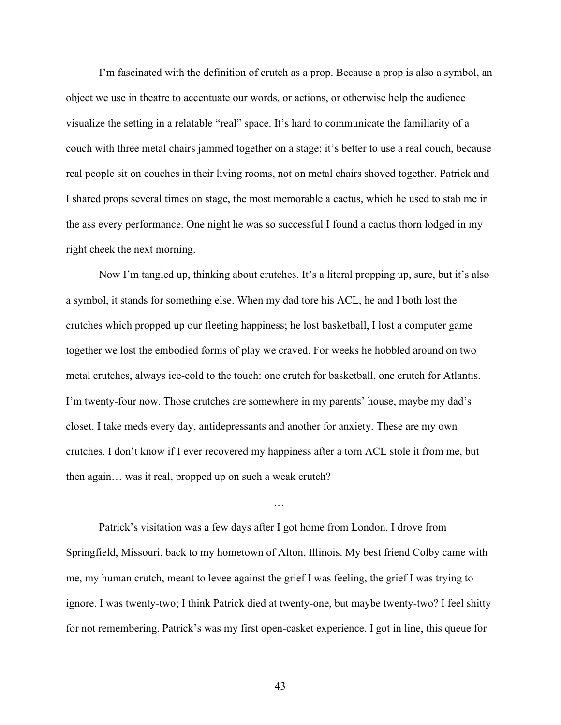I'm fascinated with the definition of crutch as a prop. Because a prop is also a symbol, an object we use in theatre to accentuate our words, or actions, or otherwise help the audience visualize the setting in a relatable "real" space. It's hard to communicate the familiarity of a couch with three metal chairs jammed together on a stage; it's better to use a real couch, because real people sit on couches in their living rooms, not on metal chairs shoved together. Patrick and I shared props several times on stage, the most memorable a cactus, which he used to stab me in the ass every performance. One night he was so successful I found a cactus thorn lodged in my right cheek the next morning.

Now I'm tangled up, thinking about crutches. It's a literal propping up, sure, but it's also a symbol, it stands for something else. When my dad tore his ACL, he and I both lost the crutches which propped up our fleeting happiness; he lost basketball, I lost a computer game – together we lost the embodied forms of play we craved. For weeks he hobbled around on two metal crutches, always ice-cold to the touch: one crutch for basketball, one crutch for Atlantis. I'm twenty-four now. Those crutches are somewhere in my parents' house, maybe my dad's closet. I take meds every day, antidepressants and another for anxiety. These are my own crutches. I don't know if I ever recovered my happiness after a torn ACL stole it from me, but then again… was it real, propped up on such a weak crutch?

Patrick's visitation was a few days after I got home from London. I drove from Springfield, Missouri, back to my hometown of Alton, Illinois. My best friend Colby came with me, my human crutch, meant to levee against the grief I was feeling, the grief I was trying to ignore. I was twenty-two; I think Patrick died at twenty-one, but maybe twenty-two? I feel shitty for not remembering. Patrick's was my first open-casket experience. I got in line, this queue for

…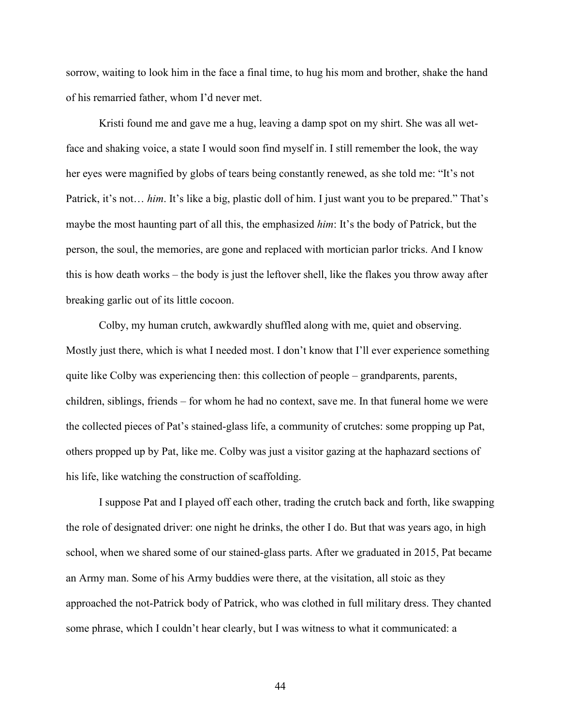sorrow, waiting to look him in the face a final time, to hug his mom and brother, shake the hand of his remarried father, whom I'd never met.

Kristi found me and gave me a hug, leaving a damp spot on my shirt. She was all wetface and shaking voice, a state I would soon find myself in. I still remember the look, the way her eyes were magnified by globs of tears being constantly renewed, as she told me: "It's not Patrick, it's not… *him*. It's like a big, plastic doll of him. I just want you to be prepared." That's maybe the most haunting part of all this, the emphasized *him*: It's the body of Patrick, but the person, the soul, the memories, are gone and replaced with mortician parlor tricks. And I know this is how death works – the body is just the leftover shell, like the flakes you throw away after breaking garlic out of its little cocoon.

Colby, my human crutch, awkwardly shuffled along with me, quiet and observing. Mostly just there, which is what I needed most. I don't know that I'll ever experience something quite like Colby was experiencing then: this collection of people – grandparents, parents, children, siblings, friends – for whom he had no context, save me. In that funeral home we were the collected pieces of Pat's stained-glass life, a community of crutches: some propping up Pat, others propped up by Pat, like me. Colby was just a visitor gazing at the haphazard sections of his life, like watching the construction of scaffolding.

I suppose Pat and I played off each other, trading the crutch back and forth, like swapping the role of designated driver: one night he drinks, the other I do. But that was years ago, in high school, when we shared some of our stained-glass parts. After we graduated in 2015, Pat became an Army man. Some of his Army buddies were there, at the visitation, all stoic as they approached the not-Patrick body of Patrick, who was clothed in full military dress. They chanted some phrase, which I couldn't hear clearly, but I was witness to what it communicated: a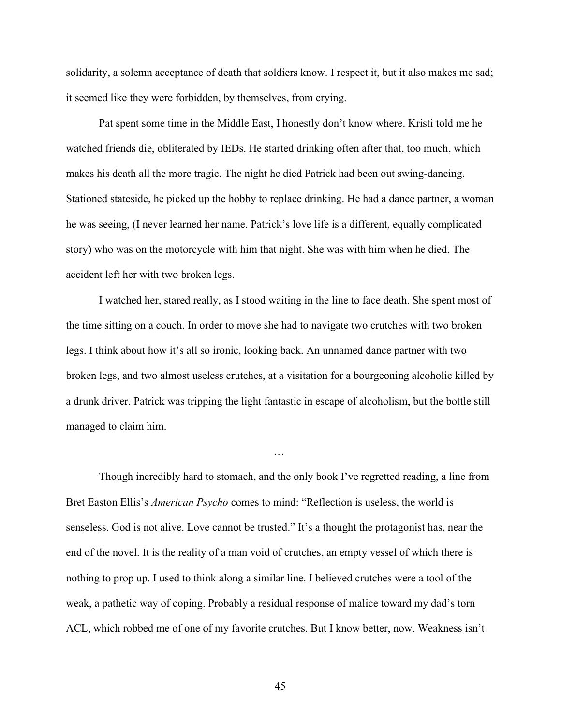solidarity, a solemn acceptance of death that soldiers know. I respect it, but it also makes me sad; it seemed like they were forbidden, by themselves, from crying.

Pat spent some time in the Middle East, I honestly don't know where. Kristi told me he watched friends die, obliterated by IEDs. He started drinking often after that, too much, which makes his death all the more tragic. The night he died Patrick had been out swing-dancing. Stationed stateside, he picked up the hobby to replace drinking. He had a dance partner, a woman he was seeing, (I never learned her name. Patrick's love life is a different, equally complicated story) who was on the motorcycle with him that night. She was with him when he died. The accident left her with two broken legs.

I watched her, stared really, as I stood waiting in the line to face death. She spent most of the time sitting on a couch. In order to move she had to navigate two crutches with two broken legs. I think about how it's all so ironic, looking back. An unnamed dance partner with two broken legs, and two almost useless crutches, at a visitation for a bourgeoning alcoholic killed by a drunk driver. Patrick was tripping the light fantastic in escape of alcoholism, but the bottle still managed to claim him.

…

Though incredibly hard to stomach, and the only book I've regretted reading, a line from Bret Easton Ellis's *American Psycho* comes to mind: "Reflection is useless, the world is senseless. God is not alive. Love cannot be trusted." It's a thought the protagonist has, near the end of the novel. It is the reality of a man void of crutches, an empty vessel of which there is nothing to prop up. I used to think along a similar line. I believed crutches were a tool of the weak, a pathetic way of coping. Probably a residual response of malice toward my dad's torn ACL, which robbed me of one of my favorite crutches. But I know better, now. Weakness isn't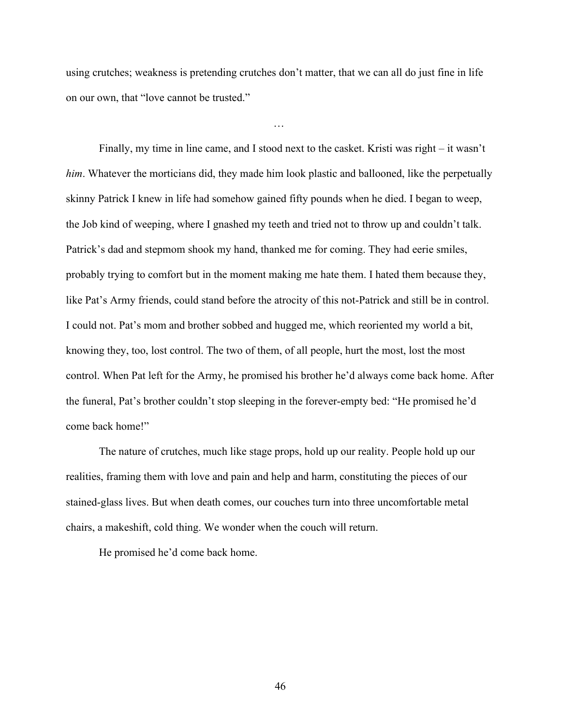using crutches; weakness is pretending crutches don't matter, that we can all do just fine in life on our own, that "love cannot be trusted."

…

Finally, my time in line came, and I stood next to the casket. Kristi was right – it wasn't *him*. Whatever the morticians did, they made him look plastic and ballooned, like the perpetually skinny Patrick I knew in life had somehow gained fifty pounds when he died. I began to weep, the Job kind of weeping, where I gnashed my teeth and tried not to throw up and couldn't talk. Patrick's dad and stepmom shook my hand, thanked me for coming. They had eerie smiles, probably trying to comfort but in the moment making me hate them. I hated them because they, like Pat's Army friends, could stand before the atrocity of this not-Patrick and still be in control. I could not. Pat's mom and brother sobbed and hugged me, which reoriented my world a bit, knowing they, too, lost control. The two of them, of all people, hurt the most, lost the most control. When Pat left for the Army, he promised his brother he'd always come back home. After the funeral, Pat's brother couldn't stop sleeping in the forever-empty bed: "He promised he'd come back home!"

The nature of crutches, much like stage props, hold up our reality. People hold up our realities, framing them with love and pain and help and harm, constituting the pieces of our stained-glass lives. But when death comes, our couches turn into three uncomfortable metal chairs, a makeshift, cold thing. We wonder when the couch will return.

He promised he'd come back home.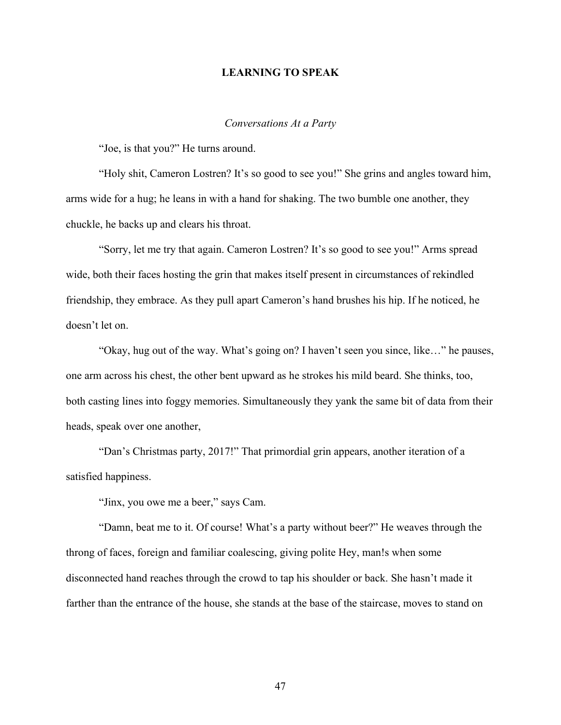### **LEARNING TO SPEAK**

### *Conversations At a Party*

"Joe, is that you?" He turns around.

"Holy shit, Cameron Lostren? It's so good to see you!" She grins and angles toward him, arms wide for a hug; he leans in with a hand for shaking. The two bumble one another, they chuckle, he backs up and clears his throat.

"Sorry, let me try that again. Cameron Lostren? It's so good to see you!" Arms spread wide, both their faces hosting the grin that makes itself present in circumstances of rekindled friendship, they embrace. As they pull apart Cameron's hand brushes his hip. If he noticed, he doesn't let on.

"Okay, hug out of the way. What's going on? I haven't seen you since, like…" he pauses, one arm across his chest, the other bent upward as he strokes his mild beard. She thinks, too, both casting lines into foggy memories. Simultaneously they yank the same bit of data from their heads, speak over one another,

"Dan's Christmas party, 2017!" That primordial grin appears, another iteration of a satisfied happiness.

"Jinx, you owe me a beer," says Cam.

"Damn, beat me to it. Of course! What's a party without beer?" He weaves through the throng of faces, foreign and familiar coalescing, giving polite Hey, man!s when some disconnected hand reaches through the crowd to tap his shoulder or back. She hasn't made it farther than the entrance of the house, she stands at the base of the staircase, moves to stand on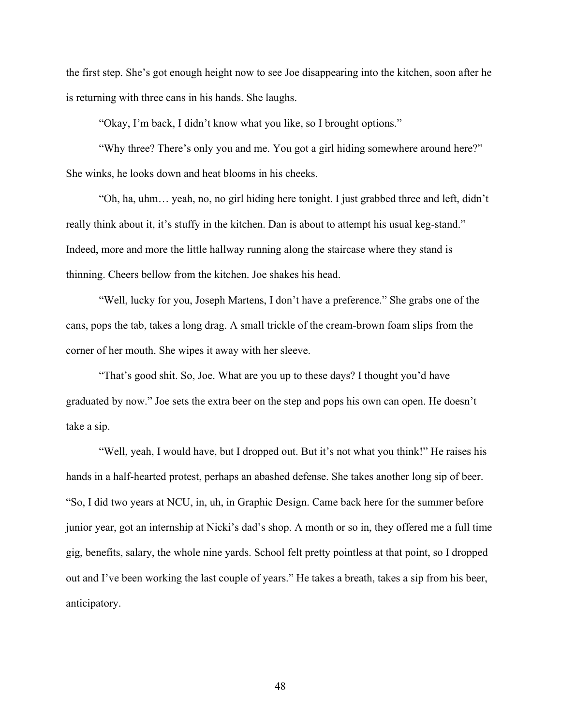the first step. She's got enough height now to see Joe disappearing into the kitchen, soon after he is returning with three cans in his hands. She laughs.

"Okay, I'm back, I didn't know what you like, so I brought options."

"Why three? There's only you and me. You got a girl hiding somewhere around here?" She winks, he looks down and heat blooms in his cheeks.

"Oh, ha, uhm… yeah, no, no girl hiding here tonight. I just grabbed three and left, didn't really think about it, it's stuffy in the kitchen. Dan is about to attempt his usual keg-stand." Indeed, more and more the little hallway running along the staircase where they stand is thinning. Cheers bellow from the kitchen. Joe shakes his head.

"Well, lucky for you, Joseph Martens, I don't have a preference." She grabs one of the cans, pops the tab, takes a long drag. A small trickle of the cream-brown foam slips from the corner of her mouth. She wipes it away with her sleeve.

"That's good shit. So, Joe. What are you up to these days? I thought you'd have graduated by now." Joe sets the extra beer on the step and pops his own can open. He doesn't take a sip.

"Well, yeah, I would have, but I dropped out. But it's not what you think!" He raises his hands in a half-hearted protest, perhaps an abashed defense. She takes another long sip of beer. "So, I did two years at NCU, in, uh, in Graphic Design. Came back here for the summer before junior year, got an internship at Nicki's dad's shop. A month or so in, they offered me a full time gig, benefits, salary, the whole nine yards. School felt pretty pointless at that point, so I dropped out and I've been working the last couple of years." He takes a breath, takes a sip from his beer, anticipatory.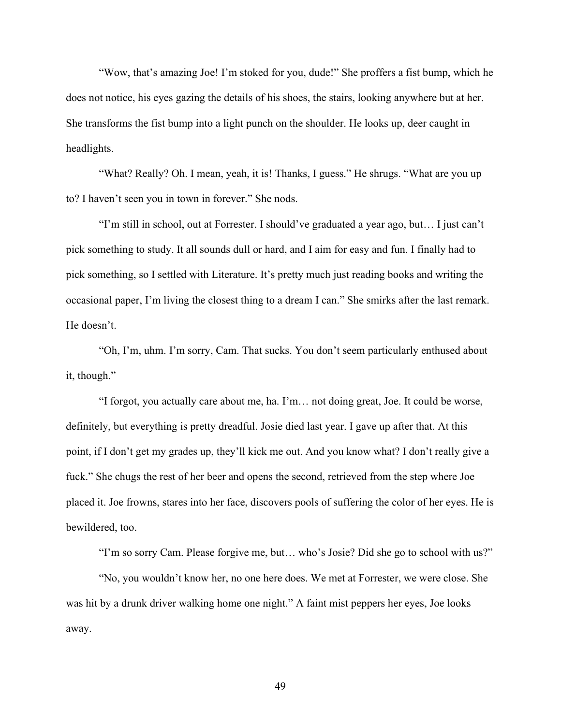"Wow, that's amazing Joe! I'm stoked for you, dude!" She proffers a fist bump, which he does not notice, his eyes gazing the details of his shoes, the stairs, looking anywhere but at her. She transforms the fist bump into a light punch on the shoulder. He looks up, deer caught in headlights.

"What? Really? Oh. I mean, yeah, it is! Thanks, I guess." He shrugs. "What are you up to? I haven't seen you in town in forever." She nods.

"I'm still in school, out at Forrester. I should've graduated a year ago, but… I just can't pick something to study. It all sounds dull or hard, and I aim for easy and fun. I finally had to pick something, so I settled with Literature. It's pretty much just reading books and writing the occasional paper, I'm living the closest thing to a dream I can." She smirks after the last remark. He doesn't.

"Oh, I'm, uhm. I'm sorry, Cam. That sucks. You don't seem particularly enthused about it, though."

"I forgot, you actually care about me, ha. I'm… not doing great, Joe. It could be worse, definitely, but everything is pretty dreadful. Josie died last year. I gave up after that. At this point, if I don't get my grades up, they'll kick me out. And you know what? I don't really give a fuck." She chugs the rest of her beer and opens the second, retrieved from the step where Joe placed it. Joe frowns, stares into her face, discovers pools of suffering the color of her eyes. He is bewildered, too.

"I'm so sorry Cam. Please forgive me, but… who's Josie? Did she go to school with us?" "No, you wouldn't know her, no one here does. We met at Forrester, we were close. She was hit by a drunk driver walking home one night." A faint mist peppers her eyes, Joe looks away.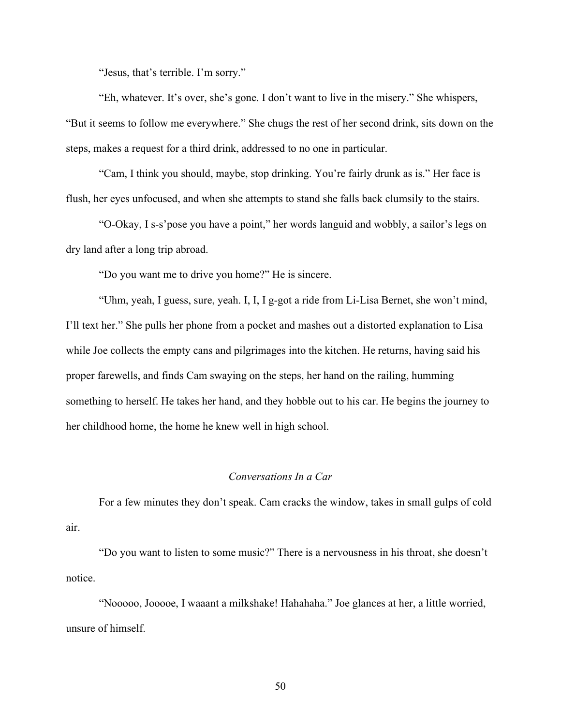"Jesus, that's terrible. I'm sorry."

"Eh, whatever. It's over, she's gone. I don't want to live in the misery." She whispers, "But it seems to follow me everywhere." She chugs the rest of her second drink, sits down on the steps, makes a request for a third drink, addressed to no one in particular.

"Cam, I think you should, maybe, stop drinking. You're fairly drunk as is." Her face is flush, her eyes unfocused, and when she attempts to stand she falls back clumsily to the stairs.

"O-Okay, I s-s'pose you have a point," her words languid and wobbly, a sailor's legs on dry land after a long trip abroad.

"Do you want me to drive you home?" He is sincere.

"Uhm, yeah, I guess, sure, yeah. I, I, I g-got a ride from Li-Lisa Bernet, she won't mind, I'll text her." She pulls her phone from a pocket and mashes out a distorted explanation to Lisa while Joe collects the empty cans and pilgrimages into the kitchen. He returns, having said his proper farewells, and finds Cam swaying on the steps, her hand on the railing, humming something to herself. He takes her hand, and they hobble out to his car. He begins the journey to her childhood home, the home he knew well in high school.

### *Conversations In a Car*

For a few minutes they don't speak. Cam cracks the window, takes in small gulps of cold air.

"Do you want to listen to some music?" There is a nervousness in his throat, she doesn't notice.

"Nooooo, Jooooe, I waaant a milkshake! Hahahaha." Joe glances at her, a little worried, unsure of himself.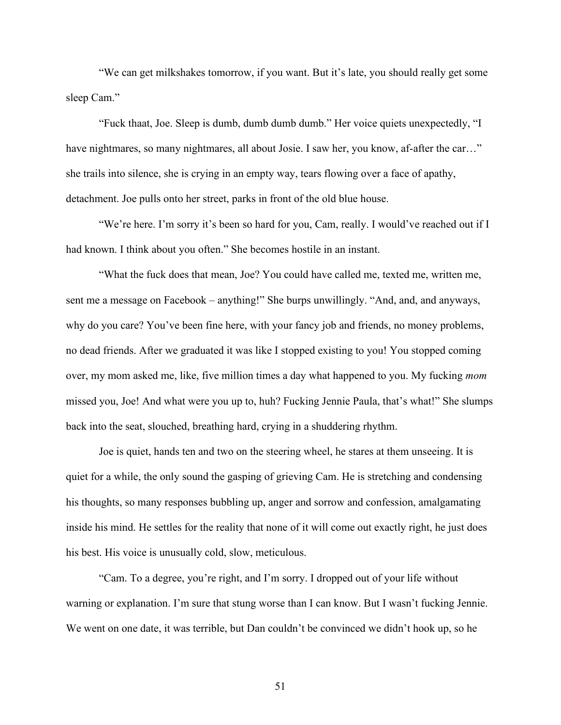"We can get milkshakes tomorrow, if you want. But it's late, you should really get some sleep Cam."

"Fuck thaat, Joe. Sleep is dumb, dumb dumb dumb." Her voice quiets unexpectedly, "I have nightmares, so many nightmares, all about Josie. I saw her, you know, af-after the car..." she trails into silence, she is crying in an empty way, tears flowing over a face of apathy, detachment. Joe pulls onto her street, parks in front of the old blue house.

"We're here. I'm sorry it's been so hard for you, Cam, really. I would've reached out if I had known. I think about you often." She becomes hostile in an instant.

"What the fuck does that mean, Joe? You could have called me, texted me, written me, sent me a message on Facebook – anything!" She burps unwillingly. "And, and, and anyways, why do you care? You've been fine here, with your fancy job and friends, no money problems, no dead friends. After we graduated it was like I stopped existing to you! You stopped coming over, my mom asked me, like, five million times a day what happened to you. My fucking *mom* missed you, Joe! And what were you up to, huh? Fucking Jennie Paula, that's what!" She slumps back into the seat, slouched, breathing hard, crying in a shuddering rhythm.

Joe is quiet, hands ten and two on the steering wheel, he stares at them unseeing. It is quiet for a while, the only sound the gasping of grieving Cam. He is stretching and condensing his thoughts, so many responses bubbling up, anger and sorrow and confession, amalgamating inside his mind. He settles for the reality that none of it will come out exactly right, he just does his best. His voice is unusually cold, slow, meticulous.

"Cam. To a degree, you're right, and I'm sorry. I dropped out of your life without warning or explanation. I'm sure that stung worse than I can know. But I wasn't fucking Jennie. We went on one date, it was terrible, but Dan couldn't be convinced we didn't hook up, so he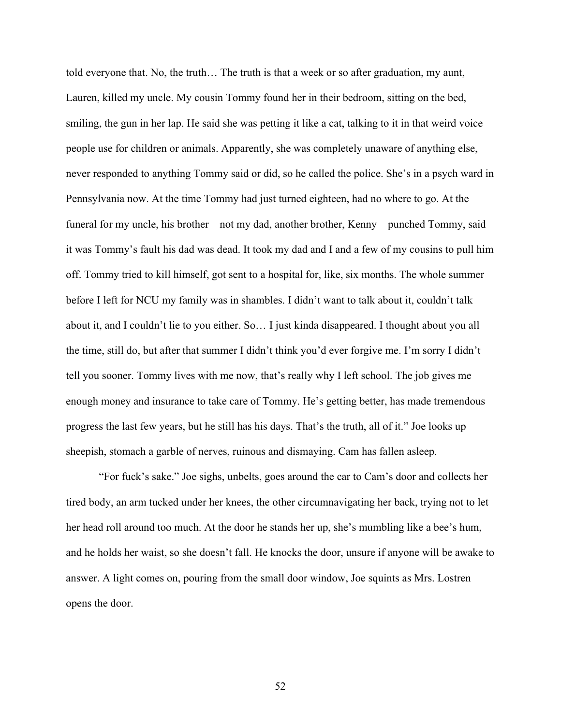told everyone that. No, the truth… The truth is that a week or so after graduation, my aunt, Lauren, killed my uncle. My cousin Tommy found her in their bedroom, sitting on the bed, smiling, the gun in her lap. He said she was petting it like a cat, talking to it in that weird voice people use for children or animals. Apparently, she was completely unaware of anything else, never responded to anything Tommy said or did, so he called the police. She's in a psych ward in Pennsylvania now. At the time Tommy had just turned eighteen, had no where to go. At the funeral for my uncle, his brother – not my dad, another brother, Kenny – punched Tommy, said it was Tommy's fault his dad was dead. It took my dad and I and a few of my cousins to pull him off. Tommy tried to kill himself, got sent to a hospital for, like, six months. The whole summer before I left for NCU my family was in shambles. I didn't want to talk about it, couldn't talk about it, and I couldn't lie to you either. So… I just kinda disappeared. I thought about you all the time, still do, but after that summer I didn't think you'd ever forgive me. I'm sorry I didn't tell you sooner. Tommy lives with me now, that's really why I left school. The job gives me enough money and insurance to take care of Tommy. He's getting better, has made tremendous progress the last few years, but he still has his days. That's the truth, all of it." Joe looks up sheepish, stomach a garble of nerves, ruinous and dismaying. Cam has fallen asleep.

"For fuck's sake." Joe sighs, unbelts, goes around the car to Cam's door and collects her tired body, an arm tucked under her knees, the other circumnavigating her back, trying not to let her head roll around too much. At the door he stands her up, she's mumbling like a bee's hum, and he holds her waist, so she doesn't fall. He knocks the door, unsure if anyone will be awake to answer. A light comes on, pouring from the small door window, Joe squints as Mrs. Lostren opens the door.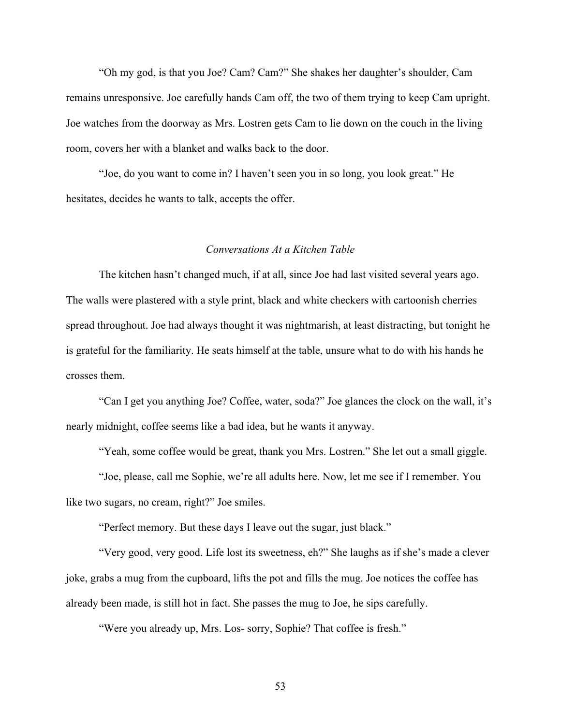"Oh my god, is that you Joe? Cam? Cam?" She shakes her daughter's shoulder, Cam remains unresponsive. Joe carefully hands Cam off, the two of them trying to keep Cam upright. Joe watches from the doorway as Mrs. Lostren gets Cam to lie down on the couch in the living room, covers her with a blanket and walks back to the door.

"Joe, do you want to come in? I haven't seen you in so long, you look great." He hesitates, decides he wants to talk, accepts the offer.

### *Conversations At a Kitchen Table*

The kitchen hasn't changed much, if at all, since Joe had last visited several years ago. The walls were plastered with a style print, black and white checkers with cartoonish cherries spread throughout. Joe had always thought it was nightmarish, at least distracting, but tonight he is grateful for the familiarity. He seats himself at the table, unsure what to do with his hands he crosses them.

"Can I get you anything Joe? Coffee, water, soda?" Joe glances the clock on the wall, it's nearly midnight, coffee seems like a bad idea, but he wants it anyway.

"Yeah, some coffee would be great, thank you Mrs. Lostren." She let out a small giggle.

"Joe, please, call me Sophie, we're all adults here. Now, let me see if I remember. You like two sugars, no cream, right?" Joe smiles.

"Perfect memory. But these days I leave out the sugar, just black."

"Very good, very good. Life lost its sweetness, eh?" She laughs as if she's made a clever joke, grabs a mug from the cupboard, lifts the pot and fills the mug. Joe notices the coffee has already been made, is still hot in fact. She passes the mug to Joe, he sips carefully.

"Were you already up, Mrs. Los- sorry, Sophie? That coffee is fresh."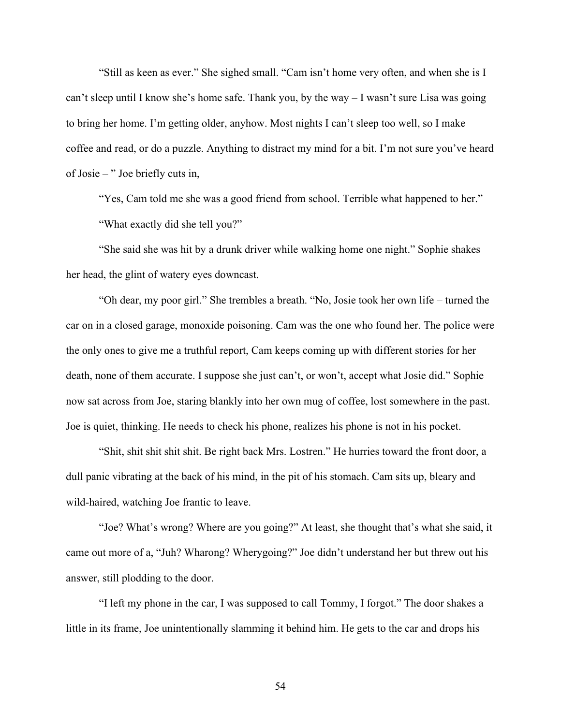"Still as keen as ever." She sighed small. "Cam isn't home very often, and when she is I can't sleep until I know she's home safe. Thank you, by the way – I wasn't sure Lisa was going to bring her home. I'm getting older, anyhow. Most nights I can't sleep too well, so I make coffee and read, or do a puzzle. Anything to distract my mind for a bit. I'm not sure you've heard of Josie – " Joe briefly cuts in,

"Yes, Cam told me she was a good friend from school. Terrible what happened to her." "What exactly did she tell you?"

"She said she was hit by a drunk driver while walking home one night." Sophie shakes her head, the glint of watery eyes downcast.

"Oh dear, my poor girl." She trembles a breath. "No, Josie took her own life – turned the car on in a closed garage, monoxide poisoning. Cam was the one who found her. The police were the only ones to give me a truthful report, Cam keeps coming up with different stories for her death, none of them accurate. I suppose she just can't, or won't, accept what Josie did." Sophie now sat across from Joe, staring blankly into her own mug of coffee, lost somewhere in the past. Joe is quiet, thinking. He needs to check his phone, realizes his phone is not in his pocket.

"Shit, shit shit shit shit. Be right back Mrs. Lostren." He hurries toward the front door, a dull panic vibrating at the back of his mind, in the pit of his stomach. Cam sits up, bleary and wild-haired, watching Joe frantic to leave.

"Joe? What's wrong? Where are you going?" At least, she thought that's what she said, it came out more of a, "Juh? Wharong? Wherygoing?" Joe didn't understand her but threw out his answer, still plodding to the door.

"I left my phone in the car, I was supposed to call Tommy, I forgot." The door shakes a little in its frame, Joe unintentionally slamming it behind him. He gets to the car and drops his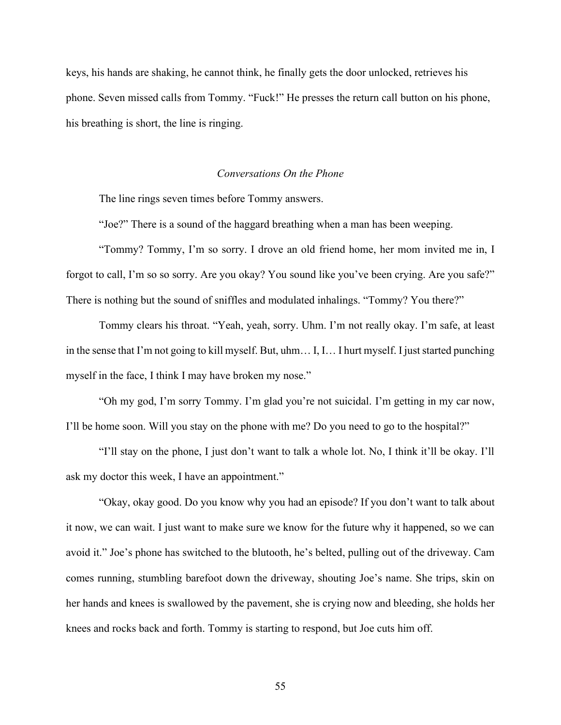keys, his hands are shaking, he cannot think, he finally gets the door unlocked, retrieves his phone. Seven missed calls from Tommy. "Fuck!" He presses the return call button on his phone, his breathing is short, the line is ringing.

### *Conversations On the Phone*

The line rings seven times before Tommy answers.

"Joe?" There is a sound of the haggard breathing when a man has been weeping.

"Tommy? Tommy, I'm so sorry. I drove an old friend home, her mom invited me in, I forgot to call, I'm so so sorry. Are you okay? You sound like you've been crying. Are you safe?" There is nothing but the sound of sniffles and modulated inhalings. "Tommy? You there?"

Tommy clears his throat. "Yeah, yeah, sorry. Uhm. I'm not really okay. I'm safe, at least in the sense that I'm not going to kill myself. But, uhm… I, I… I hurt myself. I just started punching myself in the face, I think I may have broken my nose."

"Oh my god, I'm sorry Tommy. I'm glad you're not suicidal. I'm getting in my car now, I'll be home soon. Will you stay on the phone with me? Do you need to go to the hospital?"

"I'll stay on the phone, I just don't want to talk a whole lot. No, I think it'll be okay. I'll ask my doctor this week, I have an appointment."

"Okay, okay good. Do you know why you had an episode? If you don't want to talk about it now, we can wait. I just want to make sure we know for the future why it happened, so we can avoid it." Joe's phone has switched to the blutooth, he's belted, pulling out of the driveway. Cam comes running, stumbling barefoot down the driveway, shouting Joe's name. She trips, skin on her hands and knees is swallowed by the pavement, she is crying now and bleeding, she holds her knees and rocks back and forth. Tommy is starting to respond, but Joe cuts him off.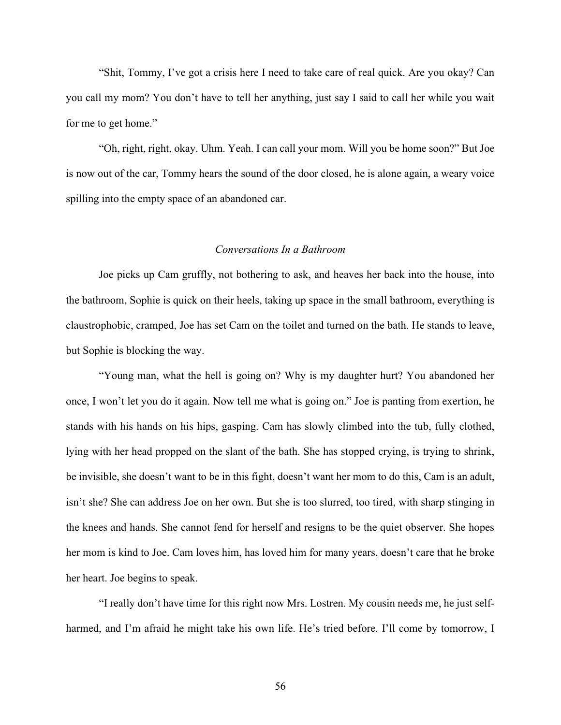"Shit, Tommy, I've got a crisis here I need to take care of real quick. Are you okay? Can you call my mom? You don't have to tell her anything, just say I said to call her while you wait for me to get home."

"Oh, right, right, okay. Uhm. Yeah. I can call your mom. Will you be home soon?" But Joe is now out of the car, Tommy hears the sound of the door closed, he is alone again, a weary voice spilling into the empty space of an abandoned car.

### *Conversations In a Bathroom*

Joe picks up Cam gruffly, not bothering to ask, and heaves her back into the house, into the bathroom, Sophie is quick on their heels, taking up space in the small bathroom, everything is claustrophobic, cramped, Joe has set Cam on the toilet and turned on the bath. He stands to leave, but Sophie is blocking the way.

"Young man, what the hell is going on? Why is my daughter hurt? You abandoned her once, I won't let you do it again. Now tell me what is going on." Joe is panting from exertion, he stands with his hands on his hips, gasping. Cam has slowly climbed into the tub, fully clothed, lying with her head propped on the slant of the bath. She has stopped crying, is trying to shrink, be invisible, she doesn't want to be in this fight, doesn't want her mom to do this, Cam is an adult, isn't she? She can address Joe on her own. But she is too slurred, too tired, with sharp stinging in the knees and hands. She cannot fend for herself and resigns to be the quiet observer. She hopes her mom is kind to Joe. Cam loves him, has loved him for many years, doesn't care that he broke her heart. Joe begins to speak.

"I really don't have time for this right now Mrs. Lostren. My cousin needs me, he just selfharmed, and I'm afraid he might take his own life. He's tried before. I'll come by tomorrow, I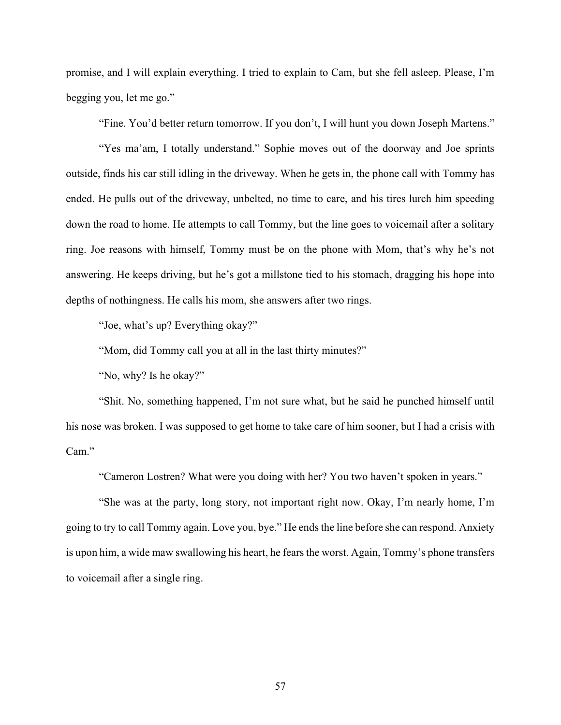promise, and I will explain everything. I tried to explain to Cam, but she fell asleep. Please, I'm begging you, let me go."

"Fine. You'd better return tomorrow. If you don't, I will hunt you down Joseph Martens."

"Yes ma'am, I totally understand." Sophie moves out of the doorway and Joe sprints outside, finds his car still idling in the driveway. When he gets in, the phone call with Tommy has ended. He pulls out of the driveway, unbelted, no time to care, and his tires lurch him speeding down the road to home. He attempts to call Tommy, but the line goes to voicemail after a solitary ring. Joe reasons with himself, Tommy must be on the phone with Mom, that's why he's not answering. He keeps driving, but he's got a millstone tied to his stomach, dragging his hope into depths of nothingness. He calls his mom, she answers after two rings.

"Joe, what's up? Everything okay?"

"Mom, did Tommy call you at all in the last thirty minutes?"

"No, why? Is he okay?"

"Shit. No, something happened, I'm not sure what, but he said he punched himself until his nose was broken. I was supposed to get home to take care of him sooner, but I had a crisis with Cam."

"Cameron Lostren? What were you doing with her? You two haven't spoken in years."

"She was at the party, long story, not important right now. Okay, I'm nearly home, I'm going to try to call Tommy again. Love you, bye." He ends the line before she can respond. Anxiety is upon him, a wide maw swallowing his heart, he fears the worst. Again, Tommy's phone transfers to voicemail after a single ring.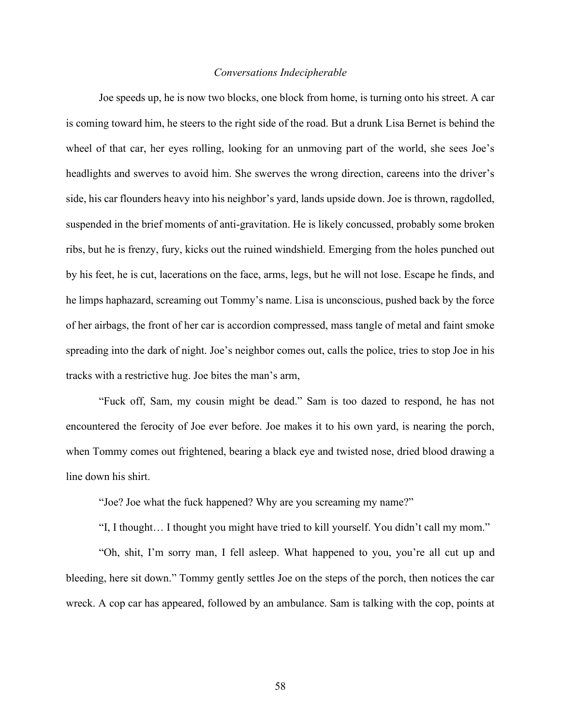### *Conversations Indecipherable*

Joe speeds up, he is now two blocks, one block from home, is turning onto his street. A car is coming toward him, he steers to the right side of the road. But a drunk Lisa Bernet is behind the wheel of that car, her eyes rolling, looking for an unmoving part of the world, she sees Joe's headlights and swerves to avoid him. She swerves the wrong direction, careens into the driver's side, his car flounders heavy into his neighbor's yard, lands upside down. Joe is thrown, ragdolled, suspended in the brief moments of anti-gravitation. He is likely concussed, probably some broken ribs, but he is frenzy, fury, kicks out the ruined windshield. Emerging from the holes punched out by his feet, he is cut, lacerations on the face, arms, legs, but he will not lose. Escape he finds, and he limps haphazard, screaming out Tommy's name. Lisa is unconscious, pushed back by the force of her airbags, the front of her car is accordion compressed, mass tangle of metal and faint smoke spreading into the dark of night. Joe's neighbor comes out, calls the police, tries to stop Joe in his tracks with a restrictive hug. Joe bites the man's arm,

"Fuck off, Sam, my cousin might be dead." Sam is too dazed to respond, he has not encountered the ferocity of Joe ever before. Joe makes it to his own yard, is nearing the porch, when Tommy comes out frightened, bearing a black eye and twisted nose, dried blood drawing a line down his shirt.

"Joe? Joe what the fuck happened? Why are you screaming my name?"

"I, I thought… I thought you might have tried to kill yourself. You didn't call my mom."

"Oh, shit, I'm sorry man, I fell asleep. What happened to you, you're all cut up and bleeding, here sit down." Tommy gently settles Joe on the steps of the porch, then notices the car wreck. A cop car has appeared, followed by an ambulance. Sam is talking with the cop, points at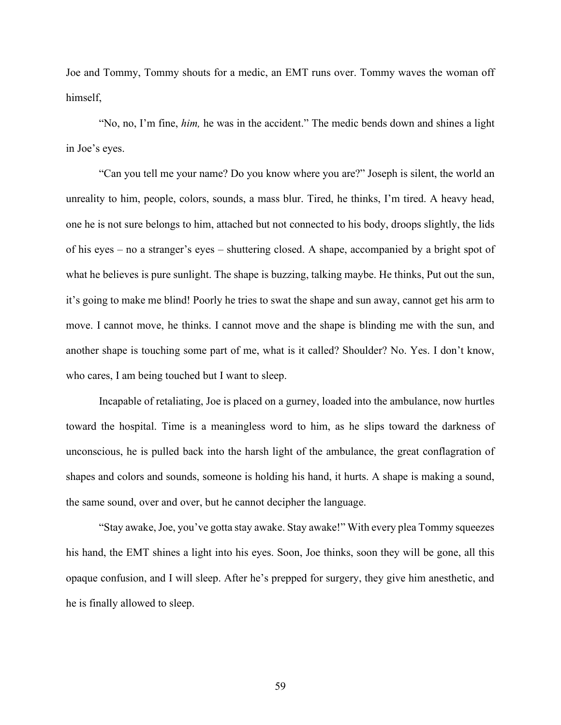Joe and Tommy, Tommy shouts for a medic, an EMT runs over. Tommy waves the woman off himself,

"No, no, I'm fine, *him,* he was in the accident." The medic bends down and shines a light in Joe's eyes.

"Can you tell me your name? Do you know where you are?" Joseph is silent, the world an unreality to him, people, colors, sounds, a mass blur. Tired, he thinks, I'm tired. A heavy head, one he is not sure belongs to him, attached but not connected to his body, droops slightly, the lids of his eyes – no a stranger's eyes – shuttering closed. A shape, accompanied by a bright spot of what he believes is pure sunlight. The shape is buzzing, talking maybe. He thinks, Put out the sun, it's going to make me blind! Poorly he tries to swat the shape and sun away, cannot get his arm to move. I cannot move, he thinks. I cannot move and the shape is blinding me with the sun, and another shape is touching some part of me, what is it called? Shoulder? No. Yes. I don't know, who cares, I am being touched but I want to sleep.

Incapable of retaliating, Joe is placed on a gurney, loaded into the ambulance, now hurtles toward the hospital. Time is a meaningless word to him, as he slips toward the darkness of unconscious, he is pulled back into the harsh light of the ambulance, the great conflagration of shapes and colors and sounds, someone is holding his hand, it hurts. A shape is making a sound, the same sound, over and over, but he cannot decipher the language.

"Stay awake, Joe, you've gotta stay awake. Stay awake!" With every plea Tommy squeezes his hand, the EMT shines a light into his eyes. Soon, Joe thinks, soon they will be gone, all this opaque confusion, and I will sleep. After he's prepped for surgery, they give him anesthetic, and he is finally allowed to sleep.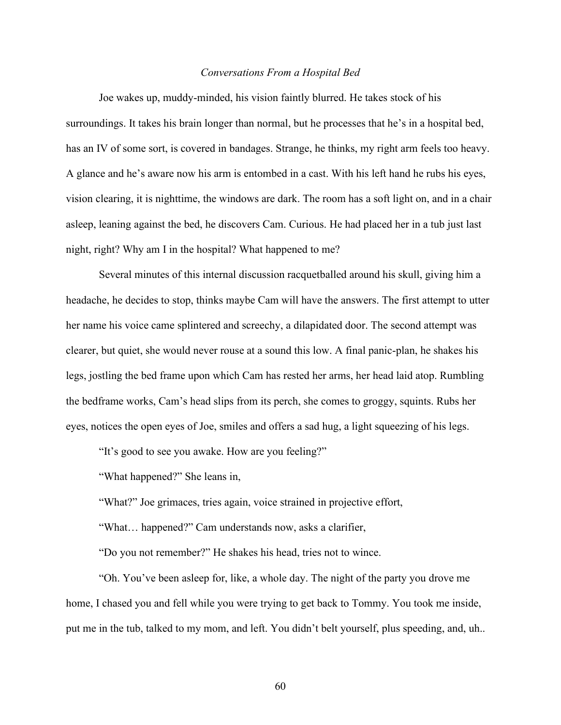### *Conversations From a Hospital Bed*

Joe wakes up, muddy-minded, his vision faintly blurred. He takes stock of his surroundings. It takes his brain longer than normal, but he processes that he's in a hospital bed, has an IV of some sort, is covered in bandages. Strange, he thinks, my right arm feels too heavy. A glance and he's aware now his arm is entombed in a cast. With his left hand he rubs his eyes, vision clearing, it is nighttime, the windows are dark. The room has a soft light on, and in a chair asleep, leaning against the bed, he discovers Cam. Curious. He had placed her in a tub just last night, right? Why am I in the hospital? What happened to me?

Several minutes of this internal discussion racquetballed around his skull, giving him a headache, he decides to stop, thinks maybe Cam will have the answers. The first attempt to utter her name his voice came splintered and screechy, a dilapidated door. The second attempt was clearer, but quiet, she would never rouse at a sound this low. A final panic-plan, he shakes his legs, jostling the bed frame upon which Cam has rested her arms, her head laid atop. Rumbling the bedframe works, Cam's head slips from its perch, she comes to groggy, squints. Rubs her eyes, notices the open eyes of Joe, smiles and offers a sad hug, a light squeezing of his legs.

"It's good to see you awake. How are you feeling?"

"What happened?" She leans in,

"What?" Joe grimaces, tries again, voice strained in projective effort,

"What… happened?" Cam understands now, asks a clarifier,

"Do you not remember?" He shakes his head, tries not to wince.

"Oh. You've been asleep for, like, a whole day. The night of the party you drove me home, I chased you and fell while you were trying to get back to Tommy. You took me inside, put me in the tub, talked to my mom, and left. You didn't belt yourself, plus speeding, and, uh..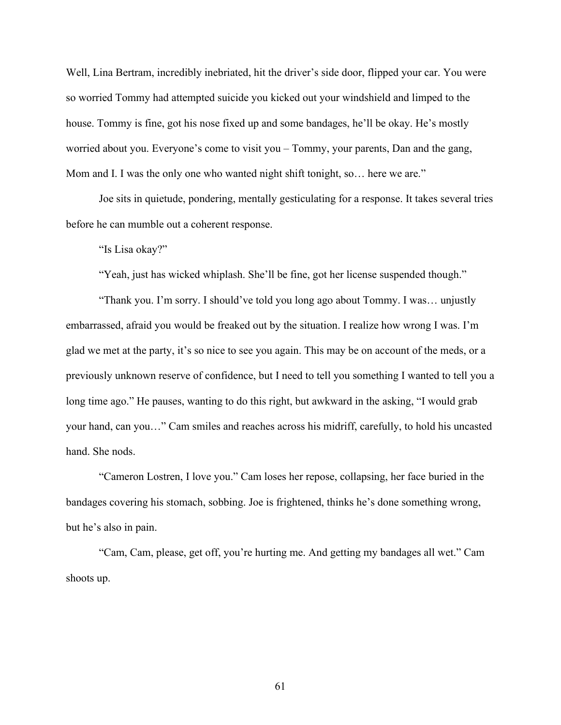Well, Lina Bertram, incredibly inebriated, hit the driver's side door, flipped your car. You were so worried Tommy had attempted suicide you kicked out your windshield and limped to the house. Tommy is fine, got his nose fixed up and some bandages, he'll be okay. He's mostly worried about you. Everyone's come to visit you – Tommy, your parents, Dan and the gang, Mom and I. I was the only one who wanted night shift tonight, so... here we are."

Joe sits in quietude, pondering, mentally gesticulating for a response. It takes several tries before he can mumble out a coherent response.

"Is Lisa okay?"

"Yeah, just has wicked whiplash. She'll be fine, got her license suspended though."

"Thank you. I'm sorry. I should've told you long ago about Tommy. I was… unjustly embarrassed, afraid you would be freaked out by the situation. I realize how wrong I was. I'm glad we met at the party, it's so nice to see you again. This may be on account of the meds, or a previously unknown reserve of confidence, but I need to tell you something I wanted to tell you a long time ago." He pauses, wanting to do this right, but awkward in the asking, "I would grab your hand, can you…" Cam smiles and reaches across his midriff, carefully, to hold his uncasted hand. She nods.

"Cameron Lostren, I love you." Cam loses her repose, collapsing, her face buried in the bandages covering his stomach, sobbing. Joe is frightened, thinks he's done something wrong, but he's also in pain.

"Cam, Cam, please, get off, you're hurting me. And getting my bandages all wet." Cam shoots up.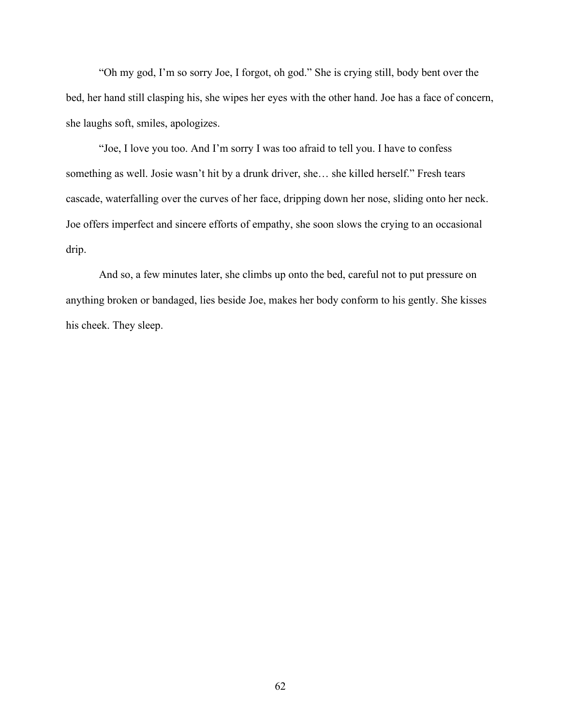"Oh my god, I'm so sorry Joe, I forgot, oh god." She is crying still, body bent over the bed, her hand still clasping his, she wipes her eyes with the other hand. Joe has a face of concern, she laughs soft, smiles, apologizes.

"Joe, I love you too. And I'm sorry I was too afraid to tell you. I have to confess something as well. Josie wasn't hit by a drunk driver, she… she killed herself." Fresh tears cascade, waterfalling over the curves of her face, dripping down her nose, sliding onto her neck. Joe offers imperfect and sincere efforts of empathy, she soon slows the crying to an occasional drip.

And so, a few minutes later, she climbs up onto the bed, careful not to put pressure on anything broken or bandaged, lies beside Joe, makes her body conform to his gently. She kisses his cheek. They sleep.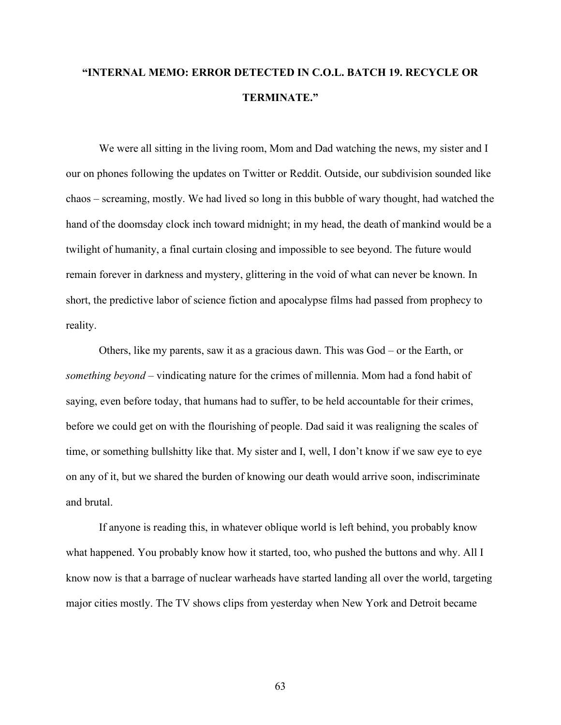# **"INTERNAL MEMO: ERROR DETECTED IN C.O.L. BATCH 19. RECYCLE OR TERMINATE."**

We were all sitting in the living room, Mom and Dad watching the news, my sister and I our on phones following the updates on Twitter or Reddit. Outside, our subdivision sounded like chaos – screaming, mostly. We had lived so long in this bubble of wary thought, had watched the hand of the doomsday clock inch toward midnight; in my head, the death of mankind would be a twilight of humanity, a final curtain closing and impossible to see beyond. The future would remain forever in darkness and mystery, glittering in the void of what can never be known. In short, the predictive labor of science fiction and apocalypse films had passed from prophecy to reality.

Others, like my parents, saw it as a gracious dawn. This was God – or the Earth, or *something beyond* – vindicating nature for the crimes of millennia. Mom had a fond habit of saying, even before today, that humans had to suffer, to be held accountable for their crimes, before we could get on with the flourishing of people. Dad said it was realigning the scales of time, or something bullshitty like that. My sister and I, well, I don't know if we saw eye to eye on any of it, but we shared the burden of knowing our death would arrive soon, indiscriminate and brutal.

If anyone is reading this, in whatever oblique world is left behind, you probably know what happened. You probably know how it started, too, who pushed the buttons and why. All I know now is that a barrage of nuclear warheads have started landing all over the world, targeting major cities mostly. The TV shows clips from yesterday when New York and Detroit became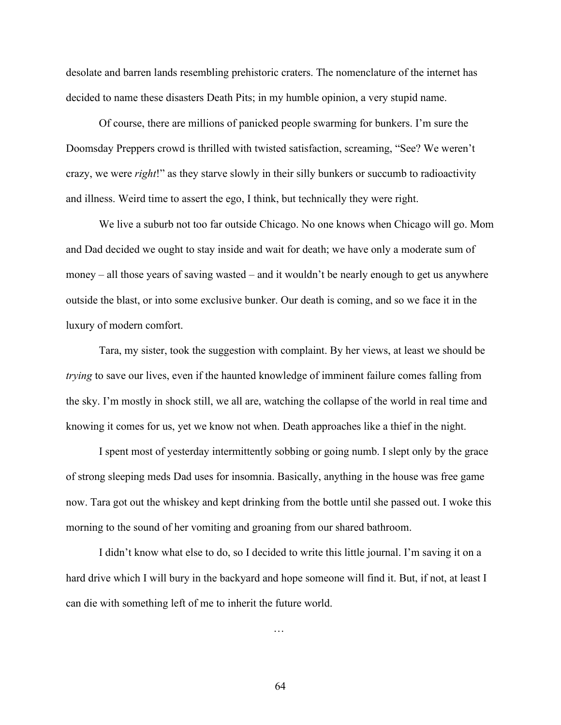desolate and barren lands resembling prehistoric craters. The nomenclature of the internet has decided to name these disasters Death Pits; in my humble opinion, a very stupid name.

Of course, there are millions of panicked people swarming for bunkers. I'm sure the Doomsday Preppers crowd is thrilled with twisted satisfaction, screaming, "See? We weren't crazy, we were *right*!" as they starve slowly in their silly bunkers or succumb to radioactivity and illness. Weird time to assert the ego, I think, but technically they were right.

We live a suburb not too far outside Chicago. No one knows when Chicago will go. Mom and Dad decided we ought to stay inside and wait for death; we have only a moderate sum of money – all those years of saving wasted – and it wouldn't be nearly enough to get us anywhere outside the blast, or into some exclusive bunker. Our death is coming, and so we face it in the luxury of modern comfort.

Tara, my sister, took the suggestion with complaint. By her views, at least we should be *trying* to save our lives, even if the haunted knowledge of imminent failure comes falling from the sky. I'm mostly in shock still, we all are, watching the collapse of the world in real time and knowing it comes for us, yet we know not when. Death approaches like a thief in the night.

I spent most of yesterday intermittently sobbing or going numb. I slept only by the grace of strong sleeping meds Dad uses for insomnia. Basically, anything in the house was free game now. Tara got out the whiskey and kept drinking from the bottle until she passed out. I woke this morning to the sound of her vomiting and groaning from our shared bathroom.

I didn't know what else to do, so I decided to write this little journal. I'm saving it on a hard drive which I will bury in the backyard and hope someone will find it. But, if not, at least I can die with something left of me to inherit the future world.

…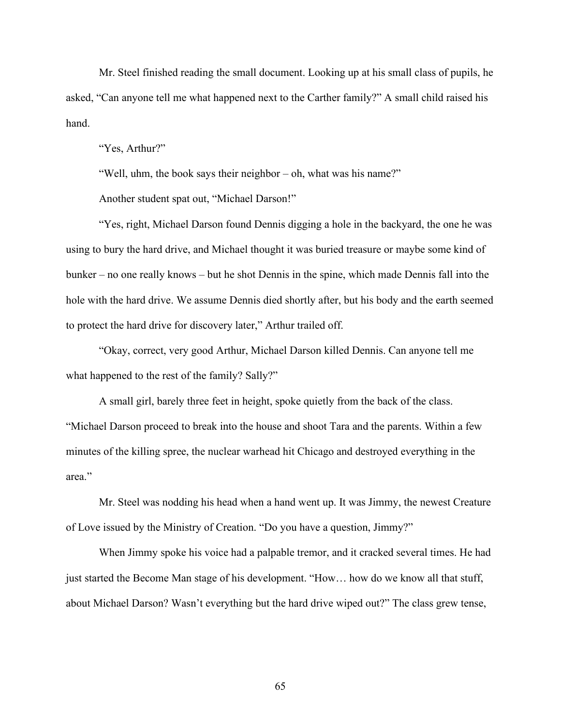Mr. Steel finished reading the small document. Looking up at his small class of pupils, he asked, "Can anyone tell me what happened next to the Carther family?" A small child raised his hand.

"Yes, Arthur?"

"Well, uhm, the book says their neighbor – oh, what was his name?"

Another student spat out, "Michael Darson!"

"Yes, right, Michael Darson found Dennis digging a hole in the backyard, the one he was using to bury the hard drive, and Michael thought it was buried treasure or maybe some kind of bunker – no one really knows – but he shot Dennis in the spine, which made Dennis fall into the hole with the hard drive. We assume Dennis died shortly after, but his body and the earth seemed to protect the hard drive for discovery later," Arthur trailed off.

"Okay, correct, very good Arthur, Michael Darson killed Dennis. Can anyone tell me what happened to the rest of the family? Sally?"

A small girl, barely three feet in height, spoke quietly from the back of the class. "Michael Darson proceed to break into the house and shoot Tara and the parents. Within a few minutes of the killing spree, the nuclear warhead hit Chicago and destroyed everything in the area."

Mr. Steel was nodding his head when a hand went up. It was Jimmy, the newest Creature of Love issued by the Ministry of Creation. "Do you have a question, Jimmy?"

When Jimmy spoke his voice had a palpable tremor, and it cracked several times. He had just started the Become Man stage of his development. "How… how do we know all that stuff, about Michael Darson? Wasn't everything but the hard drive wiped out?" The class grew tense,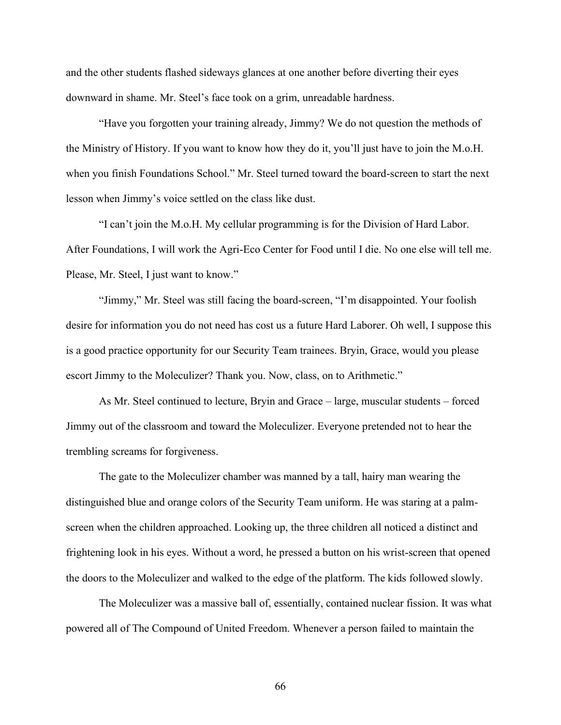and the other students flashed sideways glances at one another before diverting their eyes downward in shame. Mr. Steel's face took on a grim, unreadable hardness.

"Have you forgotten your training already, Jimmy? We do not question the methods of the Ministry of History. If you want to know how they do it, you'll just have to join the M.o.H. when you finish Foundations School." Mr. Steel turned toward the board-screen to start the next lesson when Jimmy's voice settled on the class like dust.

"I can't join the M.o.H. My cellular programming is for the Division of Hard Labor. After Foundations, I will work the Agri-Eco Center for Food until I die. No one else will tell me. Please, Mr. Steel, I just want to know."

"Jimmy," Mr. Steel was still facing the board-screen, "I'm disappointed. Your foolish desire for information you do not need has cost us a future Hard Laborer. Oh well, I suppose this is a good practice opportunity for our Security Team trainees. Bryin, Grace, would you please escort Jimmy to the Moleculizer? Thank you. Now, class, on to Arithmetic."

As Mr. Steel continued to lecture, Bryin and Grace – large, muscular students – forced Jimmy out of the classroom and toward the Moleculizer. Everyone pretended not to hear the trembling screams for forgiveness.

The gate to the Moleculizer chamber was manned by a tall, hairy man wearing the distinguished blue and orange colors of the Security Team uniform. He was staring at a palmscreen when the children approached. Looking up, the three children all noticed a distinct and frightening look in his eyes. Without a word, he pressed a button on his wrist-screen that opened the doors to the Moleculizer and walked to the edge of the platform. The kids followed slowly.

The Moleculizer was a massive ball of, essentially, contained nuclear fission. It was what powered all of The Compound of United Freedom. Whenever a person failed to maintain the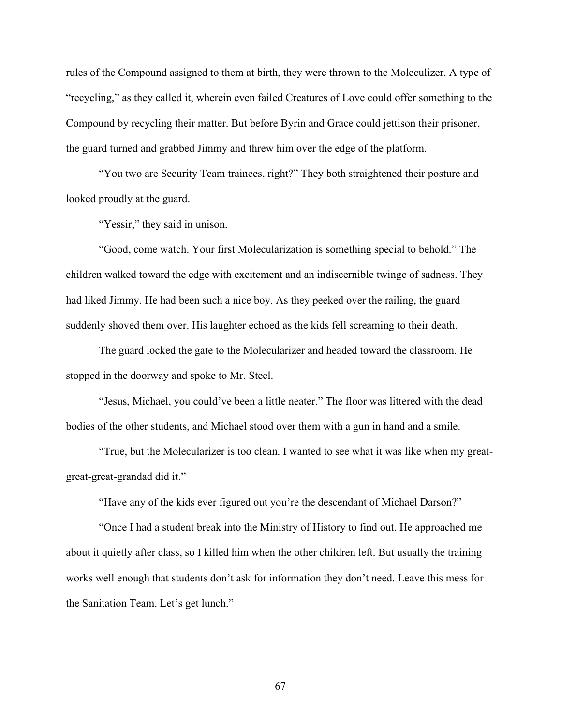rules of the Compound assigned to them at birth, they were thrown to the Moleculizer. A type of "recycling," as they called it, wherein even failed Creatures of Love could offer something to the Compound by recycling their matter. But before Byrin and Grace could jettison their prisoner, the guard turned and grabbed Jimmy and threw him over the edge of the platform.

"You two are Security Team trainees, right?" They both straightened their posture and looked proudly at the guard.

"Yessir," they said in unison.

"Good, come watch. Your first Molecularization is something special to behold." The children walked toward the edge with excitement and an indiscernible twinge of sadness. They had liked Jimmy. He had been such a nice boy. As they peeked over the railing, the guard suddenly shoved them over. His laughter echoed as the kids fell screaming to their death.

The guard locked the gate to the Molecularizer and headed toward the classroom. He stopped in the doorway and spoke to Mr. Steel.

"Jesus, Michael, you could've been a little neater." The floor was littered with the dead bodies of the other students, and Michael stood over them with a gun in hand and a smile.

"True, but the Molecularizer is too clean. I wanted to see what it was like when my greatgreat-great-grandad did it."

"Have any of the kids ever figured out you're the descendant of Michael Darson?"

"Once I had a student break into the Ministry of History to find out. He approached me about it quietly after class, so I killed him when the other children left. But usually the training works well enough that students don't ask for information they don't need. Leave this mess for the Sanitation Team. Let's get lunch."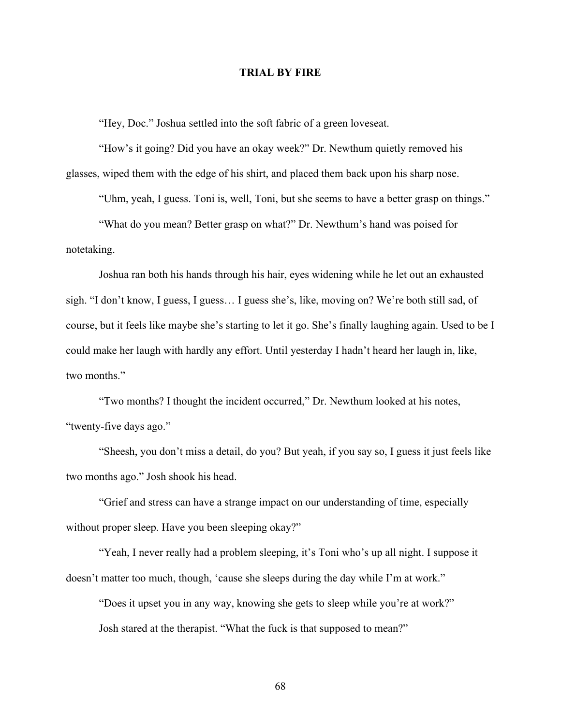## **TRIAL BY FIRE**

"Hey, Doc." Joshua settled into the soft fabric of a green loveseat.

"How's it going? Did you have an okay week?" Dr. Newthum quietly removed his glasses, wiped them with the edge of his shirt, and placed them back upon his sharp nose.

"Uhm, yeah, I guess. Toni is, well, Toni, but she seems to have a better grasp on things."

"What do you mean? Better grasp on what?" Dr. Newthum's hand was poised for notetaking.

Joshua ran both his hands through his hair, eyes widening while he let out an exhausted sigh. "I don't know, I guess, I guess… I guess she's, like, moving on? We're both still sad, of course, but it feels like maybe she's starting to let it go. She's finally laughing again. Used to be I could make her laugh with hardly any effort. Until yesterday I hadn't heard her laugh in, like, two months."

"Two months? I thought the incident occurred," Dr. Newthum looked at his notes, "twenty-five days ago."

"Sheesh, you don't miss a detail, do you? But yeah, if you say so, I guess it just feels like two months ago." Josh shook his head.

"Grief and stress can have a strange impact on our understanding of time, especially without proper sleep. Have you been sleeping okay?"

"Yeah, I never really had a problem sleeping, it's Toni who's up all night. I suppose it doesn't matter too much, though, 'cause she sleeps during the day while I'm at work."

"Does it upset you in any way, knowing she gets to sleep while you're at work?" Josh stared at the therapist. "What the fuck is that supposed to mean?"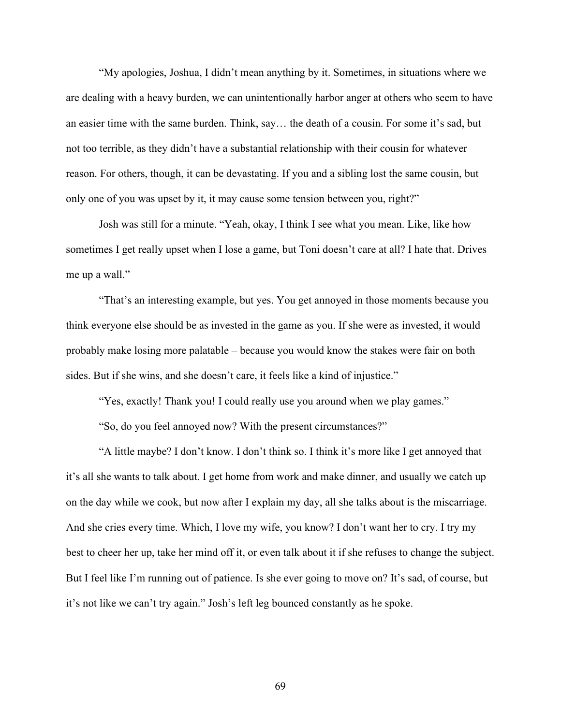"My apologies, Joshua, I didn't mean anything by it. Sometimes, in situations where we are dealing with a heavy burden, we can unintentionally harbor anger at others who seem to have an easier time with the same burden. Think, say… the death of a cousin. For some it's sad, but not too terrible, as they didn't have a substantial relationship with their cousin for whatever reason. For others, though, it can be devastating. If you and a sibling lost the same cousin, but only one of you was upset by it, it may cause some tension between you, right?"

Josh was still for a minute. "Yeah, okay, I think I see what you mean. Like, like how sometimes I get really upset when I lose a game, but Toni doesn't care at all? I hate that. Drives me up a wall."

"That's an interesting example, but yes. You get annoyed in those moments because you think everyone else should be as invested in the game as you. If she were as invested, it would probably make losing more palatable – because you would know the stakes were fair on both sides. But if she wins, and she doesn't care, it feels like a kind of injustice."

"Yes, exactly! Thank you! I could really use you around when we play games."

"So, do you feel annoyed now? With the present circumstances?"

"A little maybe? I don't know. I don't think so. I think it's more like I get annoyed that it's all she wants to talk about. I get home from work and make dinner, and usually we catch up on the day while we cook, but now after I explain my day, all she talks about is the miscarriage. And she cries every time. Which, I love my wife, you know? I don't want her to cry. I try my best to cheer her up, take her mind off it, or even talk about it if she refuses to change the subject. But I feel like I'm running out of patience. Is she ever going to move on? It's sad, of course, but it's not like we can't try again." Josh's left leg bounced constantly as he spoke.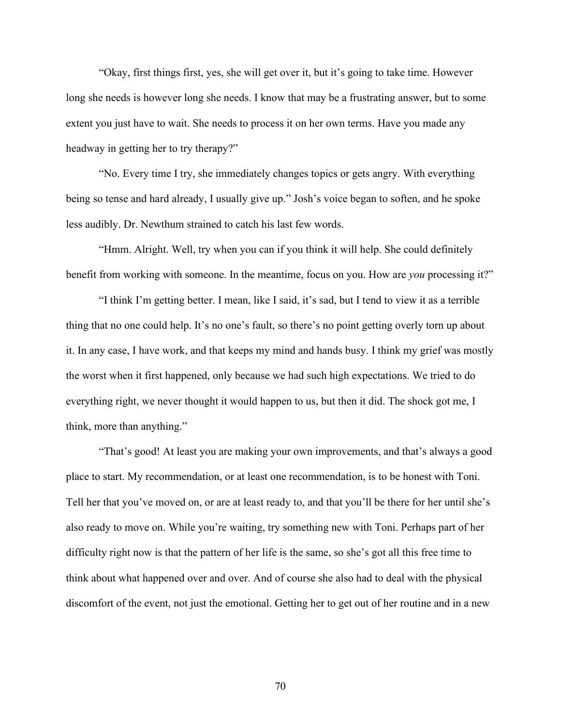"Okay, first things first, yes, she will get over it, but it's going to take time. However long she needs is however long she needs. I know that may be a frustrating answer, but to some extent you just have to wait. She needs to process it on her own terms. Have you made any headway in getting her to try therapy?"

"No. Every time I try, she immediately changes topics or gets angry. With everything being so tense and hard already, I usually give up." Josh's voice began to soften, and he spoke less audibly. Dr. Newthum strained to catch his last few words.

"Hmm. Alright. Well, try when you can if you think it will help. She could definitely benefit from working with someone. In the meantime, focus on you. How are *you* processing it?"

"I think I'm getting better. I mean, like I said, it's sad, but I tend to view it as a terrible thing that no one could help. It's no one's fault, so there's no point getting overly torn up about it. In any case, I have work, and that keeps my mind and hands busy. I think my grief was mostly the worst when it first happened, only because we had such high expectations. We tried to do everything right, we never thought it would happen to us, but then it did. The shock got me, I think, more than anything."

"That's good! At least you are making your own improvements, and that's always a good place to start. My recommendation, or at least one recommendation, is to be honest with Toni. Tell her that you've moved on, or are at least ready to, and that you'll be there for her until she's also ready to move on. While you're waiting, try something new with Toni. Perhaps part of her difficulty right now is that the pattern of her life is the same, so she's got all this free time to think about what happened over and over. And of course she also had to deal with the physical discomfort of the event, not just the emotional. Getting her to get out of her routine and in a new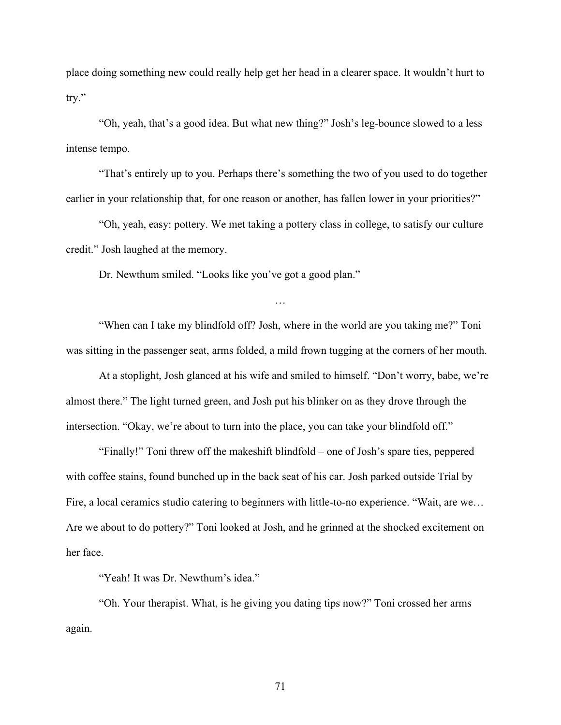place doing something new could really help get her head in a clearer space. It wouldn't hurt to try."

"Oh, yeah, that's a good idea. But what new thing?" Josh's leg-bounce slowed to a less intense tempo.

"That's entirely up to you. Perhaps there's something the two of you used to do together earlier in your relationship that, for one reason or another, has fallen lower in your priorities?"

"Oh, yeah, easy: pottery. We met taking a pottery class in college, to satisfy our culture credit." Josh laughed at the memory.

Dr. Newthum smiled. "Looks like you've got a good plan."

"When can I take my blindfold off? Josh, where in the world are you taking me?" Toni was sitting in the passenger seat, arms folded, a mild frown tugging at the corners of her mouth.

…

At a stoplight, Josh glanced at his wife and smiled to himself. "Don't worry, babe, we're almost there." The light turned green, and Josh put his blinker on as they drove through the intersection. "Okay, we're about to turn into the place, you can take your blindfold off."

"Finally!" Toni threw off the makeshift blindfold – one of Josh's spare ties, peppered with coffee stains, found bunched up in the back seat of his car. Josh parked outside Trial by Fire, a local ceramics studio catering to beginners with little-to-no experience. "Wait, are we… Are we about to do pottery?" Toni looked at Josh, and he grinned at the shocked excitement on her face.

"Yeah! It was Dr. Newthum's idea."

"Oh. Your therapist. What, is he giving you dating tips now?" Toni crossed her arms again.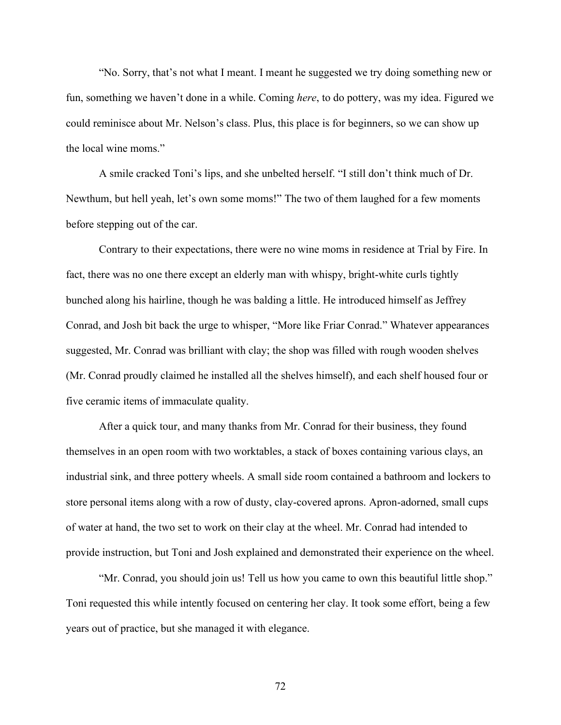"No. Sorry, that's not what I meant. I meant he suggested we try doing something new or fun, something we haven't done in a while. Coming *here*, to do pottery, was my idea. Figured we could reminisce about Mr. Nelson's class. Plus, this place is for beginners, so we can show up the local wine moms."

A smile cracked Toni's lips, and she unbelted herself. "I still don't think much of Dr. Newthum, but hell yeah, let's own some moms!" The two of them laughed for a few moments before stepping out of the car.

Contrary to their expectations, there were no wine moms in residence at Trial by Fire. In fact, there was no one there except an elderly man with whispy, bright-white curls tightly bunched along his hairline, though he was balding a little. He introduced himself as Jeffrey Conrad, and Josh bit back the urge to whisper, "More like Friar Conrad." Whatever appearances suggested, Mr. Conrad was brilliant with clay; the shop was filled with rough wooden shelves (Mr. Conrad proudly claimed he installed all the shelves himself), and each shelf housed four or five ceramic items of immaculate quality.

After a quick tour, and many thanks from Mr. Conrad for their business, they found themselves in an open room with two worktables, a stack of boxes containing various clays, an industrial sink, and three pottery wheels. A small side room contained a bathroom and lockers to store personal items along with a row of dusty, clay-covered aprons. Apron-adorned, small cups of water at hand, the two set to work on their clay at the wheel. Mr. Conrad had intended to provide instruction, but Toni and Josh explained and demonstrated their experience on the wheel.

"Mr. Conrad, you should join us! Tell us how you came to own this beautiful little shop." Toni requested this while intently focused on centering her clay. It took some effort, being a few years out of practice, but she managed it with elegance.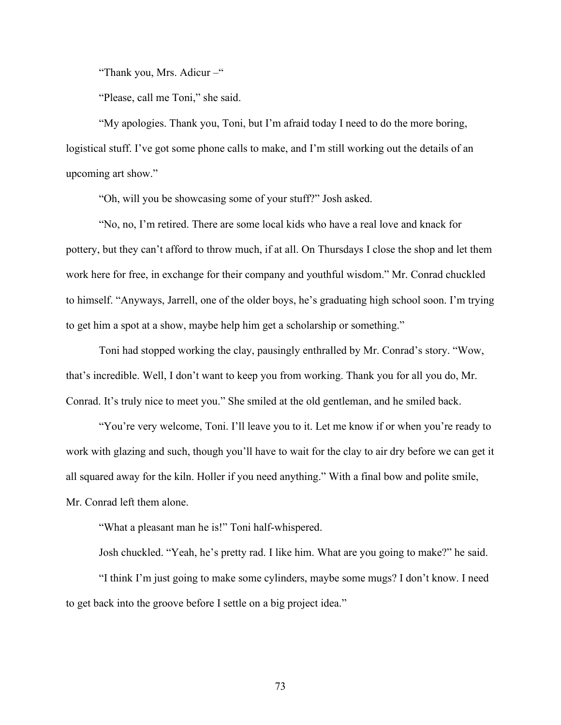"Thank you, Mrs. Adicur –"

"Please, call me Toni," she said.

"My apologies. Thank you, Toni, but I'm afraid today I need to do the more boring, logistical stuff. I've got some phone calls to make, and I'm still working out the details of an upcoming art show."

"Oh, will you be showcasing some of your stuff?" Josh asked.

"No, no, I'm retired. There are some local kids who have a real love and knack for pottery, but they can't afford to throw much, if at all. On Thursdays I close the shop and let them work here for free, in exchange for their company and youthful wisdom." Mr. Conrad chuckled to himself. "Anyways, Jarrell, one of the older boys, he's graduating high school soon. I'm trying to get him a spot at a show, maybe help him get a scholarship or something."

Toni had stopped working the clay, pausingly enthralled by Mr. Conrad's story. "Wow, that's incredible. Well, I don't want to keep you from working. Thank you for all you do, Mr. Conrad. It's truly nice to meet you." She smiled at the old gentleman, and he smiled back.

"You're very welcome, Toni. I'll leave you to it. Let me know if or when you're ready to work with glazing and such, though you'll have to wait for the clay to air dry before we can get it all squared away for the kiln. Holler if you need anything." With a final bow and polite smile, Mr. Conrad left them alone.

"What a pleasant man he is!" Toni half-whispered.

Josh chuckled. "Yeah, he's pretty rad. I like him. What are you going to make?" he said.

"I think I'm just going to make some cylinders, maybe some mugs? I don't know. I need to get back into the groove before I settle on a big project idea."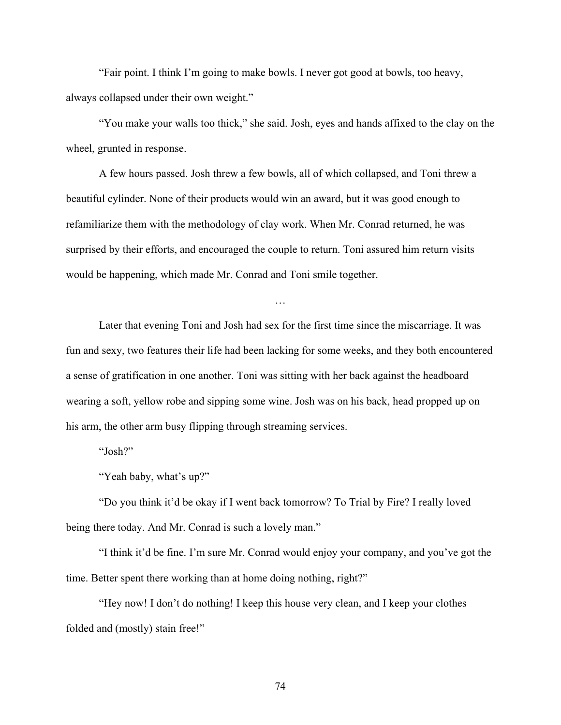"Fair point. I think I'm going to make bowls. I never got good at bowls, too heavy, always collapsed under their own weight."

"You make your walls too thick," she said. Josh, eyes and hands affixed to the clay on the wheel, grunted in response.

A few hours passed. Josh threw a few bowls, all of which collapsed, and Toni threw a beautiful cylinder. None of their products would win an award, but it was good enough to refamiliarize them with the methodology of clay work. When Mr. Conrad returned, he was surprised by their efforts, and encouraged the couple to return. Toni assured him return visits would be happening, which made Mr. Conrad and Toni smile together.

Later that evening Toni and Josh had sex for the first time since the miscarriage. It was fun and sexy, two features their life had been lacking for some weeks, and they both encountered a sense of gratification in one another. Toni was sitting with her back against the headboard wearing a soft, yellow robe and sipping some wine. Josh was on his back, head propped up on his arm, the other arm busy flipping through streaming services.

…

"Josh?"

"Yeah baby, what's up?"

"Do you think it'd be okay if I went back tomorrow? To Trial by Fire? I really loved being there today. And Mr. Conrad is such a lovely man."

"I think it'd be fine. I'm sure Mr. Conrad would enjoy your company, and you've got the time. Better spent there working than at home doing nothing, right?"

"Hey now! I don't do nothing! I keep this house very clean, and I keep your clothes folded and (mostly) stain free!"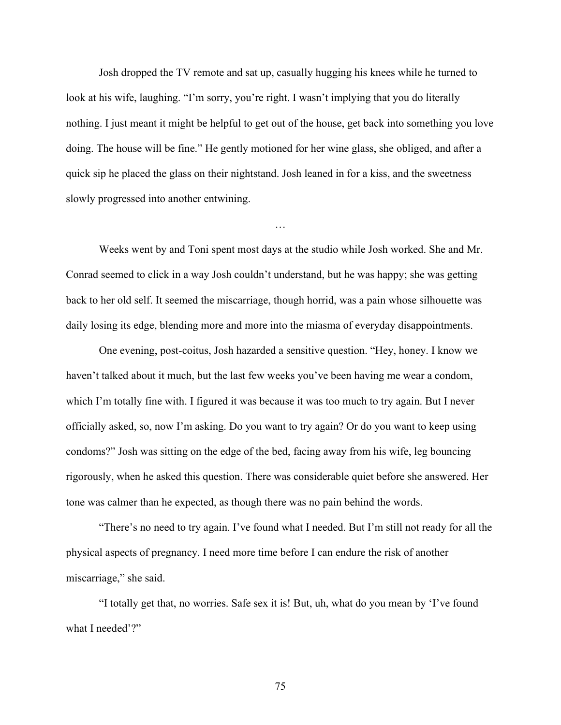Josh dropped the TV remote and sat up, casually hugging his knees while he turned to look at his wife, laughing. "I'm sorry, you're right. I wasn't implying that you do literally nothing. I just meant it might be helpful to get out of the house, get back into something you love doing. The house will be fine." He gently motioned for her wine glass, she obliged, and after a quick sip he placed the glass on their nightstand. Josh leaned in for a kiss, and the sweetness slowly progressed into another entwining.

…

Weeks went by and Toni spent most days at the studio while Josh worked. She and Mr. Conrad seemed to click in a way Josh couldn't understand, but he was happy; she was getting back to her old self. It seemed the miscarriage, though horrid, was a pain whose silhouette was daily losing its edge, blending more and more into the miasma of everyday disappointments.

One evening, post-coitus, Josh hazarded a sensitive question. "Hey, honey. I know we haven't talked about it much, but the last few weeks you've been having me wear a condom, which I'm totally fine with. I figured it was because it was too much to try again. But I never officially asked, so, now I'm asking. Do you want to try again? Or do you want to keep using condoms?" Josh was sitting on the edge of the bed, facing away from his wife, leg bouncing rigorously, when he asked this question. There was considerable quiet before she answered. Her tone was calmer than he expected, as though there was no pain behind the words.

"There's no need to try again. I've found what I needed. But I'm still not ready for all the physical aspects of pregnancy. I need more time before I can endure the risk of another miscarriage," she said.

"I totally get that, no worries. Safe sex it is! But, uh, what do you mean by 'I've found what I needed'?"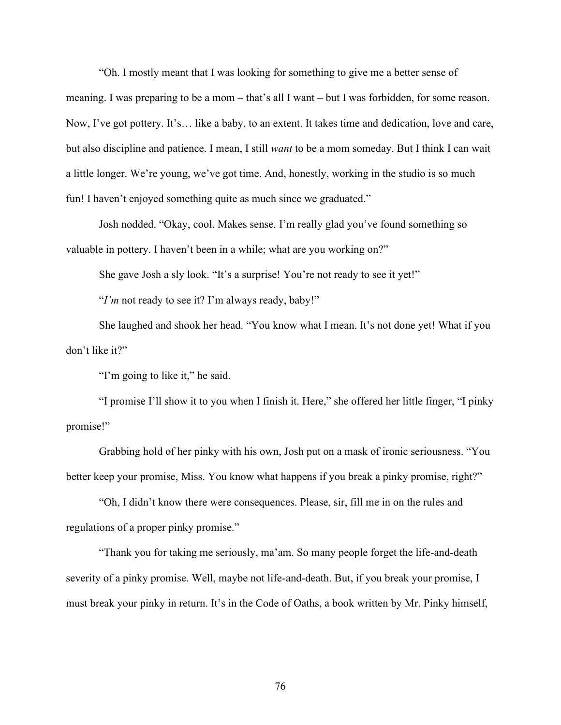"Oh. I mostly meant that I was looking for something to give me a better sense of meaning. I was preparing to be a mom – that's all I want – but I was forbidden, for some reason. Now, I've got pottery. It's… like a baby, to an extent. It takes time and dedication, love and care, but also discipline and patience. I mean, I still *want* to be a mom someday. But I think I can wait a little longer. We're young, we've got time. And, honestly, working in the studio is so much fun! I haven't enjoyed something quite as much since we graduated."

Josh nodded. "Okay, cool. Makes sense. I'm really glad you've found something so valuable in pottery. I haven't been in a while; what are you working on?"

She gave Josh a sly look. "It's a surprise! You're not ready to see it yet!"

"*I'm* not ready to see it? I'm always ready, baby!"

She laughed and shook her head. "You know what I mean. It's not done yet! What if you don't like it?"

"I'm going to like it," he said.

"I promise I'll show it to you when I finish it. Here," she offered her little finger, "I pinky promise!"

Grabbing hold of her pinky with his own, Josh put on a mask of ironic seriousness. "You better keep your promise, Miss. You know what happens if you break a pinky promise, right?"

"Oh, I didn't know there were consequences. Please, sir, fill me in on the rules and regulations of a proper pinky promise."

"Thank you for taking me seriously, ma'am. So many people forget the life-and-death severity of a pinky promise. Well, maybe not life-and-death. But, if you break your promise, I must break your pinky in return. It's in the Code of Oaths, a book written by Mr. Pinky himself,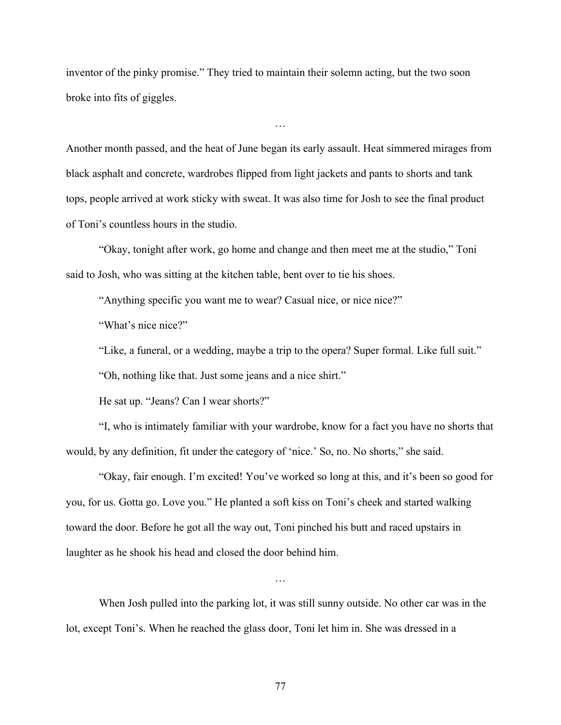inventor of the pinky promise." They tried to maintain their solemn acting, but the two soon broke into fits of giggles.

Another month passed, and the heat of June began its early assault. Heat simmered mirages from black asphalt and concrete, wardrobes flipped from light jackets and pants to shorts and tank tops, people arrived at work sticky with sweat. It was also time for Josh to see the final product of Toni's countless hours in the studio.

…

"Okay, tonight after work, go home and change and then meet me at the studio," Toni said to Josh, who was sitting at the kitchen table, bent over to tie his shoes.

"Anything specific you want me to wear? Casual nice, or nice nice?"

"What's nice nice?"

"Like, a funeral, or a wedding, maybe a trip to the opera? Super formal. Like full suit."

"Oh, nothing like that. Just some jeans and a nice shirt."

He sat up. "Jeans? Can I wear shorts?"

"I, who is intimately familiar with your wardrobe, know for a fact you have no shorts that would, by any definition, fit under the category of 'nice.' So, no. No shorts," she said.

"Okay, fair enough. I'm excited! You've worked so long at this, and it's been so good for you, for us. Gotta go. Love you." He planted a soft kiss on Toni's cheek and started walking toward the door. Before he got all the way out, Toni pinched his butt and raced upstairs in laughter as he shook his head and closed the door behind him.

When Josh pulled into the parking lot, it was still sunny outside. No other car was in the lot, except Toni's. When he reached the glass door, Toni let him in. She was dressed in a

…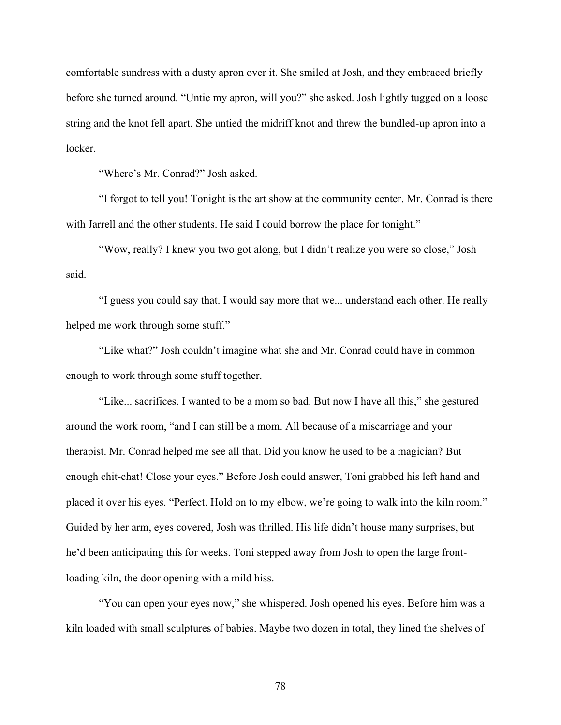comfortable sundress with a dusty apron over it. She smiled at Josh, and they embraced briefly before she turned around. "Untie my apron, will you?" she asked. Josh lightly tugged on a loose string and the knot fell apart. She untied the midriff knot and threw the bundled-up apron into a locker.

"Where's Mr. Conrad?" Josh asked.

"I forgot to tell you! Tonight is the art show at the community center. Mr. Conrad is there with Jarrell and the other students. He said I could borrow the place for tonight."

"Wow, really? I knew you two got along, but I didn't realize you were so close," Josh said.

"I guess you could say that. I would say more that we... understand each other. He really helped me work through some stuff."

"Like what?" Josh couldn't imagine what she and Mr. Conrad could have in common enough to work through some stuff together.

"Like... sacrifices. I wanted to be a mom so bad. But now I have all this," she gestured around the work room, "and I can still be a mom. All because of a miscarriage and your therapist. Mr. Conrad helped me see all that. Did you know he used to be a magician? But enough chit-chat! Close your eyes." Before Josh could answer, Toni grabbed his left hand and placed it over his eyes. "Perfect. Hold on to my elbow, we're going to walk into the kiln room." Guided by her arm, eyes covered, Josh was thrilled. His life didn't house many surprises, but he'd been anticipating this for weeks. Toni stepped away from Josh to open the large frontloading kiln, the door opening with a mild hiss.

"You can open your eyes now," she whispered. Josh opened his eyes. Before him was a kiln loaded with small sculptures of babies. Maybe two dozen in total, they lined the shelves of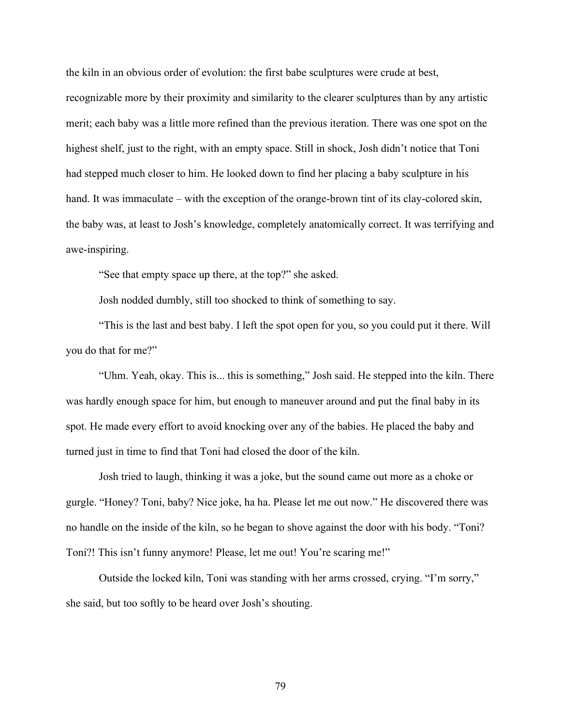the kiln in an obvious order of evolution: the first babe sculptures were crude at best,

recognizable more by their proximity and similarity to the clearer sculptures than by any artistic merit; each baby was a little more refined than the previous iteration. There was one spot on the highest shelf, just to the right, with an empty space. Still in shock, Josh didn't notice that Toni had stepped much closer to him. He looked down to find her placing a baby sculpture in his hand. It was immaculate – with the exception of the orange-brown tint of its clay-colored skin, the baby was, at least to Josh's knowledge, completely anatomically correct. It was terrifying and awe-inspiring.

"See that empty space up there, at the top?" she asked.

Josh nodded dumbly, still too shocked to think of something to say.

"This is the last and best baby. I left the spot open for you, so you could put it there. Will you do that for me?"

"Uhm. Yeah, okay. This is... this is something," Josh said. He stepped into the kiln. There was hardly enough space for him, but enough to maneuver around and put the final baby in its spot. He made every effort to avoid knocking over any of the babies. He placed the baby and turned just in time to find that Toni had closed the door of the kiln.

Josh tried to laugh, thinking it was a joke, but the sound came out more as a choke or gurgle. "Honey? Toni, baby? Nice joke, ha ha. Please let me out now." He discovered there was no handle on the inside of the kiln, so he began to shove against the door with his body. "Toni? Toni?! This isn't funny anymore! Please, let me out! You're scaring me!"

Outside the locked kiln, Toni was standing with her arms crossed, crying. "I'm sorry," she said, but too softly to be heard over Josh's shouting.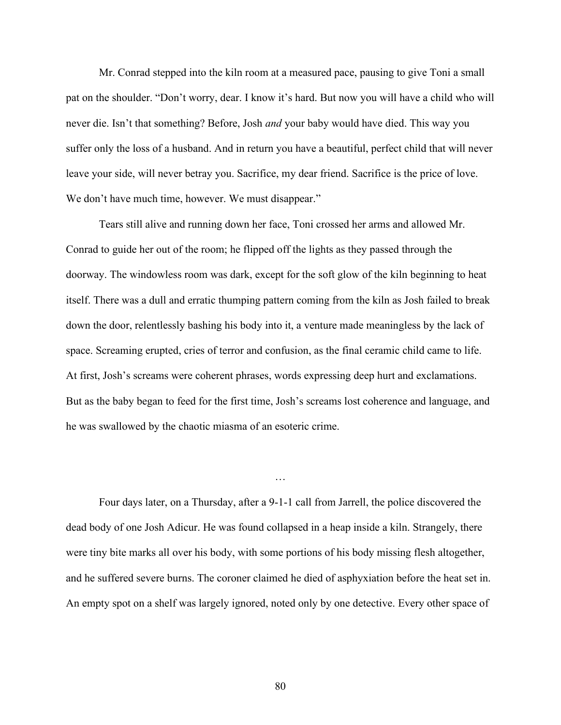Mr. Conrad stepped into the kiln room at a measured pace, pausing to give Toni a small pat on the shoulder. "Don't worry, dear. I know it's hard. But now you will have a child who will never die. Isn't that something? Before, Josh *and* your baby would have died. This way you suffer only the loss of a husband. And in return you have a beautiful, perfect child that will never leave your side, will never betray you. Sacrifice, my dear friend. Sacrifice is the price of love. We don't have much time, however. We must disappear."

Tears still alive and running down her face, Toni crossed her arms and allowed Mr. Conrad to guide her out of the room; he flipped off the lights as they passed through the doorway. The windowless room was dark, except for the soft glow of the kiln beginning to heat itself. There was a dull and erratic thumping pattern coming from the kiln as Josh failed to break down the door, relentlessly bashing his body into it, a venture made meaningless by the lack of space. Screaming erupted, cries of terror and confusion, as the final ceramic child came to life. At first, Josh's screams were coherent phrases, words expressing deep hurt and exclamations. But as the baby began to feed for the first time, Josh's screams lost coherence and language, and he was swallowed by the chaotic miasma of an esoteric crime.

Four days later, on a Thursday, after a 9-1-1 call from Jarrell, the police discovered the dead body of one Josh Adicur. He was found collapsed in a heap inside a kiln. Strangely, there were tiny bite marks all over his body, with some portions of his body missing flesh altogether, and he suffered severe burns. The coroner claimed he died of asphyxiation before the heat set in. An empty spot on a shelf was largely ignored, noted only by one detective. Every other space of

…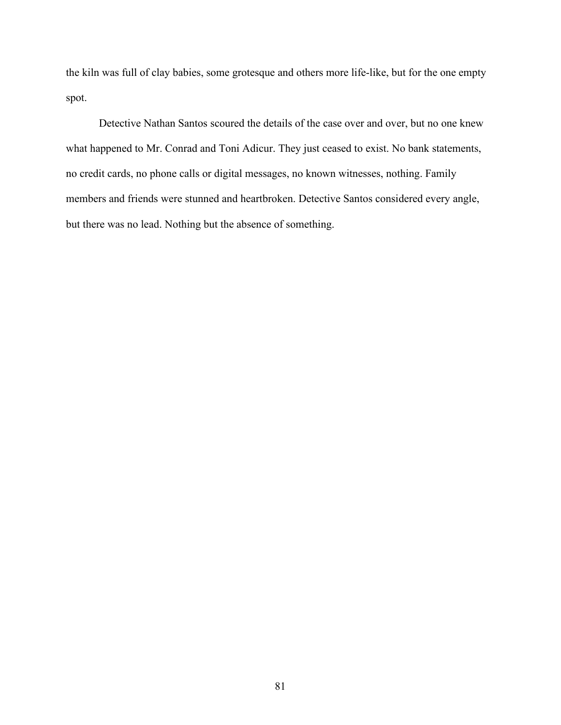the kiln was full of clay babies, some grotesque and others more life-like, but for the one empty spot.

Detective Nathan Santos scoured the details of the case over and over, but no one knew what happened to Mr. Conrad and Toni Adicur. They just ceased to exist. No bank statements, no credit cards, no phone calls or digital messages, no known witnesses, nothing. Family members and friends were stunned and heartbroken. Detective Santos considered every angle, but there was no lead. Nothing but the absence of something.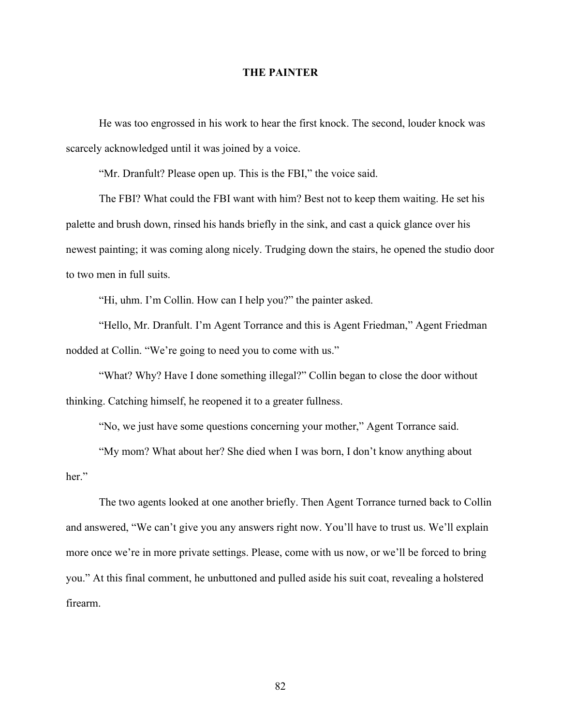## **THE PAINTER**

He was too engrossed in his work to hear the first knock. The second, louder knock was scarcely acknowledged until it was joined by a voice.

"Mr. Dranfult? Please open up. This is the FBI," the voice said.

The FBI? What could the FBI want with him? Best not to keep them waiting. He set his palette and brush down, rinsed his hands briefly in the sink, and cast a quick glance over his newest painting; it was coming along nicely. Trudging down the stairs, he opened the studio door to two men in full suits.

"Hi, uhm. I'm Collin. How can I help you?" the painter asked.

"Hello, Mr. Dranfult. I'm Agent Torrance and this is Agent Friedman," Agent Friedman nodded at Collin. "We're going to need you to come with us."

"What? Why? Have I done something illegal?" Collin began to close the door without thinking. Catching himself, he reopened it to a greater fullness.

"No, we just have some questions concerning your mother," Agent Torrance said.

"My mom? What about her? She died when I was born, I don't know anything about her."

The two agents looked at one another briefly. Then Agent Torrance turned back to Collin and answered, "We can't give you any answers right now. You'll have to trust us. We'll explain more once we're in more private settings. Please, come with us now, or we'll be forced to bring you." At this final comment, he unbuttoned and pulled aside his suit coat, revealing a holstered firearm.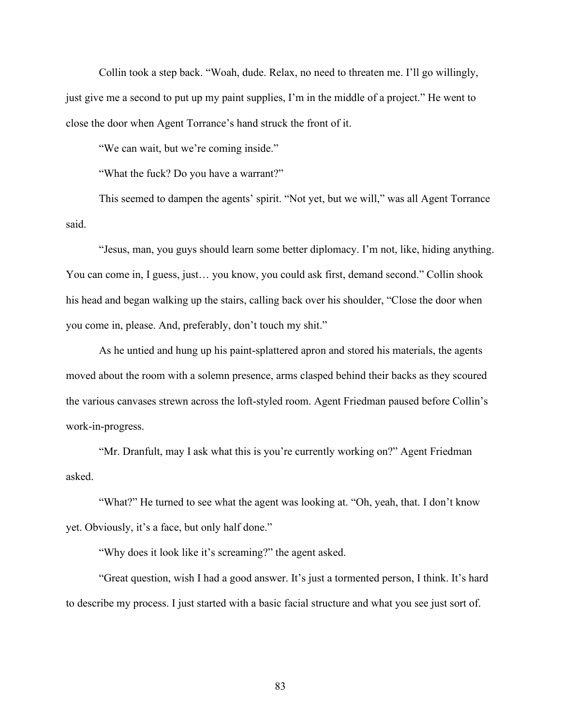Collin took a step back. "Woah, dude. Relax, no need to threaten me. I'll go willingly, just give me a second to put up my paint supplies, I'm in the middle of a project." He went to close the door when Agent Torrance's hand struck the front of it.

"We can wait, but we're coming inside."

"What the fuck? Do you have a warrant?"

This seemed to dampen the agents' spirit. "Not yet, but we will," was all Agent Torrance said.

"Jesus, man, you guys should learn some better diplomacy. I'm not, like, hiding anything. You can come in, I guess, just… you know, you could ask first, demand second." Collin shook his head and began walking up the stairs, calling back over his shoulder, "Close the door when you come in, please. And, preferably, don't touch my shit."

As he untied and hung up his paint-splattered apron and stored his materials, the agents moved about the room with a solemn presence, arms clasped behind their backs as they scoured the various canvases strewn across the loft-styled room. Agent Friedman paused before Collin's work-in-progress.

"Mr. Dranfult, may I ask what this is you're currently working on?" Agent Friedman asked.

"What?" He turned to see what the agent was looking at. "Oh, yeah, that. I don't know yet. Obviously, it's a face, but only half done."

"Why does it look like it's screaming?" the agent asked.

"Great question, wish I had a good answer. It's just a tormented person, I think. It's hard to describe my process. I just started with a basic facial structure and what you see just sort of.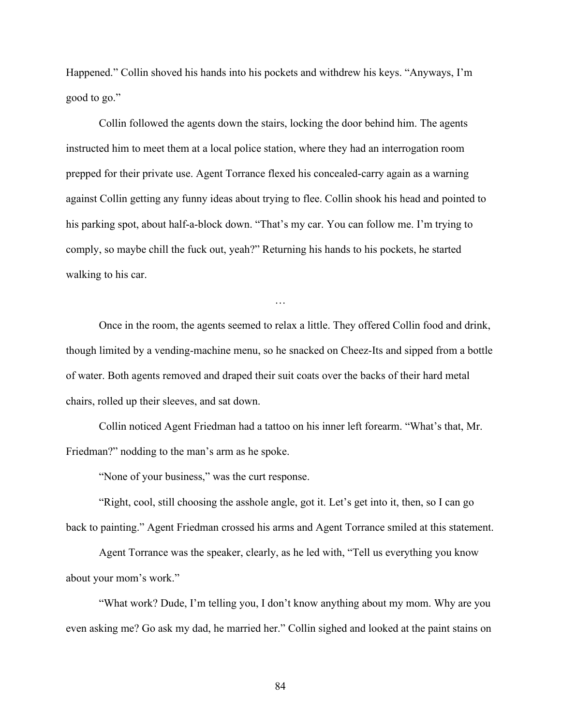Happened." Collin shoved his hands into his pockets and withdrew his keys. "Anyways, I'm good to go."

Collin followed the agents down the stairs, locking the door behind him. The agents instructed him to meet them at a local police station, where they had an interrogation room prepped for their private use. Agent Torrance flexed his concealed-carry again as a warning against Collin getting any funny ideas about trying to flee. Collin shook his head and pointed to his parking spot, about half-a-block down. "That's my car. You can follow me. I'm trying to comply, so maybe chill the fuck out, yeah?" Returning his hands to his pockets, he started walking to his car.

Once in the room, the agents seemed to relax a little. They offered Collin food and drink, though limited by a vending-machine menu, so he snacked on Cheez-Its and sipped from a bottle of water. Both agents removed and draped their suit coats over the backs of their hard metal chairs, rolled up their sleeves, and sat down.

…

Collin noticed Agent Friedman had a tattoo on his inner left forearm. "What's that, Mr. Friedman?" nodding to the man's arm as he spoke.

"None of your business," was the curt response.

"Right, cool, still choosing the asshole angle, got it. Let's get into it, then, so I can go back to painting." Agent Friedman crossed his arms and Agent Torrance smiled at this statement.

Agent Torrance was the speaker, clearly, as he led with, "Tell us everything you know about your mom's work."

"What work? Dude, I'm telling you, I don't know anything about my mom. Why are you even asking me? Go ask my dad, he married her." Collin sighed and looked at the paint stains on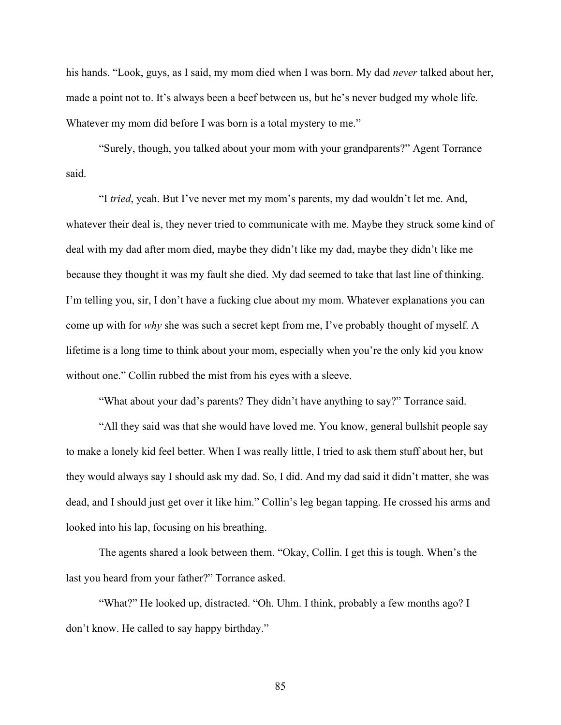his hands. "Look, guys, as I said, my mom died when I was born. My dad *never* talked about her, made a point not to. It's always been a beef between us, but he's never budged my whole life. Whatever my mom did before I was born is a total mystery to me."

"Surely, though, you talked about your mom with your grandparents?" Agent Torrance said.

"I *tried*, yeah. But I've never met my mom's parents, my dad wouldn't let me. And, whatever their deal is, they never tried to communicate with me. Maybe they struck some kind of deal with my dad after mom died, maybe they didn't like my dad, maybe they didn't like me because they thought it was my fault she died. My dad seemed to take that last line of thinking. I'm telling you, sir, I don't have a fucking clue about my mom. Whatever explanations you can come up with for *why* she was such a secret kept from me, I've probably thought of myself. A lifetime is a long time to think about your mom, especially when you're the only kid you know without one." Collin rubbed the mist from his eyes with a sleeve.

"What about your dad's parents? They didn't have anything to say?" Torrance said.

"All they said was that she would have loved me. You know, general bullshit people say to make a lonely kid feel better. When I was really little, I tried to ask them stuff about her, but they would always say I should ask my dad. So, I did. And my dad said it didn't matter, she was dead, and I should just get over it like him." Collin's leg began tapping. He crossed his arms and looked into his lap, focusing on his breathing.

The agents shared a look between them. "Okay, Collin. I get this is tough. When's the last you heard from your father?" Torrance asked.

"What?" He looked up, distracted. "Oh. Uhm. I think, probably a few months ago? I don't know. He called to say happy birthday."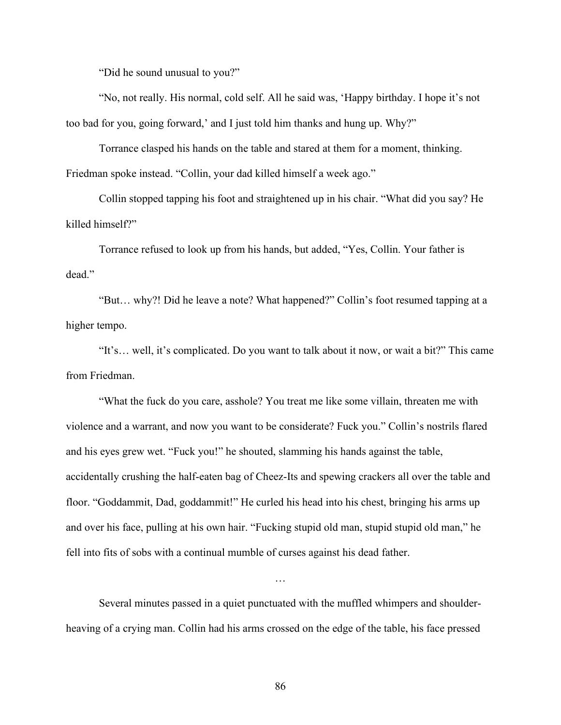"Did he sound unusual to you?"

"No, not really. His normal, cold self. All he said was, 'Happy birthday. I hope it's not too bad for you, going forward,' and I just told him thanks and hung up. Why?"

Torrance clasped his hands on the table and stared at them for a moment, thinking. Friedman spoke instead. "Collin, your dad killed himself a week ago."

Collin stopped tapping his foot and straightened up in his chair. "What did you say? He killed himself?"

Torrance refused to look up from his hands, but added, "Yes, Collin. Your father is dead."

"But… why?! Did he leave a note? What happened?" Collin's foot resumed tapping at a higher tempo.

"It's… well, it's complicated. Do you want to talk about it now, or wait a bit?" This came from Friedman.

"What the fuck do you care, asshole? You treat me like some villain, threaten me with violence and a warrant, and now you want to be considerate? Fuck you." Collin's nostrils flared and his eyes grew wet. "Fuck you!" he shouted, slamming his hands against the table, accidentally crushing the half-eaten bag of Cheez-Its and spewing crackers all over the table and floor. "Goddammit, Dad, goddammit!" He curled his head into his chest, bringing his arms up and over his face, pulling at his own hair. "Fucking stupid old man, stupid stupid old man," he fell into fits of sobs with a continual mumble of curses against his dead father.

Several minutes passed in a quiet punctuated with the muffled whimpers and shoulderheaving of a crying man. Collin had his arms crossed on the edge of the table, his face pressed

…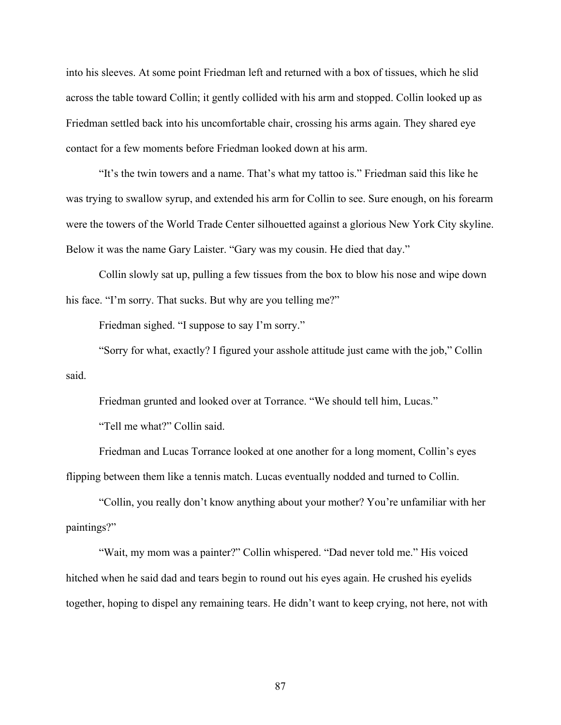into his sleeves. At some point Friedman left and returned with a box of tissues, which he slid across the table toward Collin; it gently collided with his arm and stopped. Collin looked up as Friedman settled back into his uncomfortable chair, crossing his arms again. They shared eye contact for a few moments before Friedman looked down at his arm.

"It's the twin towers and a name. That's what my tattoo is." Friedman said this like he was trying to swallow syrup, and extended his arm for Collin to see. Sure enough, on his forearm were the towers of the World Trade Center silhouetted against a glorious New York City skyline. Below it was the name Gary Laister. "Gary was my cousin. He died that day."

Collin slowly sat up, pulling a few tissues from the box to blow his nose and wipe down his face. "I'm sorry. That sucks. But why are you telling me?"

Friedman sighed. "I suppose to say I'm sorry."

"Sorry for what, exactly? I figured your asshole attitude just came with the job," Collin said.

Friedman grunted and looked over at Torrance. "We should tell him, Lucas." "Tell me what?" Collin said.

Friedman and Lucas Torrance looked at one another for a long moment, Collin's eyes flipping between them like a tennis match. Lucas eventually nodded and turned to Collin.

"Collin, you really don't know anything about your mother? You're unfamiliar with her paintings?"

"Wait, my mom was a painter?" Collin whispered. "Dad never told me." His voiced hitched when he said dad and tears begin to round out his eyes again. He crushed his eyelids together, hoping to dispel any remaining tears. He didn't want to keep crying, not here, not with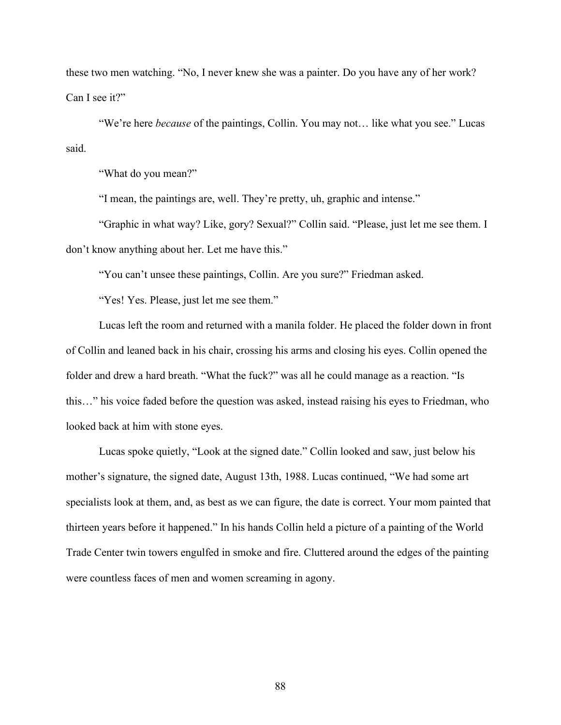these two men watching. "No, I never knew she was a painter. Do you have any of her work? Can I see it?"

"We're here *because* of the paintings, Collin. You may not… like what you see." Lucas said.

"What do you mean?"

"I mean, the paintings are, well. They're pretty, uh, graphic and intense."

"Graphic in what way? Like, gory? Sexual?" Collin said. "Please, just let me see them. I don't know anything about her. Let me have this."

"You can't unsee these paintings, Collin. Are you sure?" Friedman asked.

"Yes! Yes. Please, just let me see them."

Lucas left the room and returned with a manila folder. He placed the folder down in front of Collin and leaned back in his chair, crossing his arms and closing his eyes. Collin opened the folder and drew a hard breath. "What the fuck?" was all he could manage as a reaction. "Is this…" his voice faded before the question was asked, instead raising his eyes to Friedman, who looked back at him with stone eyes.

Lucas spoke quietly, "Look at the signed date." Collin looked and saw, just below his mother's signature, the signed date, August 13th, 1988. Lucas continued, "We had some art specialists look at them, and, as best as we can figure, the date is correct. Your mom painted that thirteen years before it happened." In his hands Collin held a picture of a painting of the World Trade Center twin towers engulfed in smoke and fire. Cluttered around the edges of the painting were countless faces of men and women screaming in agony.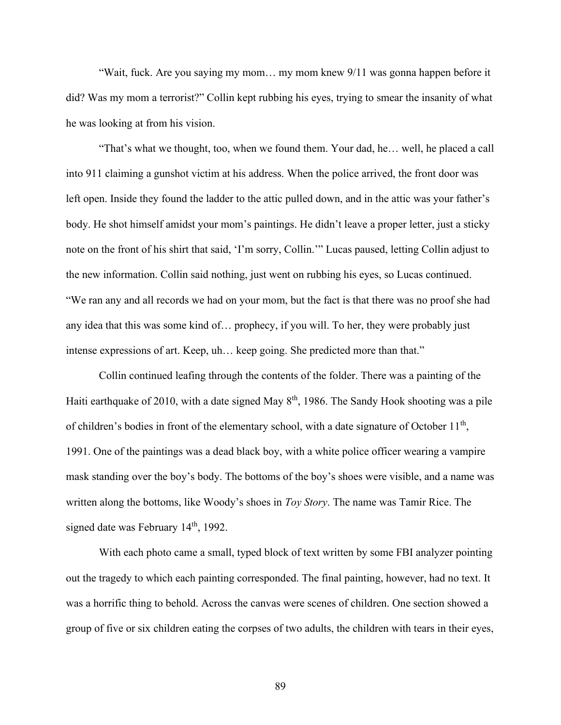"Wait, fuck. Are you saying my mom… my mom knew 9/11 was gonna happen before it did? Was my mom a terrorist?" Collin kept rubbing his eyes, trying to smear the insanity of what he was looking at from his vision.

"That's what we thought, too, when we found them. Your dad, he… well, he placed a call into 911 claiming a gunshot victim at his address. When the police arrived, the front door was left open. Inside they found the ladder to the attic pulled down, and in the attic was your father's body. He shot himself amidst your mom's paintings. He didn't leave a proper letter, just a sticky note on the front of his shirt that said, 'I'm sorry, Collin.'" Lucas paused, letting Collin adjust to the new information. Collin said nothing, just went on rubbing his eyes, so Lucas continued. "We ran any and all records we had on your mom, but the fact is that there was no proof she had any idea that this was some kind of… prophecy, if you will. To her, they were probably just intense expressions of art. Keep, uh… keep going. She predicted more than that."

Collin continued leafing through the contents of the folder. There was a painting of the Haiti earthquake of 2010, with a date signed May  $8<sup>th</sup>$ , 1986. The Sandy Hook shooting was a pile of children's bodies in front of the elementary school, with a date signature of October  $11<sup>th</sup>$ , 1991. One of the paintings was a dead black boy, with a white police officer wearing a vampire mask standing over the boy's body. The bottoms of the boy's shoes were visible, and a name was written along the bottoms, like Woody's shoes in *Toy Story*. The name was Tamir Rice. The signed date was February 14<sup>th</sup>, 1992.

With each photo came a small, typed block of text written by some FBI analyzer pointing out the tragedy to which each painting corresponded. The final painting, however, had no text. It was a horrific thing to behold. Across the canvas were scenes of children. One section showed a group of five or six children eating the corpses of two adults, the children with tears in their eyes,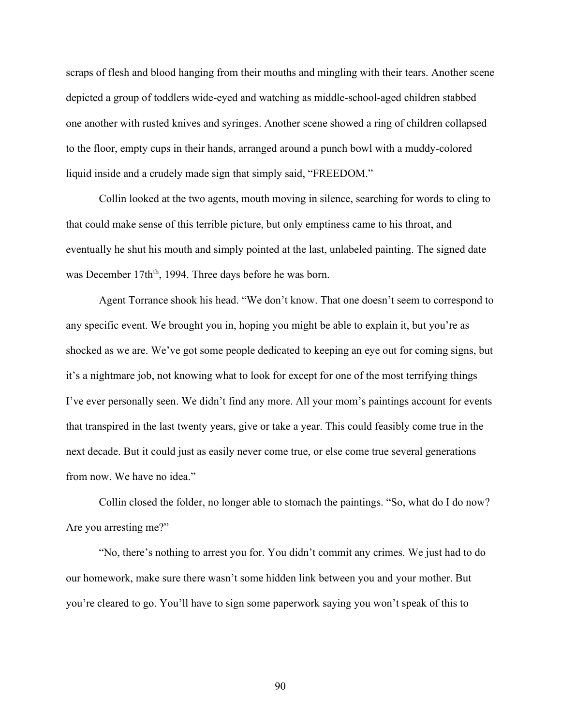scraps of flesh and blood hanging from their mouths and mingling with their tears. Another scene depicted a group of toddlers wide-eyed and watching as middle-school-aged children stabbed one another with rusted knives and syringes. Another scene showed a ring of children collapsed to the floor, empty cups in their hands, arranged around a punch bowl with a muddy-colored liquid inside and a crudely made sign that simply said, "FREEDOM."

Collin looked at the two agents, mouth moving in silence, searching for words to cling to that could make sense of this terrible picture, but only emptiness came to his throat, and eventually he shut his mouth and simply pointed at the last, unlabeled painting. The signed date was December 17th<sup>th</sup>, 1994. Three days before he was born.

Agent Torrance shook his head. "We don't know. That one doesn't seem to correspond to any specific event. We brought you in, hoping you might be able to explain it, but you're as shocked as we are. We've got some people dedicated to keeping an eye out for coming signs, but it's a nightmare job, not knowing what to look for except for one of the most terrifying things I've ever personally seen. We didn't find any more. All your mom's paintings account for events that transpired in the last twenty years, give or take a year. This could feasibly come true in the next decade. But it could just as easily never come true, or else come true several generations from now. We have no idea."

Collin closed the folder, no longer able to stomach the paintings. "So, what do I do now? Are you arresting me?"

"No, there's nothing to arrest you for. You didn't commit any crimes. We just had to do our homework, make sure there wasn't some hidden link between you and your mother. But you're cleared to go. You'll have to sign some paperwork saying you won't speak of this to